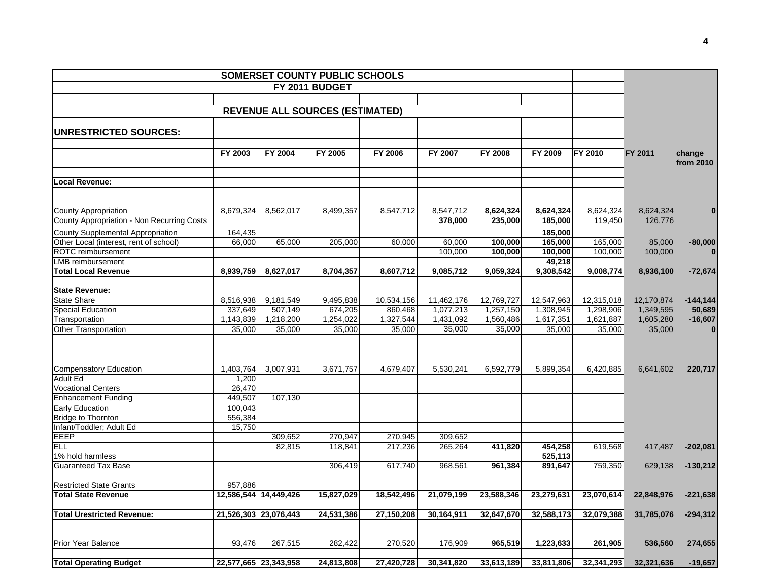|                                            |           |                       | SOMERSET COUNTY PUBLIC SCHOOLS         |            |            |            |            |            |            |             |
|--------------------------------------------|-----------|-----------------------|----------------------------------------|------------|------------|------------|------------|------------|------------|-------------|
|                                            |           |                       | FY 2011 BUDGET                         |            |            |            |            |            |            |             |
|                                            |           |                       |                                        |            |            |            |            |            |            |             |
|                                            |           |                       | <b>REVENUE ALL SOURCES (ESTIMATED)</b> |            |            |            |            |            |            |             |
|                                            |           |                       |                                        |            |            |            |            |            |            |             |
| <b>UNRESTRICTED SOURCES:</b>               |           |                       |                                        |            |            |            |            |            |            |             |
|                                            |           |                       |                                        |            |            |            |            |            |            |             |
|                                            | FY 2003   | FY 2004               | FY 2005                                | FY 2006    | FY 2007    | FY 2008    | FY 2009    | FY 2010    | FY 2011    | change      |
|                                            |           |                       |                                        |            |            |            |            |            |            | from 2010   |
|                                            |           |                       |                                        |            |            |            |            |            |            |             |
| <b>Local Revenue:</b>                      |           |                       |                                        |            |            |            |            |            |            |             |
|                                            |           |                       |                                        |            |            |            |            |            |            |             |
| County Appropriation                       | 8,679,324 | 8,562,017             | 8,499,357                              | 8,547,712  | 8,547,712  | 8,624,324  | 8,624,324  | 8,624,324  | 8,624,324  | $\bf{0}$    |
| County Appropriation - Non Recurring Costs |           |                       |                                        |            | 378,000    | 235,000    | 185,000    | 119,450    | 126,776    |             |
| County Supplemental Appropriation          | 164,435   |                       |                                        |            |            |            | 185.000    |            |            |             |
| Other Local (interest, rent of school)     | 66,000    | 65,000                | 205,000                                | 60,000     | 60,000     | 100,000    | 165,000    | 165,000    | 85,000     | $-80,000$   |
| ROTC reimbursement                         |           |                       |                                        |            | 100,000    | 100,000    | 100,000    | 100,000    | 100,000    | $\bf{0}$    |
| LMB reimbursement                          |           |                       |                                        |            |            |            | 49,218     |            |            |             |
| <b>Total Local Revenue</b>                 | 8,939,759 | 8,627,017             | 8,704,357                              | 8,607,712  | 9,085,712  | 9,059,324  | 9,308,542  | 9,008,774  | 8,936,100  | $-72,674$   |
|                                            |           |                       |                                        |            |            |            |            |            |            |             |
| <b>State Revenue:</b>                      |           |                       |                                        |            |            |            |            |            |            |             |
| <b>State Share</b>                         | 8,516,938 | 9,181,549             | 9,495,838                              | 10,534,156 | 11,462,176 | 12,769,727 | 12,547,963 | 12,315,018 | 12,170,874 | $-144, 144$ |
| <b>Special Education</b>                   | 337,649   | 507,149               | 674,205                                | 860,468    | 1,077,213  | 1,257,150  | 1,308,945  | 1,298,906  | 1,349,595  | 50,689      |
| Transportation                             | 1,143,839 | 1,218,200             | 1,254,022                              | 1,327,544  | 1,431,092  | 1,560,486  | 1,617,351  | 1,621,887  | 1,605,280  | $-16,607$   |
| <b>Other Transportation</b>                | 35,000    | 35,000                | 35,000                                 | 35,000     | 35,000     | 35,000     | 35,000     | 35,000     | 35,000     | $\bf{0}$    |
|                                            |           |                       |                                        |            |            |            |            |            |            |             |
|                                            |           |                       |                                        |            |            |            |            |            |            |             |
| Compensatory Education                     | 1,403,764 | 3,007,931             | 3,671,757                              | 4,679,407  | 5,530,241  | 6,592,779  | 5,899,354  | 6,420,885  | 6,641,602  | 220,717     |
| <b>Adult Ed</b>                            | 1,200     |                       |                                        |            |            |            |            |            |            |             |
| <b>Vocational Centers</b>                  | 26,470    |                       |                                        |            |            |            |            |            |            |             |
| <b>Enhancement Funding</b>                 | 449,507   | 107,130               |                                        |            |            |            |            |            |            |             |
| <b>Early Education</b>                     | 100,043   |                       |                                        |            |            |            |            |            |            |             |
| Bridge to Thornton                         | 556,384   |                       |                                        |            |            |            |            |            |            |             |
| Infant/Toddler; Adult Ed                   | 15,750    |                       |                                        |            |            |            |            |            |            |             |
| EEEP                                       |           | 309,652               | 270,947                                | 270,945    | 309,652    |            |            |            |            |             |
| <b>ELL</b>                                 |           | 82,815                | 118,841                                | 217,236    | 265,264    | 411,820    | 454,258    | 619,568    | 417,487    | $-202,081$  |
| 1% hold harmless                           |           |                       |                                        |            |            |            | 525,113    |            |            |             |
| <b>Guaranteed Tax Base</b>                 |           |                       | 306,419                                | 617,740    | 968,561    | 961,384    | 891,647    | 759,350    | 629,138    | $-130,212$  |
|                                            |           |                       |                                        |            |            |            |            |            |            |             |
| <b>Restricted State Grants</b>             | 957,886   |                       |                                        |            |            |            |            |            |            |             |
| <b>Total State Revenue</b>                 |           | 12,586,544 14,449,426 | 15,827,029                             | 18,542,496 | 21,079,199 | 23,588,346 | 23,279,631 | 23,070,614 | 22,848,976 | $-221,638$  |
| <b>Total Urestricted Revenue:</b>          |           | 21,526,303 23,076,443 | 24,531,386                             | 27,150,208 | 30,164,911 | 32,647,670 | 32,588,173 | 32,079,388 | 31,785,076 | $-294,312$  |
|                                            |           |                       |                                        |            |            |            |            |            |            |             |
|                                            |           |                       |                                        |            |            |            |            |            |            |             |
| <b>Prior Year Balance</b>                  | 93,476    | 267,515               | 282,422                                | 270,520    | 176,909    | 965,519    | 1,223,633  | 261,905    | 536,560    | 274,655     |
|                                            |           |                       |                                        |            |            |            |            |            |            |             |
| <b>Total Operating Budget</b>              |           | 22,577,665 23,343,958 | 24,813,808                             | 27,420,728 | 30,341,820 | 33,613,189 | 33,811,806 | 32,341,293 | 32,321,636 | $-19,657$   |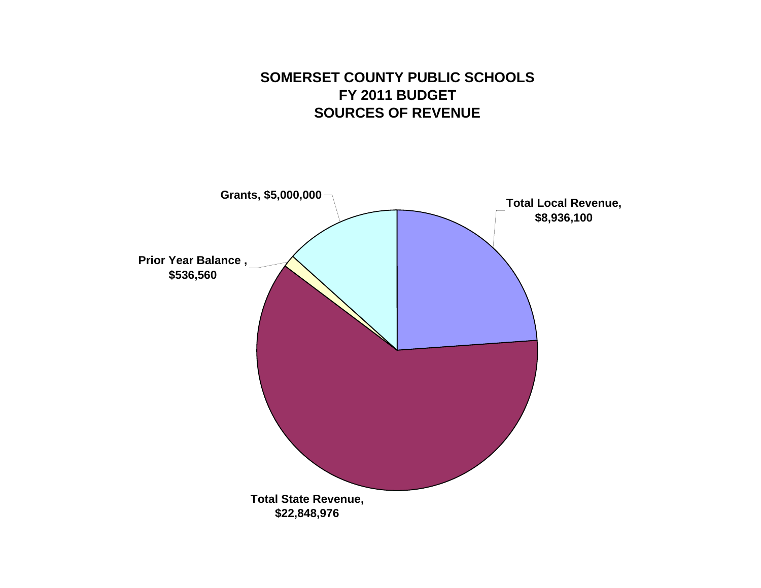## **SOMERSET COUNTY PUBLIC SCHOOLS FY 2011 BUDGETSOURCES OF REVENUE**

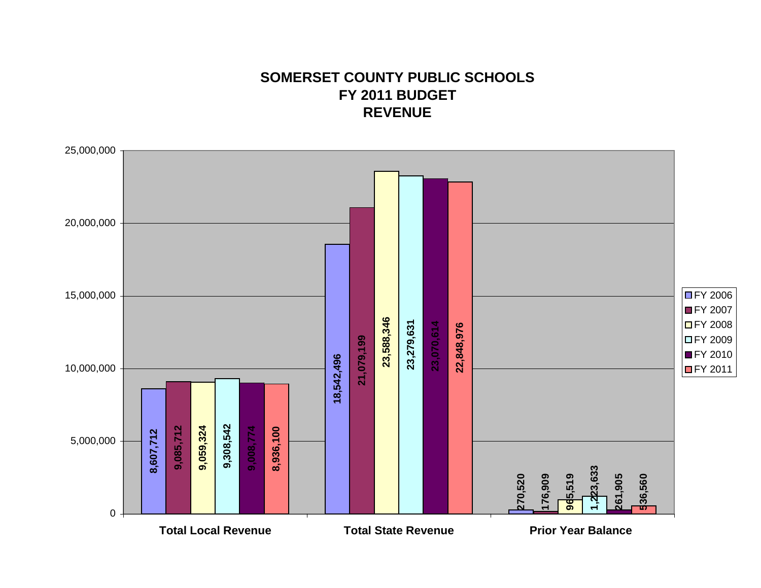## **SOMERSET COUNTY PUBLIC SCHOOLSFY 2011 BUDGET REVENUE**

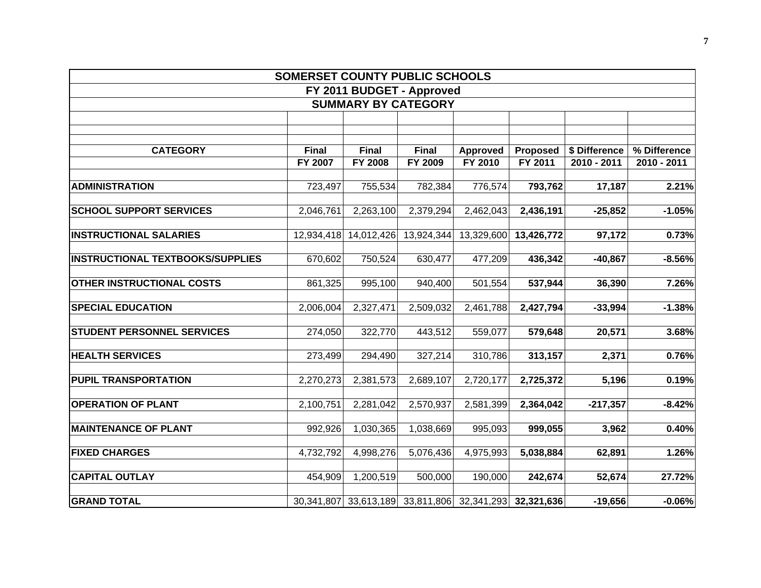|                                         | SOMERSET COUNTY PUBLIC SCHOOLS |                |                            |                                                        |            |               |              |
|-----------------------------------------|--------------------------------|----------------|----------------------------|--------------------------------------------------------|------------|---------------|--------------|
|                                         |                                |                | FY 2011 BUDGET - Approved  |                                                        |            |               |              |
|                                         |                                |                | <b>SUMMARY BY CATEGORY</b> |                                                        |            |               |              |
|                                         |                                |                |                            |                                                        |            |               |              |
|                                         |                                |                |                            |                                                        |            |               |              |
| <b>CATEGORY</b>                         | <b>Final</b>                   | Final          | Final                      | Approved                                               | Proposed   | \$ Difference | % Difference |
|                                         | FY 2007                        | <b>FY 2008</b> | FY 2009                    | FY 2010                                                | FY 2011    | 2010 - 2011   | 2010 - 2011  |
|                                         |                                |                |                            |                                                        |            |               |              |
| <b>ADMINISTRATION</b>                   | 723,497                        | 755,534        | 782,384                    | 776,574                                                | 793,762    | 17,187        | 2.21%        |
| <b>SCHOOL SUPPORT SERVICES</b>          | 2,046,761                      | 2,263,100      | 2,379,294                  | 2,462,043                                              | 2,436,191  | $-25,852$     | $-1.05%$     |
| <b>INSTRUCTIONAL SALARIES</b>           | 12,934,418                     | 14,012,426     | 13,924,344                 | 13,329,600                                             | 13,426,772 | 97,172        | 0.73%        |
| <b>INSTRUCTIONAL TEXTBOOKS/SUPPLIES</b> | 670,602                        | 750,524        | 630,477                    | 477,209                                                | 436,342    | $-40,867$     | $-8.56%$     |
| <b>OTHER INSTRUCTIONAL COSTS</b>        | 861,325                        | 995,100        | 940,400                    | 501,554                                                | 537,944    | 36,390        | 7.26%        |
| <b>SPECIAL EDUCATION</b>                | 2,006,004                      | 2,327,471      | 2,509,032                  | 2,461,788                                              | 2,427,794  | $-33,994$     | $-1.38%$     |
| <b>STUDENT PERSONNEL SERVICES</b>       | 274,050                        | 322,770        | 443,512                    | 559,077                                                | 579,648    | 20,571        | 3.68%        |
| <b>HEALTH SERVICES</b>                  | 273,499                        | 294,490        | 327,214                    | 310,786                                                | 313,157    | 2,371         | 0.76%        |
| <b>PUPIL TRANSPORTATION</b>             | 2,270,273                      | 2,381,573      | 2,689,107                  | 2,720,177                                              | 2,725,372  | 5,196         | 0.19%        |
| <b>OPERATION OF PLANT</b>               | 2,100,751                      | 2,281,042      | 2,570,937                  | 2,581,399                                              | 2,364,042  | $-217,357$    | $-8.42%$     |
| <b>MAINTENANCE OF PLANT</b>             | 992,926                        | 1,030,365      | 1,038,669                  | 995,093                                                | 999,055    | 3,962         | 0.40%        |
| <b>FIXED CHARGES</b>                    | 4,732,792                      | 4,998,276      | 5,076,436                  | 4,975,993                                              | 5,038,884  | 62,891        | 1.26%        |
| <b>CAPITAL OUTLAY</b>                   | 454,909                        | 1,200,519      | 500,000                    | 190,000                                                | 242,674    | 52,674        | 27.72%       |
| <b>GRAND TOTAL</b>                      |                                |                |                            | 30,341,807 33,613,189 33,811,806 32,341,293 32,321,636 |            | $-19,656$     | $-0.06%$     |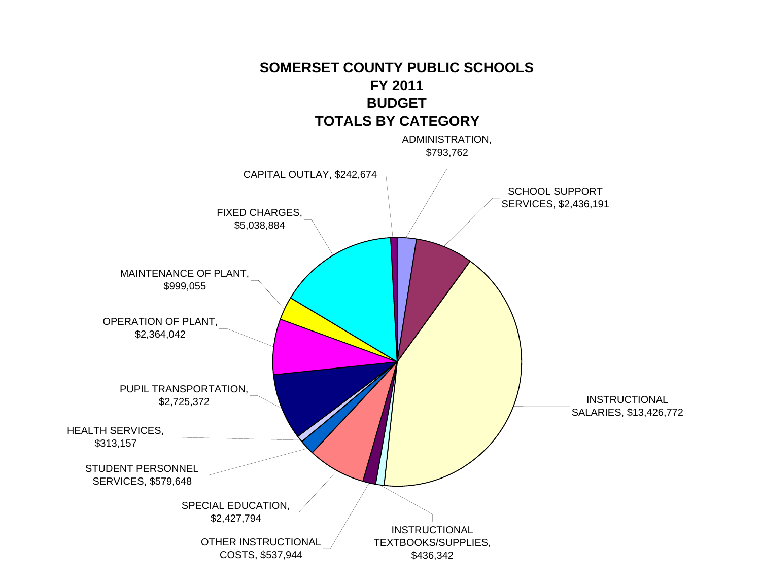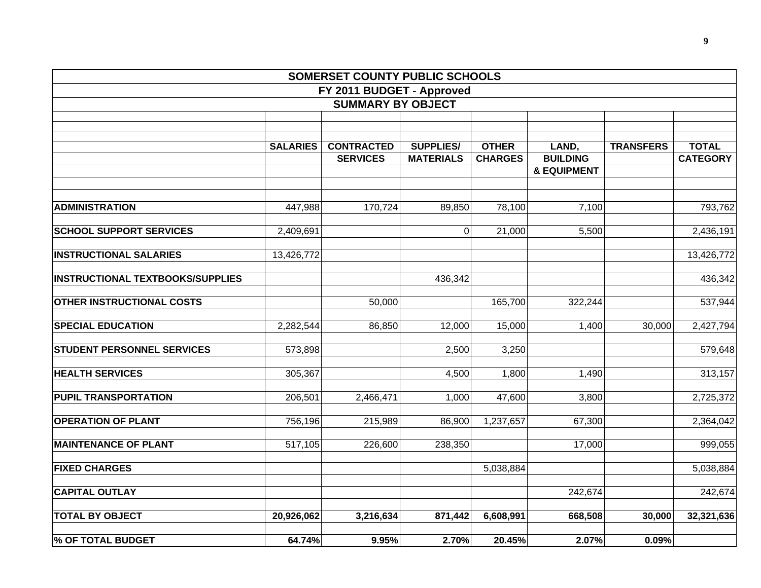|                                         |                 | SOMERSET COUNTY PUBLIC SCHOOLS |                  |                |                                           |                  |                 |
|-----------------------------------------|-----------------|--------------------------------|------------------|----------------|-------------------------------------------|------------------|-----------------|
|                                         |                 | FY 2011 BUDGET - Approved      |                  |                |                                           |                  |                 |
|                                         |                 | <b>SUMMARY BY OBJECT</b>       |                  |                |                                           |                  |                 |
|                                         |                 |                                |                  |                |                                           |                  |                 |
|                                         |                 |                                |                  |                |                                           |                  |                 |
|                                         | <b>SALARIES</b> | <b>CONTRACTED</b>              | <b>SUPPLIES/</b> | <b>OTHER</b>   | LAND,                                     | <b>TRANSFERS</b> | <b>TOTAL</b>    |
|                                         |                 | <b>SERVICES</b>                | <b>MATERIALS</b> | <b>CHARGES</b> | <b>BUILDING</b><br><b>&amp; EQUIPMENT</b> |                  | <b>CATEGORY</b> |
|                                         |                 |                                |                  |                |                                           |                  |                 |
| <b>ADMINISTRATION</b>                   | 447,988         | 170,724                        | 89,850           | 78,100         | 7,100                                     |                  | 793,762         |
| <b>SCHOOL SUPPORT SERVICES</b>          | 2,409,691       |                                | $\overline{0}$   | 21,000         | 5,500                                     |                  | 2,436,191       |
| <b>INSTRUCTIONAL SALARIES</b>           | 13,426,772      |                                |                  |                |                                           |                  | 13,426,772      |
| <b>INSTRUCTIONAL TEXTBOOKS/SUPPLIES</b> |                 |                                | 436,342          |                |                                           |                  | 436,342         |
| <b>OTHER INSTRUCTIONAL COSTS</b>        |                 | 50,000                         |                  | 165,700        | 322,244                                   |                  | 537,944         |
| <b>SPECIAL EDUCATION</b>                | 2,282,544       | 86,850                         | 12,000           | 15,000         | 1,400                                     | 30,000           | 2,427,794       |
| <b>STUDENT PERSONNEL SERVICES</b>       | 573,898         |                                | 2,500            | 3,250          |                                           |                  | 579,648         |
| <b>HEALTH SERVICES</b>                  | 305,367         |                                | 4,500            | 1,800          | 1,490                                     |                  | 313,157         |
| <b>PUPIL TRANSPORTATION</b>             | 206,501         | 2,466,471                      | 1,000            | 47,600         | 3,800                                     |                  | 2,725,372       |
| <b>OPERATION OF PLANT</b>               | 756,196         | 215,989                        | 86,900           | 1,237,657      | 67,300                                    |                  | 2,364,042       |
| <b>MAINTENANCE OF PLANT</b>             | 517,105         | 226,600                        | 238,350          |                | 17,000                                    |                  | 999,055         |
| <b>FIXED CHARGES</b>                    |                 |                                |                  | 5,038,884      |                                           |                  | 5,038,884       |
| <b>CAPITAL OUTLAY</b>                   |                 |                                |                  |                | 242,674                                   |                  | 242,674         |
| <b>TOTAL BY OBJECT</b>                  | 20,926,062      | 3,216,634                      | 871,442          | 6,608,991      | 668,508                                   | 30,000           | 32,321,636      |
| <b>% OF TOTAL BUDGET</b>                | 64.74%          | 9.95%                          | 2.70%            | 20.45%         | 2.07%                                     | 0.09%            |                 |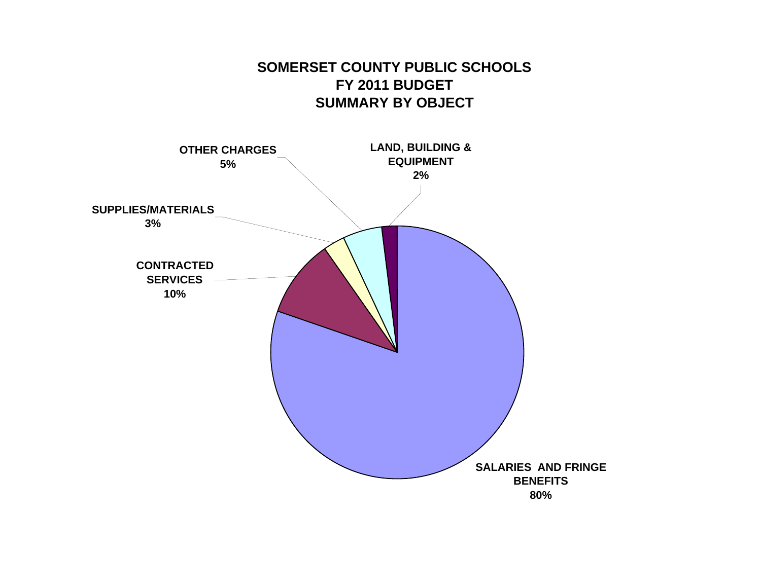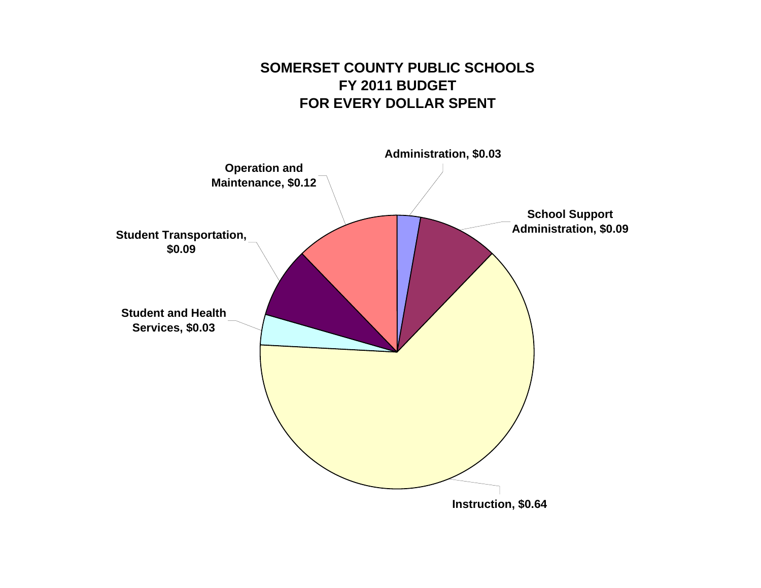## **SOMERSET COUNTY PUBLIC SCHOOLSFY 2011 BUDGET FOR EVERY DOLLAR SPENT**

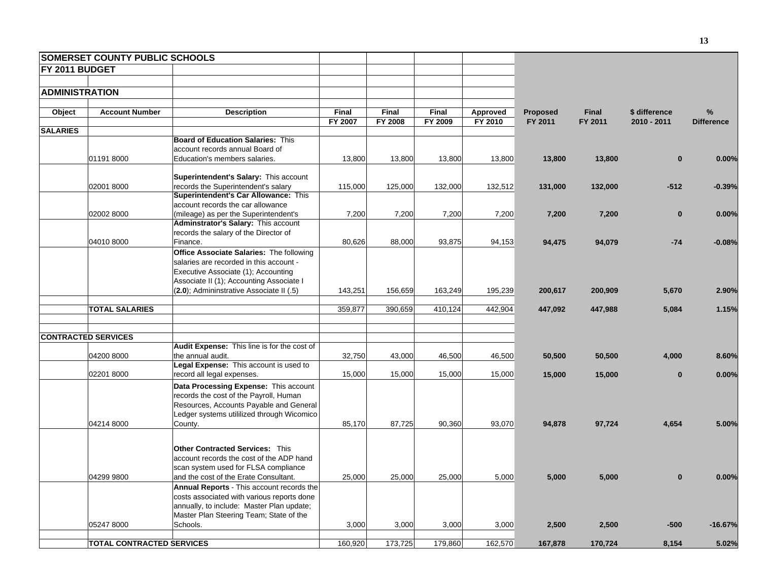|                       | <b>SOMERSET COUNTY PUBLIC SCHOOLS</b> |                                             |              |         |         |          |          |         |               |                   |
|-----------------------|---------------------------------------|---------------------------------------------|--------------|---------|---------|----------|----------|---------|---------------|-------------------|
| FY 2011 BUDGET        |                                       |                                             |              |         |         |          |          |         |               |                   |
|                       |                                       |                                             |              |         |         |          |          |         |               |                   |
| <b>ADMINISTRATION</b> |                                       |                                             |              |         |         |          |          |         |               |                   |
|                       |                                       |                                             |              |         |         |          |          |         |               |                   |
| Object                | <b>Account Number</b>                 | <b>Description</b>                          | <b>Final</b> | Final   | Final   | Approved | Proposed | Final   | \$ difference | %                 |
| <b>SALARIES</b>       |                                       |                                             | FY 2007      | FY 2008 | FY 2009 | FY 2010  | FY 2011  | FY 2011 | 2010 - 2011   | <b>Difference</b> |
|                       |                                       | <b>Board of Education Salaries: This</b>    |              |         |         |          |          |         |               |                   |
|                       |                                       | account records annual Board of             |              |         |         |          |          |         |               |                   |
|                       | 01191 8000                            | Education's members salaries.               | 13,800       | 13,800  | 13,800  | 13,800   | 13,800   | 13,800  | $\mathbf{0}$  | 0.00%             |
|                       |                                       |                                             |              |         |         |          |          |         |               |                   |
|                       |                                       | Superintendent's Salary: This account       |              |         |         |          |          |         |               |                   |
|                       | 02001 8000                            | records the Superintendent's salary         | 115,000      | 125,000 | 132,000 | 132,512  | 131,000  | 132,000 | $-512$        | $-0.39%$          |
|                       |                                       | Superintendent's Car Allowance: This        |              |         |         |          |          |         |               |                   |
|                       |                                       | account records the car allowance           |              |         |         |          |          |         |               |                   |
|                       | 02002 8000                            | (mileage) as per the Superintendent's       | 7,200        | 7,200   | 7,200   | 7,200    | 7,200    | 7,200   | $\mathbf{0}$  | 0.00%             |
|                       |                                       | Adminstrator's Salary: This account         |              |         |         |          |          |         |               |                   |
|                       |                                       | records the salary of the Director of       |              |         |         |          |          |         |               |                   |
|                       | 04010 8000                            | Finance.                                    | 80,626       | 88,000  | 93,875  | 94,153   | 94,475   | 94,079  | $-74$         | $-0.08%$          |
|                       |                                       | Office Associate Salaries: The following    |              |         |         |          |          |         |               |                   |
|                       |                                       | salaries are recorded in this account -     |              |         |         |          |          |         |               |                   |
|                       |                                       | Executive Associate (1); Accounting         |              |         |         |          |          |         |               |                   |
|                       |                                       | Associate II (1); Accounting Associate I    |              |         |         |          |          |         |               |                   |
|                       |                                       | (2.0); Admininstrative Associate II (.5)    | 143,251      | 156,659 | 163,249 | 195,239  | 200,617  | 200,909 | 5,670         | 2.90%             |
|                       | <b>TOTAL SALARIES</b>                 |                                             | 359,877      | 390,659 | 410,124 | 442,904  | 447,092  | 447,988 | 5,084         | 1.15%             |
|                       |                                       |                                             |              |         |         |          |          |         |               |                   |
|                       |                                       |                                             |              |         |         |          |          |         |               |                   |
|                       | <b>CONTRACTED SERVICES</b>            |                                             |              |         |         |          |          |         |               |                   |
|                       |                                       | Audit Expense: This line is for the cost of |              |         |         |          |          |         |               |                   |
|                       | 04200 8000                            | the annual audit.                           | 32,750       | 43,000  | 46,500  | 46,500   | 50,500   | 50,500  | 4,000         | 8.60%             |
|                       |                                       | Legal Expense: This account is used to      |              |         |         |          |          |         |               |                   |
|                       | 02201 8000                            | record all legal expenses.                  | 15,000       | 15,000  | 15,000  | 15,000   | 15,000   | 15,000  | $\bf{0}$      | 0.00%             |
|                       |                                       | Data Processing Expense: This account       |              |         |         |          |          |         |               |                   |
|                       |                                       | records the cost of the Payroll, Human      |              |         |         |          |          |         |               |                   |
|                       |                                       | Resources, Accounts Payable and General     |              |         |         |          |          |         |               |                   |
|                       |                                       | Ledger systems utililized through Wicomico  |              |         |         |          |          |         |               |                   |
|                       | 04214 8000                            | County.                                     | 85,170       | 87,725  | 90,360  | 93,070   | 94,878   | 97,724  | 4,654         | 5.00%             |
|                       |                                       |                                             |              |         |         |          |          |         |               |                   |
|                       |                                       | <b>Other Contracted Services: This</b>      |              |         |         |          |          |         |               |                   |
|                       |                                       | account records the cost of the ADP hand    |              |         |         |          |          |         |               |                   |
|                       |                                       | scan system used for FLSA compliance        |              |         |         |          |          |         |               |                   |
|                       | 04299 9800                            | and the cost of the Erate Consultant.       | 25,000       | 25,000  | 25,000  | 5,000    | 5,000    | 5,000   | $\mathbf 0$   | 0.00%             |
|                       |                                       | Annual Reports - This account records the   |              |         |         |          |          |         |               |                   |
|                       |                                       | costs associated with various reports done  |              |         |         |          |          |         |               |                   |
|                       |                                       | annually, to include: Master Plan update;   |              |         |         |          |          |         |               |                   |
|                       |                                       | Master Plan Steering Team; State of the     |              |         |         |          |          |         |               |                   |
|                       | 05247 8000                            | Schools.                                    | 3,000        | 3,000   | 3,000   | 3,000    | 2,500    | 2,500   | $-500$        | $-16.67%$         |
|                       |                                       |                                             |              |         |         |          |          |         |               |                   |
|                       | <b>TOTAL CONTRACTED SERVICES</b>      |                                             | 160,920      | 173,725 | 179,860 | 162,570  | 167,878  | 170,724 | 8,154         | 5.02%             |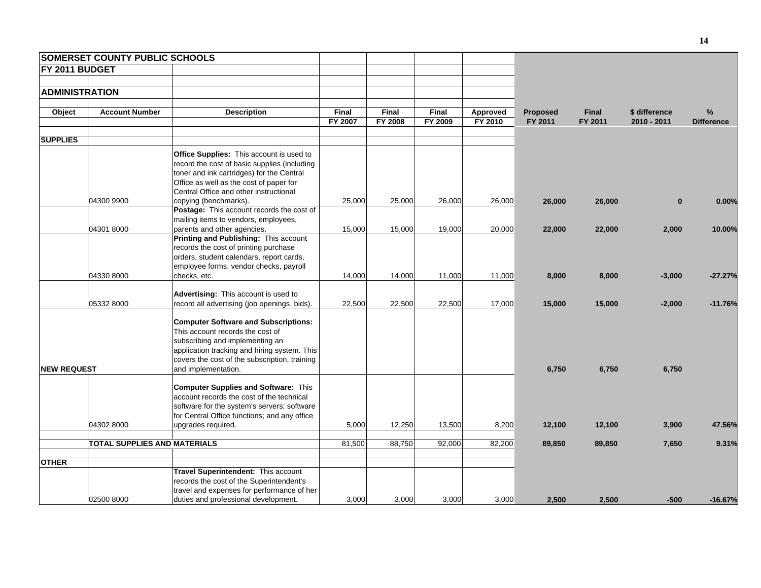|                       | <b>SOMERSET COUNTY PUBLIC SCHOOLS</b> |                                                                                                                                                                                                                                                            |                  |                  |                  |                     |                            |                         |                              |                           |
|-----------------------|---------------------------------------|------------------------------------------------------------------------------------------------------------------------------------------------------------------------------------------------------------------------------------------------------------|------------------|------------------|------------------|---------------------|----------------------------|-------------------------|------------------------------|---------------------------|
| FY 2011 BUDGET        |                                       |                                                                                                                                                                                                                                                            |                  |                  |                  |                     |                            |                         |                              |                           |
|                       |                                       |                                                                                                                                                                                                                                                            |                  |                  |                  |                     |                            |                         |                              |                           |
| <b>ADMINISTRATION</b> |                                       |                                                                                                                                                                                                                                                            |                  |                  |                  |                     |                            |                         |                              |                           |
| Object                | <b>Account Number</b>                 | <b>Description</b>                                                                                                                                                                                                                                         | Final<br>FY 2007 | Final<br>FY 2008 | Final<br>FY 2009 | Approved<br>FY 2010 | <b>Proposed</b><br>FY 2011 | <b>Final</b><br>FY 2011 | \$ difference<br>2010 - 2011 | $\%$<br><b>Difference</b> |
| <b>SUPPLIES</b>       |                                       |                                                                                                                                                                                                                                                            |                  |                  |                  |                     |                            |                         |                              |                           |
|                       | 04300 9900                            | <b>Office Supplies:</b> This account is used to<br>record the cost of basic supplies (including<br>toner and ink cartridges) for the Central<br>Office as well as the cost of paper for<br>Central Office and other instructional<br>copying (benchmarks). | 25,000           | 25,000           | 26,000           | 26,000              | 26,000                     | 26,000                  | $\bf{0}$                     | 0.00%                     |
|                       |                                       | Postage: This account records the cost of<br>mailing items to vendors, employees,                                                                                                                                                                          |                  |                  |                  |                     |                            |                         |                              |                           |
|                       | 04301 8000                            | parents and other agencies.<br>Printing and Publishing: This account<br>records the cost of printing purchase<br>orders, student calendars, report cards,<br>employee forms, vendor checks, payroll                                                        | 15,000           | 15,000           | 19,000           | 20,000              | 22,000                     | 22,000                  | 2,000                        | 10.00%                    |
|                       | 04330 8000                            | checks, etc.                                                                                                                                                                                                                                               | 14,000           | 14,000           | 11,000           | 11,000              | 8,000                      | 8,000                   | $-3,000$                     | $-27.27%$                 |
|                       | 05332 8000                            | Advertising: This account is used to<br>record all advertising (job openings, bids).                                                                                                                                                                       | 22,500           | 22,500           | 22,500           | 17,000              | 15,000                     | 15,000                  | $-2,000$                     | $-11.76%$                 |
|                       |                                       | <b>Computer Software and Subscriptions:</b><br>This account records the cost of<br>subscribing and implementing an<br>application tracking and hiring system. This<br>covers the cost of the subscription, training                                        |                  |                  |                  |                     |                            |                         |                              |                           |
| <b>NEW REQUEST</b>    |                                       | and implementation.                                                                                                                                                                                                                                        |                  |                  |                  |                     | 6,750                      | 6,750                   | 6,750                        |                           |
|                       |                                       | <b>Computer Supplies and Software: This</b><br>account records the cost of the technical<br>software for the system's servers; software<br>for Central Office functions; and any office                                                                    |                  |                  |                  |                     |                            |                         |                              |                           |
|                       | 04302 8000                            | upgrades required.                                                                                                                                                                                                                                         | 5,000            | 12,250           | 13,500           | 8,200               | 12,100                     | 12,100                  | 3,900                        | 47.56%                    |
|                       | <b>TOTAL SUPPLIES AND MATERIALS</b>   |                                                                                                                                                                                                                                                            | 81,500           | 88,750           | 92,000           | 82,200              | 89,850                     | 89,850                  | 7,650                        | 9.31%                     |
| <b>OTHER</b>          |                                       |                                                                                                                                                                                                                                                            |                  |                  |                  |                     |                            |                         |                              |                           |
|                       | 02500 8000                            | Travel Superintendent: This account<br>records the cost of the Superintendent's<br>travel and expenses for performance of her<br>duties and professional development.                                                                                      | 3,000            | 3,000            | 3.000            | 3.000               | 2,500                      | 2,500                   | $-500$                       | $-16.67%$                 |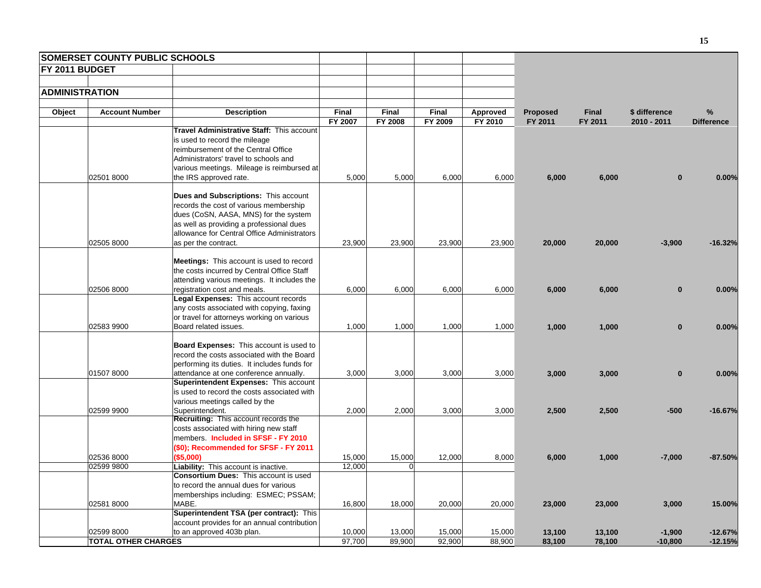| <b>SOMERSET COUNTY PUBLIC SCHOOLS</b> |                                                                                        |         |                |         |          |                 |              |               |                   |
|---------------------------------------|----------------------------------------------------------------------------------------|---------|----------------|---------|----------|-----------------|--------------|---------------|-------------------|
| FY 2011 BUDGET                        |                                                                                        |         |                |         |          |                 |              |               |                   |
|                                       |                                                                                        |         |                |         |          |                 |              |               |                   |
| <b>ADMINISTRATION</b>                 |                                                                                        |         |                |         |          |                 |              |               |                   |
|                                       |                                                                                        |         |                |         |          |                 |              |               |                   |
| Object<br><b>Account Number</b>       | <b>Description</b>                                                                     | Final   | Final          | Final   | Approved | <b>Proposed</b> | <b>Final</b> | \$ difference | %                 |
|                                       |                                                                                        | FY 2007 | <b>FY 2008</b> | FY 2009 | FY 2010  | FY 2011         | FY 2011      | 2010 - 2011   | <b>Difference</b> |
|                                       | Travel Administrative Staff: This account                                              |         |                |         |          |                 |              |               |                   |
|                                       | is used to record the mileage                                                          |         |                |         |          |                 |              |               |                   |
|                                       | reimbursement of the Central Office                                                    |         |                |         |          |                 |              |               |                   |
|                                       | Administrators' travel to schools and                                                  |         |                |         |          |                 |              |               |                   |
|                                       | various meetings. Mileage is reimbursed at                                             |         |                |         |          |                 |              |               |                   |
| 02501 8000                            | the IRS approved rate.                                                                 | 5,000   | 5,000          | 6,000   | 6,000    | 6,000           | 6,000        | $\mathbf{0}$  | 0.00%             |
|                                       | <b>Dues and Subscriptions: This account</b>                                            |         |                |         |          |                 |              |               |                   |
|                                       | records the cost of various membership                                                 |         |                |         |          |                 |              |               |                   |
|                                       | dues (CoSN, AASA, MNS) for the system                                                  |         |                |         |          |                 |              |               |                   |
|                                       | as well as providing a professional dues                                               |         |                |         |          |                 |              |               |                   |
|                                       | allowance for Central Office Administrators                                            |         |                |         |          |                 |              |               |                   |
| 02505 8000                            | as per the contract.                                                                   | 23,900  | 23,900         | 23,900  | 23,900   | 20,000          | 20,000       | $-3,900$      | $-16.32%$         |
|                                       |                                                                                        |         |                |         |          |                 |              |               |                   |
|                                       | <b>Meetings:</b> This account is used to record                                        |         |                |         |          |                 |              |               |                   |
|                                       | the costs incurred by Central Office Staff                                             |         |                |         |          |                 |              |               |                   |
|                                       | attending various meetings. It includes the                                            |         |                |         |          |                 |              |               |                   |
| 02506 8000                            | registration cost and meals.                                                           | 6,000   | 6,000          | 6,000   | 6,000    | 6,000           | 6,000        | $\bf{0}$      | 0.00%             |
|                                       | Legal Expenses: This account records<br>any costs associated with copying, faxing      |         |                |         |          |                 |              |               |                   |
|                                       | or travel for attorneys working on various                                             |         |                |         |          |                 |              |               |                   |
| 02583 9900                            | Board related issues.                                                                  | 1,000   | 1,000          | 1,000   | 1,000    | 1,000           | 1,000        | $\mathbf{0}$  | 0.00%             |
|                                       |                                                                                        |         |                |         |          |                 |              |               |                   |
|                                       | <b>Board Expenses:</b> This account is used to                                         |         |                |         |          |                 |              |               |                   |
|                                       | record the costs associated with the Board                                             |         |                |         |          |                 |              |               |                   |
|                                       | performing its duties. It includes funds for                                           |         |                |         |          |                 |              |               |                   |
| 01507 8000                            | attendance at one conference annually.                                                 | 3,000   | 3,000          | 3,000   | 3,000    | 3,000           | 3,000        | $\mathbf{0}$  | 0.00%             |
|                                       | Superintendent Expenses: This account                                                  |         |                |         |          |                 |              |               |                   |
|                                       | is used to record the costs associated with                                            |         |                |         |          |                 |              |               |                   |
| 02599 9900                            | various meetings called by the<br>Superintendent.                                      | 2,000   | 2,000          | 3,000   | 3,000    | 2,500           | 2,500        | $-500$        | $-16.67%$         |
|                                       | Recruiting: This account records the                                                   |         |                |         |          |                 |              |               |                   |
|                                       | costs associated with hiring new staff                                                 |         |                |         |          |                 |              |               |                   |
|                                       | members. Included in SFSF - FY 2010                                                    |         |                |         |          |                 |              |               |                   |
|                                       | (\$0); Recommended for SFSF - FY 2011                                                  |         |                |         |          |                 |              |               |                   |
| 02536 8000                            | (\$5,000)                                                                              | 15,000  | 15,000         | 12,000  | 8,000    | 6,000           | 1,000        | $-7,000$      | $-87.50%$         |
| 02599 9800                            | Liability: This account is inactive.                                                   | 12,000  | O              |         |          |                 |              |               |                   |
|                                       | <b>Consortium Dues: This account is used</b>                                           |         |                |         |          |                 |              |               |                   |
|                                       | to record the annual dues for various                                                  |         |                |         |          |                 |              |               |                   |
|                                       | memberships including: ESMEC; PSSAM;                                                   |         |                |         |          |                 |              |               |                   |
| 02581 8000                            | MABE.                                                                                  | 16,800  | 18,000         | 20,000  | 20,000   | 23,000          | 23,000       | 3,000         | 15.00%            |
|                                       | Superintendent TSA (per contract): This<br>account provides for an annual contribution |         |                |         |          |                 |              |               |                   |
| 02599 8000                            | to an approved 403b plan.                                                              | 10,000  | 13,000         | 15,000  | 15,000   | 13,100          | 13,100       | $-1,900$      | $-12.67%$         |
| <b>TOTAL OTHER CHARGES</b>            |                                                                                        | 97,700  | 89,900         | 92,900  | 88,900   | 83,100          | 78,100       | $-10,800$     | $-12.15%$         |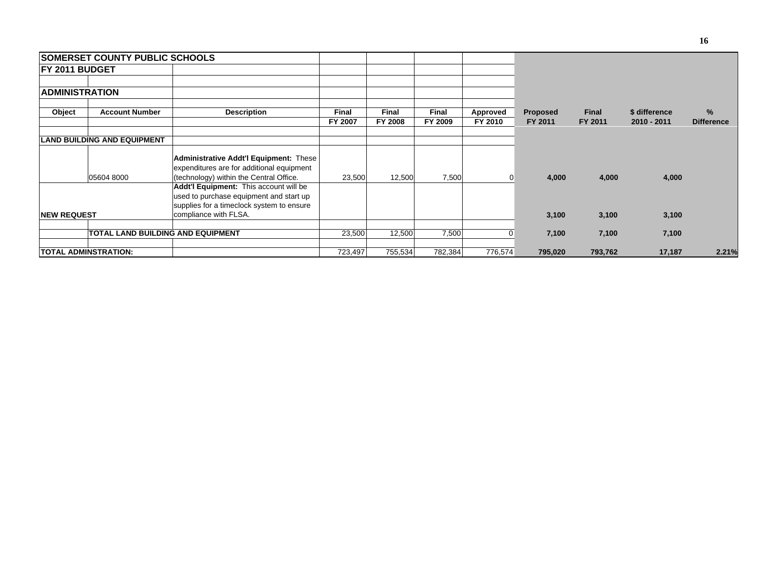|                        | <b>ISOMERSET COUNTY PUBLIC SCHOOLS</b> |                                                                                                                                                         |                         |                         |                         |                     |                            |                         |                              |                        |
|------------------------|----------------------------------------|---------------------------------------------------------------------------------------------------------------------------------------------------------|-------------------------|-------------------------|-------------------------|---------------------|----------------------------|-------------------------|------------------------------|------------------------|
| <b>IFY 2011 BUDGET</b> |                                        |                                                                                                                                                         |                         |                         |                         |                     |                            |                         |                              |                        |
| <b>ADMINISTRATION</b>  |                                        |                                                                                                                                                         |                         |                         |                         |                     |                            |                         |                              |                        |
| Object                 | <b>Account Number</b>                  | <b>Description</b>                                                                                                                                      | <b>Final</b><br>FY 2007 | <b>Final</b><br>FY 2008 | <b>Final</b><br>FY 2009 | Approved<br>FY 2010 | <b>Proposed</b><br>FY 2011 | <b>Final</b><br>FY 2011 | \$ difference<br>2010 - 2011 | %<br><b>Difference</b> |
|                        | <b>LAND BUILDING AND EQUIPMENT</b>     |                                                                                                                                                         |                         |                         |                         |                     |                            |                         |                              |                        |
|                        | 05604 8000                             | <b>Administrative Addt'l Equipment: These</b><br>expenditures are for additional equipment<br>(technology) within the Central Office.                   | 23,500                  | 12,500                  | 7,500                   | 0                   | 4,000                      | 4,000                   | 4,000                        |                        |
| <b>NEW REQUEST</b>     |                                        | Addt'l Equipment: This account will be<br>used to purchase equipment and start up<br>supplies for a timeclock system to ensure<br>compliance with FLSA. |                         |                         |                         |                     | 3,100                      | 3,100                   | 3,100                        |                        |
|                        |                                        | <b>TOTAL LAND BUILDING AND EQUIPMENT</b>                                                                                                                | 23,500                  | 12,500                  | 7,500                   | 0                   | 7,100                      | 7,100                   | 7,100                        |                        |
|                        | TOTAL ADMINSTRATION:                   |                                                                                                                                                         | 723,497                 | 755,534                 | 782,384                 | 776,574             | 795,020                    | 793,762                 | 17,187                       | 2.21%                  |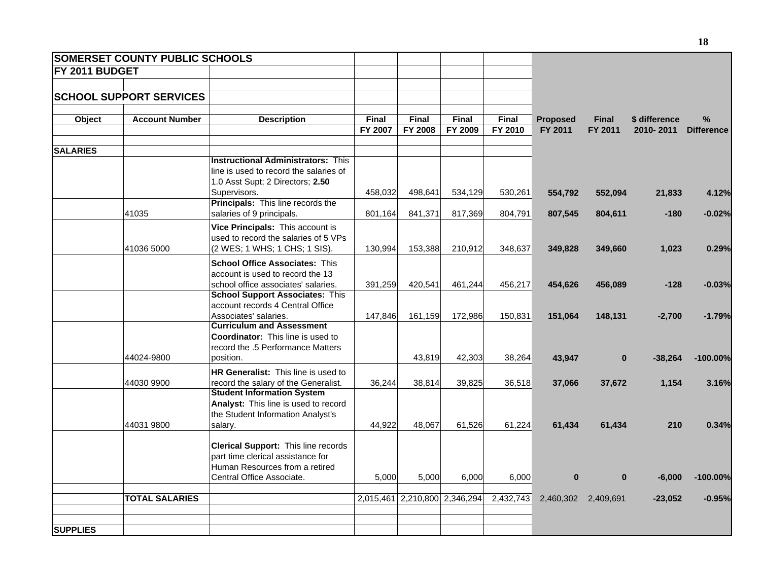|                       | <b>SOMERSET COUNTY PUBLIC SCHOOLS</b> |                                                                           |                |                |                               |           |                 |                     |               |                   |
|-----------------------|---------------------------------------|---------------------------------------------------------------------------|----------------|----------------|-------------------------------|-----------|-----------------|---------------------|---------------|-------------------|
| <b>FY 2011 BUDGET</b> |                                       |                                                                           |                |                |                               |           |                 |                     |               |                   |
|                       |                                       |                                                                           |                |                |                               |           |                 |                     |               |                   |
|                       | <b>SCHOOL SUPPORT SERVICES</b>        |                                                                           |                |                |                               |           |                 |                     |               |                   |
| Object                | <b>Account Number</b>                 | <b>Description</b>                                                        | <b>Final</b>   | Final          | Final                         | Final     | <b>Proposed</b> | <b>Final</b>        | \$ difference | %                 |
|                       |                                       |                                                                           | <b>FY 2007</b> | <b>FY 2008</b> | FY 2009                       | FY 2010   | FY 2011         | FY 2011             | 2010-2011     | <b>Difference</b> |
| <b>SALARIES</b>       |                                       |                                                                           |                |                |                               |           |                 |                     |               |                   |
|                       |                                       | <b>Instructional Administrators: This</b>                                 |                |                |                               |           |                 |                     |               |                   |
|                       |                                       | line is used to record the salaries of                                    |                |                |                               |           |                 |                     |               |                   |
|                       |                                       | 1.0 Asst Supt; 2 Directors; 2.50                                          |                |                |                               |           |                 |                     |               |                   |
|                       |                                       | Supervisors.<br>Principals: This line records the                         | 458,032        | 498,641        | 534,129                       | 530,261   | 554,792         | 552,094             | 21,833        | 4.12%             |
|                       | 41035                                 | salaries of 9 principals.                                                 | 801,164        | 841,371        | 817,369                       | 804,791   | 807,545         | 804,611             | $-180$        | $-0.02%$          |
|                       |                                       | Vice Principals: This account is                                          |                |                |                               |           |                 |                     |               |                   |
|                       |                                       | used to record the salaries of 5 VPs                                      |                |                |                               |           |                 |                     |               |                   |
|                       | 41036 5000                            | (2 WES; 1 WHS; 1 CHS; 1 SIS).                                             | 130,994        | 153,388        | 210,912                       | 348,637   | 349,828         | 349,660             | 1,023         | 0.29%             |
|                       |                                       | <b>School Office Associates: This</b>                                     |                |                |                               |           |                 |                     |               |                   |
|                       |                                       | account is used to record the 13                                          |                |                |                               |           |                 |                     |               |                   |
|                       |                                       | school office associates' salaries.                                       | 391,259        | 420,541        | 461,244                       | 456,217   | 454,626         | 456,089             | $-128$        | $-0.03%$          |
|                       |                                       | <b>School Support Associates: This</b>                                    |                |                |                               |           |                 |                     |               |                   |
|                       |                                       | account records 4 Central Office<br>Associates' salaries.                 | 147,846        | 161,159        | 172,986                       | 150,831   | 151,064         | 148,131             | $-2,700$      | $-1.79%$          |
|                       |                                       | <b>Curriculum and Assessment</b>                                          |                |                |                               |           |                 |                     |               |                   |
|                       |                                       | <b>Coordinator:</b> This line is used to                                  |                |                |                               |           |                 |                     |               |                   |
|                       |                                       | record the .5 Performance Matters                                         |                |                |                               |           |                 |                     |               |                   |
|                       | 44024-9800                            | position.                                                                 |                | 43,819         | 42,303                        | 38,264    | 43,947          | $\mathbf{0}$        | $-38,264$     | $-100.00%$        |
|                       |                                       | HR Generalist: This line is used to                                       |                |                |                               |           |                 |                     |               |                   |
|                       | 44030 9900                            | record the salary of the Generalist.<br><b>Student Information System</b> | 36,244         | 38,814         | 39,825                        | 36,518    | 37,066          | 37,672              | 1,154         | 3.16%             |
|                       |                                       | Analyst: This line is used to record                                      |                |                |                               |           |                 |                     |               |                   |
|                       |                                       | the Student Information Analyst's                                         |                |                |                               |           |                 |                     |               |                   |
|                       | 44031 9800                            | salary.                                                                   | 44,922         | 48.067         | 61,526                        | 61,224    | 61,434          | 61,434              | 210           | 0.34%             |
|                       |                                       |                                                                           |                |                |                               |           |                 |                     |               |                   |
|                       |                                       | Clerical Support: This line records<br>part time clerical assistance for  |                |                |                               |           |                 |                     |               |                   |
|                       |                                       | Human Resources from a retired                                            |                |                |                               |           |                 |                     |               |                   |
|                       |                                       | Central Office Associate.                                                 | 5,000          | 5,000          | 6,000                         | 6,000     | $\bf{0}$        | $\mathbf{0}$        | $-6,000$      | $-100.00\%$       |
|                       |                                       |                                                                           |                |                |                               |           |                 |                     |               |                   |
|                       | <b>TOTAL SALARIES</b>                 |                                                                           |                |                | 2,015,461 2,210,800 2,346,294 | 2,432,743 |                 | 2,460,302 2,409,691 | $-23,052$     | $-0.95%$          |
|                       |                                       |                                                                           |                |                |                               |           |                 |                     |               |                   |
| <b>SUPPLIES</b>       |                                       |                                                                           |                |                |                               |           |                 |                     |               |                   |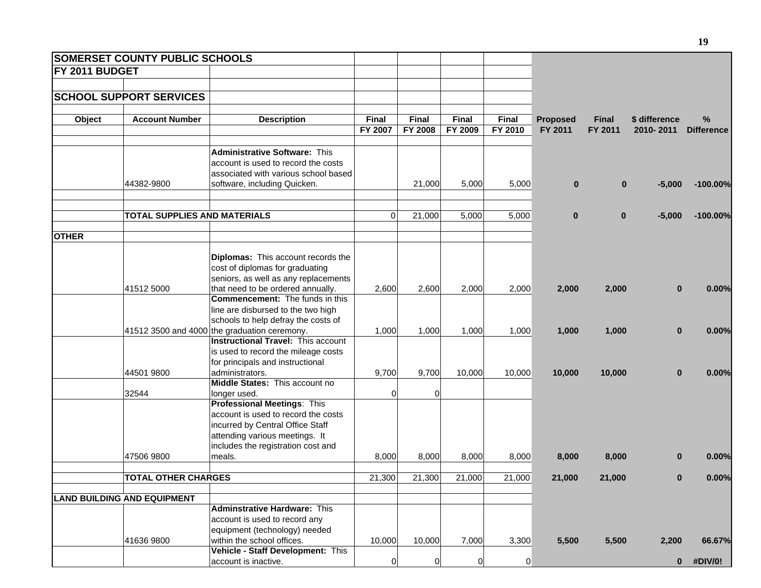|                       | <b>SOMERSET COUNTY PUBLIC SCHOOLS</b> |                                                    |             |          |         |                |                 |              |               |                   |
|-----------------------|---------------------------------------|----------------------------------------------------|-------------|----------|---------|----------------|-----------------|--------------|---------------|-------------------|
| <b>FY 2011 BUDGET</b> |                                       |                                                    |             |          |         |                |                 |              |               |                   |
|                       |                                       |                                                    |             |          |         |                |                 |              |               |                   |
|                       | <b>SCHOOL SUPPORT SERVICES</b>        |                                                    |             |          |         |                |                 |              |               |                   |
|                       |                                       |                                                    |             |          |         |                |                 |              |               |                   |
| Object                | <b>Account Number</b>                 | <b>Description</b>                                 | Final       | Final    | Final   | Final          | <b>Proposed</b> | <b>Final</b> | \$ difference | ℅                 |
|                       |                                       |                                                    | FY 2007     | FY 2008  | FY 2009 | FY 2010        | FY 2011         | FY 2011      | 2010-2011     | <b>Difference</b> |
|                       |                                       |                                                    |             |          |         |                |                 |              |               |                   |
|                       |                                       | <b>Administrative Software: This</b>               |             |          |         |                |                 |              |               |                   |
|                       |                                       | account is used to record the costs                |             |          |         |                |                 |              |               |                   |
|                       |                                       | associated with various school based               |             |          |         |                |                 |              |               |                   |
|                       | 44382-9800                            | software, including Quicken.                       |             | 21,000   | 5,000   | 5,000          | $\bf{0}$        | $\mathbf{0}$ | $-5,000$      | $-100.00%$        |
|                       |                                       |                                                    |             |          |         |                |                 |              |               |                   |
|                       |                                       |                                                    |             |          |         |                |                 |              |               |                   |
|                       | <b>TOTAL SUPPLIES AND MATERIALS</b>   |                                                    | $\Omega$    | 21,000   | 5,000   | 5,000          | $\bf{0}$        | $\mathbf{0}$ | $-5,000$      | $-100.00%$        |
|                       |                                       |                                                    |             |          |         |                |                 |              |               |                   |
| <b>OTHER</b>          |                                       |                                                    |             |          |         |                |                 |              |               |                   |
|                       |                                       |                                                    |             |          |         |                |                 |              |               |                   |
|                       |                                       | Diplomas: This account records the                 |             |          |         |                |                 |              |               |                   |
|                       |                                       | cost of diplomas for graduating                    |             |          |         |                |                 |              |               |                   |
|                       |                                       | seniors, as well as any replacements               |             |          |         |                |                 |              |               |                   |
|                       | 41512 5000                            | that need to be ordered annually.                  | 2,600       | 2,600    | 2,000   | 2,000          | 2,000           | 2,000        | $\bf{0}$      | 0.00%             |
|                       |                                       | <b>Commencement:</b> The funds in this             |             |          |         |                |                 |              |               |                   |
|                       |                                       | line are disbursed to the two high                 |             |          |         |                |                 |              |               |                   |
|                       |                                       | schools to help defray the costs of                |             |          |         |                |                 |              |               |                   |
|                       |                                       | 41512 3500 and 4000 the graduation ceremony.       | 1,000       | 1,000    | 1,000   | 1,000          | 1,000           | 1,000        | $\bf{0}$      | 0.00%             |
|                       |                                       | <b>Instructional Travel: This account</b>          |             |          |         |                |                 |              |               |                   |
|                       |                                       | is used to record the mileage costs                |             |          |         |                |                 |              |               |                   |
|                       |                                       | for principals and instructional                   |             |          |         |                |                 |              |               |                   |
|                       | 44501 9800                            | administrators.<br>Middle States: This account no  | 9,700       | 9,700    | 10,000  | 10,000         | 10,000          | 10,000       | $\bf{0}$      | 0.00%             |
|                       | 32544                                 |                                                    | 0           | $\Omega$ |         |                |                 |              |               |                   |
|                       |                                       | longer used.<br><b>Professional Meetings: This</b> |             |          |         |                |                 |              |               |                   |
|                       |                                       | account is used to record the costs                |             |          |         |                |                 |              |               |                   |
|                       |                                       | incurred by Central Office Staff                   |             |          |         |                |                 |              |               |                   |
|                       |                                       | attending various meetings. It                     |             |          |         |                |                 |              |               |                   |
|                       |                                       | includes the registration cost and                 |             |          |         |                |                 |              |               |                   |
|                       | 47506 9800                            | meals.                                             | 8,000       | 8,000    | 8,000   | 8,000          | 8,000           | 8,000        | 0             | 0.00%             |
|                       |                                       |                                                    |             |          |         |                |                 |              |               |                   |
|                       | <b>TOTAL OTHER CHARGES</b>            |                                                    | 21,300      | 21,300   | 21,000  | 21,000         | 21,000          | 21,000       | 0             | 0.00%             |
|                       |                                       |                                                    |             |          |         |                |                 |              |               |                   |
|                       | <b>LAND BUILDING AND EQUIPMENT</b>    |                                                    |             |          |         |                |                 |              |               |                   |
|                       |                                       | <b>Adminstrative Hardware: This</b>                |             |          |         |                |                 |              |               |                   |
|                       |                                       | account is used to record any                      |             |          |         |                |                 |              |               |                   |
|                       |                                       | equipment (technology) needed                      |             |          |         |                |                 |              |               |                   |
|                       | 41636 9800                            | within the school offices.                         | 10,000      | 10,000   | 7,000   | 3,300          | 5,500           | 5,500        | 2,200         | 66.67%            |
|                       |                                       | Vehicle - Staff Development: This                  |             |          |         |                |                 |              |               |                   |
|                       |                                       | account is inactive.                               | $\mathbf 0$ | 0        | 0       | $\overline{0}$ |                 |              | $\mathbf{0}$  | #DIV/0!           |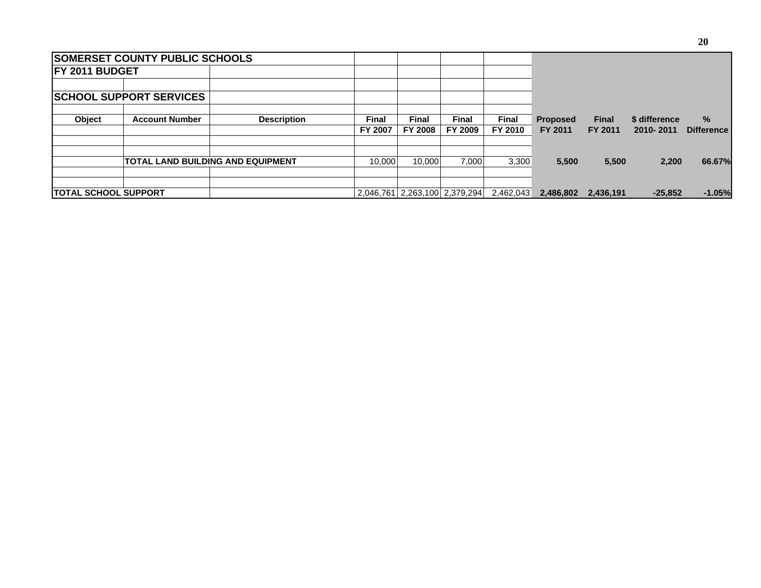|                              | <b>SOMERSET COUNTY PUBLIC SCHOOLS</b>    |                    |                         |                               |                  |                         |                            |                         |                            |                        |
|------------------------------|------------------------------------------|--------------------|-------------------------|-------------------------------|------------------|-------------------------|----------------------------|-------------------------|----------------------------|------------------------|
| <b>IFY 2011 BUDGET</b>       |                                          |                    |                         |                               |                  |                         |                            |                         |                            |                        |
|                              | <b>SCHOOL SUPPORT SERVICES</b>           |                    |                         |                               |                  |                         |                            |                         |                            |                        |
| <b>Object</b>                | <b>Account Number</b>                    | <b>Description</b> | <b>Final</b><br>FY 2007 | Final<br><b>FY 2008</b>       | Final<br>FY 2009 | <b>Final</b><br>FY 2010 | <b>Proposed</b><br>FY 2011 | <b>Final</b><br>FY 2011 | \$ difference<br>2010-2011 | %<br><b>Difference</b> |
|                              | <b>TOTAL LAND BUILDING AND EQUIPMENT</b> |                    | 10.000                  | 10.000                        | 7.000            | 3,300                   | 5,500                      | 5,500                   | 2.200                      | 66.67%                 |
| <b>ITOTAL SCHOOL SUPPORT</b> |                                          |                    |                         | 2,046,761 2,263,100 2,379,294 |                  | 2,462,043               | 2,486,802                  | 2,436,191               | $-25,852$                  | $-1.05%$               |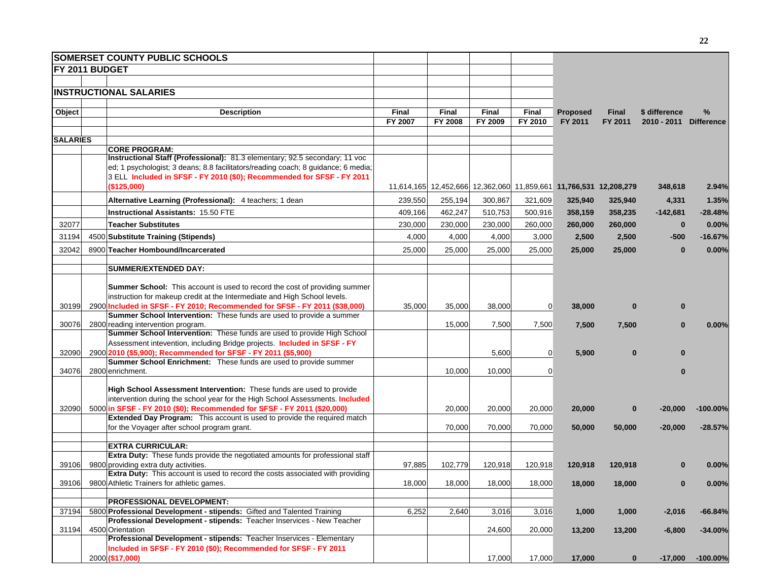|                 | <b>SOMERSET COUNTY PUBLIC SCHOOLS</b>                                                                                                                       |                  |                  |                                                                   |                         |                            |                         |                              |                        |
|-----------------|-------------------------------------------------------------------------------------------------------------------------------------------------------------|------------------|------------------|-------------------------------------------------------------------|-------------------------|----------------------------|-------------------------|------------------------------|------------------------|
| FY 2011 BUDGET  |                                                                                                                                                             |                  |                  |                                                                   |                         |                            |                         |                              |                        |
|                 |                                                                                                                                                             |                  |                  |                                                                   |                         |                            |                         |                              |                        |
|                 | <b>INSTRUCTIONAL SALARIES</b>                                                                                                                               |                  |                  |                                                                   |                         |                            |                         |                              |                        |
|                 |                                                                                                                                                             |                  |                  |                                                                   |                         |                            |                         |                              |                        |
| Object          | <b>Description</b>                                                                                                                                          | Final<br>FY 2007 | Final<br>FY 2008 | Final<br>FY 2009                                                  | <b>Final</b><br>FY 2010 | <b>Proposed</b><br>FY 2011 | <b>Final</b><br>FY 2011 | \$ difference<br>2010 - 2011 | %<br><b>Difference</b> |
|                 |                                                                                                                                                             |                  |                  |                                                                   |                         |                            |                         |                              |                        |
| <b>SALARIES</b> |                                                                                                                                                             |                  |                  |                                                                   |                         |                            |                         |                              |                        |
|                 | <b>CORE PROGRAM:</b>                                                                                                                                        |                  |                  |                                                                   |                         |                            |                         |                              |                        |
|                 | Instructional Staff (Professional): 81.3 elementary; 92.5 secondary; 11 voc                                                                                 |                  |                  |                                                                   |                         |                            |                         |                              |                        |
|                 | ed; 1 psychologist; 3 deans; 8.8 facilitators/reading coach; 8 guidance; 6 media;<br>3 ELL Included in SFSF - FY 2010 (\$0); Recommended for SFSF - FY 2011 |                  |                  |                                                                   |                         |                            |                         |                              |                        |
|                 | (\$125,000)                                                                                                                                                 |                  |                  | 11,614,165 12,452,666 12,362,060 11,859,661 11,766,531 12,208,279 |                         |                            |                         | 348,618                      | 2.94%                  |
|                 |                                                                                                                                                             |                  |                  |                                                                   |                         |                            |                         |                              |                        |
|                 | Alternative Learning (Professional): 4 teachers; 1 dean                                                                                                     | 239,550          | 255,194          | 300,867                                                           | 321,609                 | 325,940                    | 325,940                 | 4,331                        | 1.35%                  |
|                 | <b>Instructional Assistants: 15.50 FTE</b>                                                                                                                  | 409,166          | 462,247          | 510,753                                                           | 500,916                 | 358,159                    | 358,235                 | $-142,681$                   | $-28.48%$              |
| 32077           | <b>Teacher Substitutes</b>                                                                                                                                  | 230,000          | 230,000          | 230,000                                                           | 260,000                 | 260,000                    | 260,000                 | $\bf{0}$                     | 0.00%                  |
| 31194           | 4500 Substitute Training (Stipends)                                                                                                                         | 4,000            | 4,000            | 4,000                                                             | 3,000                   | 2,500                      | 2,500                   | $-500$                       | $-16.67%$              |
| 32042           | 8900 Teacher Hombound/Incarcerated                                                                                                                          | 25,000           | 25,000           | 25,000                                                            | 25,000                  | 25,000                     | 25,000                  | $\bf{0}$                     | 0.00%                  |
|                 |                                                                                                                                                             |                  |                  |                                                                   |                         |                            |                         |                              |                        |
|                 | <b>SUMMER/EXTENDED DAY:</b>                                                                                                                                 |                  |                  |                                                                   |                         |                            |                         |                              |                        |
|                 | <b>Summer School:</b> This account is used to record the cost of providing summer                                                                           |                  |                  |                                                                   |                         |                            |                         |                              |                        |
|                 | instruction for makeup credit at the Intermediate and High School levels.                                                                                   |                  |                  |                                                                   |                         |                            |                         |                              |                        |
| 30199           | 2900 Included in SFSF - FY 2010; Recommended for SFSF - FY 2011 (\$38,000)                                                                                  | 35,000           | 35,000           | 38,000                                                            | $\overline{0}$          | 38,000                     | $\bf{0}$                | $\bf{0}$                     |                        |
|                 | Summer School Intervention: These funds are used to provide a summer                                                                                        |                  |                  |                                                                   |                         |                            |                         |                              |                        |
| 30076           | 2800 reading intervention program.<br>Summer School Intervention: These funds are used to provide High School                                               |                  | 15,000           | 7,500                                                             | 7,500                   | 7,500                      | 7,500                   | $\Omega$                     | 0.00%                  |
|                 | Assessment intevention, including Bridge projects. Included in SFSF - FY                                                                                    |                  |                  |                                                                   |                         |                            |                         |                              |                        |
| 32090           | 2900 2010 (\$5,900); Recommended for SFSF - FY 2011 (\$5,900)                                                                                               |                  |                  | 5,600                                                             | 0                       | 5,900                      | $\bf{0}$                | n                            |                        |
|                 | Summer School Enrichment: These funds are used to provide summer                                                                                            |                  |                  |                                                                   |                         |                            |                         |                              |                        |
| 34076           | 2800 enrichment.                                                                                                                                            |                  | 10,000           | 10,000                                                            | $\overline{0}$          |                            |                         |                              |                        |
|                 | High School Assessment Intervention: These funds are used to provide                                                                                        |                  |                  |                                                                   |                         |                            |                         |                              |                        |
|                 | intervention during the school year for the High School Assessments. Included                                                                               |                  |                  |                                                                   |                         |                            |                         |                              |                        |
| 32090           | 5000 in SFSF - FY 2010 (\$0); Recommended for SFSF - FY 2011 (\$20,000)                                                                                     |                  | 20,000           | 20,000                                                            | 20,000                  | 20,000                     | 0                       | -20,000                      | $-100.00\%$            |
|                 | Extended Day Program: This account is used to provide the required match                                                                                    |                  |                  |                                                                   |                         |                            |                         |                              |                        |
|                 | for the Voyager after school program grant.                                                                                                                 |                  | 70,000           | 70,000                                                            | 70,000                  | 50,000                     | 50,000                  | $-20,000$                    | $-28.57%$              |
|                 | <b>EXTRA CURRICULAR:</b>                                                                                                                                    |                  |                  |                                                                   |                         |                            |                         |                              |                        |
|                 | <b>Extra Duty:</b> These funds provide the negotiated amounts for professional staff                                                                        |                  |                  |                                                                   |                         |                            |                         |                              |                        |
| 39106           | 9800 providing extra duty activities.                                                                                                                       | 97,885           | 102,779          | 120,918                                                           | 120,918                 | 120,918                    | 120,918                 |                              | 0.00%                  |
|                 | Extra Duty: This account is used to record the costs associated with providing                                                                              |                  |                  |                                                                   |                         |                            |                         |                              |                        |
| 39106           | 9800 Athletic Trainers for athletic games.                                                                                                                  | 18,000           | 18,000           | 18,000                                                            | 18,000                  | 18,000                     | 18,000                  | 0                            | $0.00\%$               |
|                 | <b>PROFESSIONAL DEVELOPMENT:</b>                                                                                                                            |                  |                  |                                                                   |                         |                            |                         |                              |                        |
| 37194           | 5800 Professional Development - stipends: Gifted and Talented Training                                                                                      | 6,252            | 2,640            | 3,016                                                             | 3,016                   | 1,000                      | 1,000                   | $-2,016$                     | $-66.84%$              |
|                 | Professional Development - stipends: Teacher Inservices - New Teacher                                                                                       |                  |                  |                                                                   |                         |                            |                         |                              |                        |
| 31194           | 4500 Orientation<br>Professional Development - stipends: Teacher Inservices - Elementary                                                                    |                  |                  | 24,600                                                            | 20,000                  | 13,200                     | 13,200                  | $-6,800$                     | $-34.00\%$             |
|                 | Included in SFSF - FY 2010 (\$0); Recommended for SFSF - FY 2011                                                                                            |                  |                  |                                                                   |                         |                            |                         |                              |                        |
|                 | 2000 (\$17,000)                                                                                                                                             |                  |                  | 17,000                                                            | 17,000                  | 17,000                     | $\bf{0}$                | $-17,000$                    | $-100.00%$             |
|                 |                                                                                                                                                             |                  |                  |                                                                   |                         |                            |                         |                              |                        |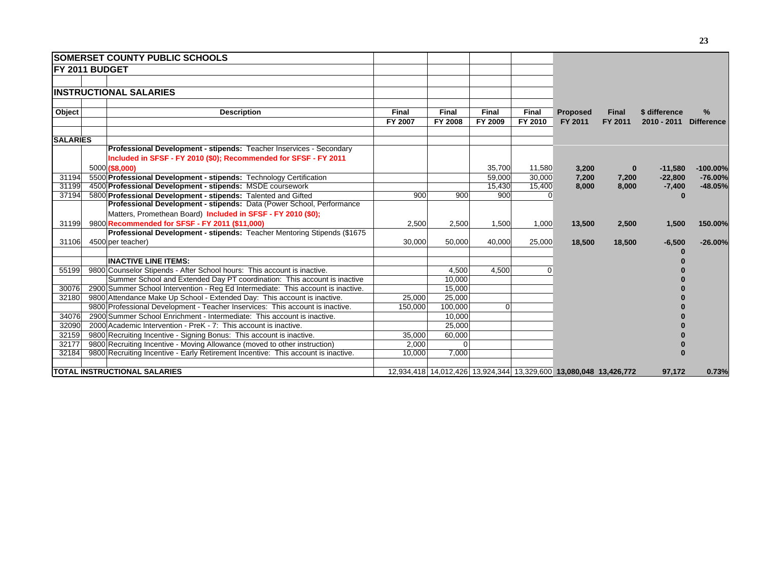|                       | <b>ISOMERSET COUNTY PUBLIC SCHOOLS</b>                                            |              |              |                                                                   |              |                 |          |               |                   |
|-----------------------|-----------------------------------------------------------------------------------|--------------|--------------|-------------------------------------------------------------------|--------------|-----------------|----------|---------------|-------------------|
| <b>FY 2011 BUDGET</b> |                                                                                   |              |              |                                                                   |              |                 |          |               |                   |
|                       |                                                                                   |              |              |                                                                   |              |                 |          |               |                   |
|                       | <b>INSTRUCTIONAL SALARIES</b>                                                     |              |              |                                                                   |              |                 |          |               |                   |
|                       |                                                                                   |              |              |                                                                   |              |                 |          |               |                   |
| Object                | <b>Description</b>                                                                | <b>Final</b> | <b>Final</b> | <b>Final</b>                                                      | <b>Final</b> | <b>Proposed</b> | Final    | \$ difference | %                 |
|                       |                                                                                   | FY 2007      | FY 2008      | FY 2009                                                           | FY 2010      | FY 2011         | FY 2011  | 2010 - 2011   | <b>Difference</b> |
| <b>SALARIES</b>       |                                                                                   |              |              |                                                                   |              |                 |          |               |                   |
|                       | Professional Development - stipends: Teacher Inservices - Secondary               |              |              |                                                                   |              |                 |          |               |                   |
|                       | Included in SFSF - FY 2010 (\$0); Recommended for SFSF - FY 2011                  |              |              |                                                                   |              |                 |          |               |                   |
|                       | 5000 (\$8,000)                                                                    |              |              | 35,700                                                            | 11,580       | 3,200           | $\bf{0}$ | $-11,580$     | $-100.00\%$       |
| 31194                 | 5500 Professional Development - stipends: Technology Certification                |              |              | 59.000                                                            | 30.000       | 7,200           | 7,200    | $-22,800$     | $-76.00%$         |
| 31199                 | 4500 Professional Development - stipends: MSDE coursework                         |              |              | 15,430                                                            | 15,400       | 8,000           | 8,000    | $-7,400$      | $-48.05%$         |
| 37194                 | 5800 Professional Development - stipends: Talented and Gifted                     | 900          | 900          | 900                                                               |              |                 |          |               |                   |
|                       | Professional Development - stipends: Data (Power School, Performance              |              |              |                                                                   |              |                 |          |               |                   |
|                       | Matters, Promethean Board) Included in SFSF - FY 2010 (\$0);                      |              |              |                                                                   |              |                 |          |               |                   |
| 31199                 | 9800 Recommended for SFSF - FY 2011 (\$11,000)                                    | 2,500        | 2,500        | 1,500                                                             | 1,000        | 13,500          | 2,500    | 1,500         | 150.00%           |
|                       | Professional Development - stipends: Teacher Mentoring Stipends (\$1675)          |              |              |                                                                   |              |                 |          |               |                   |
| 31106                 | 4500 per teacher)                                                                 | 30,000       | 50,000       | 40,000                                                            | 25,000       | 18,500          | 18,500   | $-6,500$      | $-26.00%$         |
|                       |                                                                                   |              |              |                                                                   |              |                 |          |               |                   |
|                       | <b>INACTIVE LINE ITEMS:</b>                                                       |              |              |                                                                   |              |                 |          |               |                   |
| 55199                 | 9800 Counselor Stipends - After School hours: This account is inactive.           |              | 4,500        | 4,500                                                             | O            |                 |          |               |                   |
|                       | Summer School and Extended Day PT coordination: This account is inactive          |              | 10,000       |                                                                   |              |                 |          |               |                   |
| 30076                 | 2900 Summer School Intervention - Reg Ed Intermediate: This account is inactive.  |              | 15,000       |                                                                   |              |                 |          |               |                   |
| 32180                 | 9800 Attendance Make Up School - Extended Day: This account is inactive.          | 25,000       | 25,000       |                                                                   |              |                 |          |               |                   |
|                       | 9800 Professional Development - Teacher Inservices: This account is inactive.     | 150,000      | 100,000      | $\overline{0}$                                                    |              |                 |          |               |                   |
| 34076                 | 2900 Summer School Enrichment - Intermediate: This account is inactive.           |              | 10,000       |                                                                   |              |                 |          |               |                   |
| 32090                 | 2000 Academic Intervention - PreK - 7: This account is inactive.                  |              | 25,000       |                                                                   |              |                 |          |               |                   |
| 32159                 | 9800 Recruiting Incentive - Signing Bonus: This account is inactive.              | 35,000       | 60,000       |                                                                   |              |                 |          |               |                   |
| 32177                 | 9800 Recruiting Incentive - Moving Allowance (moved to other instruction)         | 2,000        |              |                                                                   |              |                 |          |               |                   |
| 32184                 | 9800 Recruiting Incentive - Early Retirement Incentive: This account is inactive. | 10,000       | 7,000        |                                                                   |              |                 |          |               |                   |
|                       | <b>TOTAL INSTRUCTIONAL SALARIES</b>                                               |              |              | 12,934,418 14,012,426 13,924,344 13,329,600 13,080,048 13,426,772 |              |                 |          | 97,172        | 0.73%             |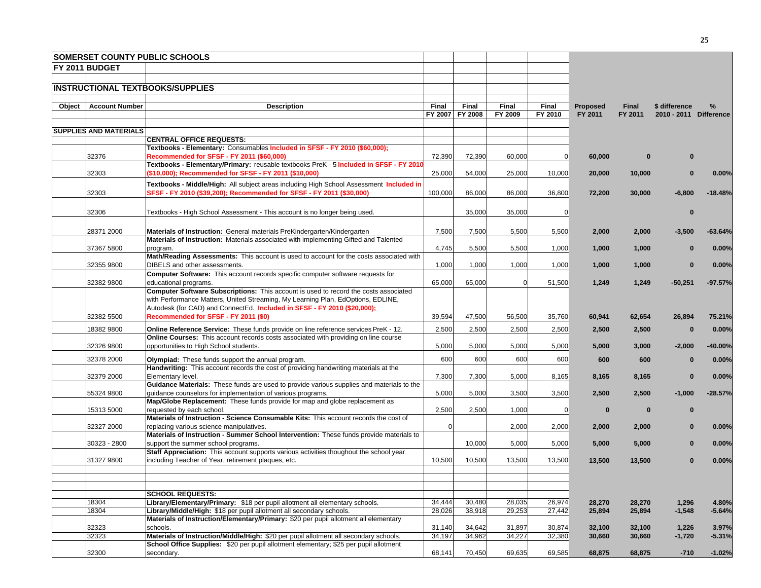|        |                               | <b>SOMERSET COUNTY PUBLIC SCHOOLS</b>                                                                                            |              |                |          |                |                  |                  |                        |                   |
|--------|-------------------------------|----------------------------------------------------------------------------------------------------------------------------------|--------------|----------------|----------|----------------|------------------|------------------|------------------------|-------------------|
|        | FY 2011 BUDGET                |                                                                                                                                  |              |                |          |                |                  |                  |                        |                   |
|        |                               |                                                                                                                                  |              |                |          |                |                  |                  |                        |                   |
|        |                               | <b>INSTRUCTIONAL TEXTBOOKS/SUPPLIES</b>                                                                                          |              |                |          |                |                  |                  |                        |                   |
|        |                               |                                                                                                                                  |              |                |          |                |                  |                  |                        |                   |
| Object | <b>Account Number</b>         | <b>Description</b>                                                                                                               | <b>Final</b> | Final          | Final    | Final          | Proposed         | <b>Final</b>     | \$ difference          | $\frac{9}{6}$     |
|        |                               |                                                                                                                                  | FY 2007      | <b>FY 2008</b> | FY 2009  | FY 2010        | FY 2011          | FY 2011          | 2010 - 2011 Difference |                   |
|        |                               |                                                                                                                                  |              |                |          |                |                  |                  |                        |                   |
|        | <b>SUPPLIES AND MATERIALS</b> | <b>CENTRAL OFFICE REQUESTS:</b>                                                                                                  |              |                |          |                |                  |                  |                        |                   |
|        |                               | Textbooks - Elementary: Consumables Included in SFSF - FY 2010 (\$60,000);                                                       |              |                |          |                |                  |                  |                        |                   |
|        | 32376                         | Recommended for SFSF - FY 2011 (\$60,000)                                                                                        | 72,390       | 72,390         | 60,000   | $\overline{0}$ | 60,000           | $\bf{0}$         |                        |                   |
|        |                               | Textbooks - Elementary/Primary: reusable textbooks PreK - 5 Included in SFSF - FY 2010                                           |              |                |          |                |                  |                  |                        |                   |
|        | 32303                         | (\$10,000); Recommended for SFSF - FY 2011 (\$10,000)                                                                            | 25,000       | 54,000         | 25,000   | 10,000         | 20,000           | 10,000           | $\bf{0}$               | 0.00%             |
|        |                               | Textbooks - Middle/High: All subject areas including High School Assessment Included in                                          |              |                |          |                |                  |                  |                        |                   |
|        | 32303                         | SFSF - FY 2010 (\$39,200); Recommended for SFSF - FY 2011 (\$30,000)                                                             | 100,000      | 86,000         | 86,000   | 36,800         | 72,200           | 30,000           | $-6,800$               | $-18.48%$         |
|        |                               |                                                                                                                                  |              |                |          |                |                  |                  |                        |                   |
|        | 32306                         | Textbooks - High School Assessment - This account is no longer being used.                                                       |              | 35,000         | 35,000   | $\overline{0}$ |                  |                  | $\bf{0}$               |                   |
|        |                               |                                                                                                                                  |              |                |          |                |                  |                  |                        |                   |
|        | 28371 2000                    | <b>Materials of Instruction:</b> General materials PreKindergarten/Kindergarten                                                  | 7,500        | 7,500          | 5,500    | 5,500          | 2,000            | 2,000            | $-3,500$               | $-63.64%$         |
|        |                               | Materials of Instruction: Materials associated with implementing Gifted and Talented                                             |              |                |          |                |                  |                  |                        |                   |
|        | 37367 5800                    | program.                                                                                                                         | 4,745        | 5,500          | 5,500    | 1,000          | 1,000            | 1,000            | $\bf{0}$               | 0.00%             |
|        | 32355 9800                    | Math/Reading Assessments: This account is used to account for the costs associated with<br>DIBELS and other assessments.         |              |                |          |                |                  |                  |                        |                   |
|        |                               | <b>Computer Software:</b> This account records specific computer software requests for                                           | 1,000        | 1,000          | 1,000    | 1,000          | 1,000            | 1,000            | $\bf{0}$               | 0.00%             |
|        | 32382 9800                    | educational programs.                                                                                                            | 65,000       | 65,000         | $\Omega$ | 51,500         | 1,249            | 1,249            | $-50,251$              | $-97.57%$         |
|        |                               | Computer Software Subscriptions: This account is used to record the costs associated                                             |              |                |          |                |                  |                  |                        |                   |
|        |                               | with Performance Matters, United Streaming, My Learning Plan, EdOptions, EDLINE,                                                 |              |                |          |                |                  |                  |                        |                   |
|        |                               | Autodesk (for CAD) and ConnectEd. Included in SFSF - FY 2010 (\$20,000);                                                         |              |                |          |                |                  |                  |                        |                   |
|        | 32382 5500                    | Recommended for SFSF - FY 2011 (\$0)                                                                                             | 39,594       | 47,500         | 56,500   | 35,760         | 60,941           | 62,654           | 26,894                 | 75.21%            |
|        | 18382 9800                    | Online Reference Service: These funds provide on line reference services PreK - 12.                                              | 2,500        | 2,500          | 2,500    | 2,500          | 2,500            | 2,500            | $\mathbf{0}$           | 0.00%             |
|        |                               | Online Courses: This account records costs associated with providing on line course                                              |              |                |          |                |                  |                  |                        |                   |
|        | 32326 9800                    | opportunities to High School students.                                                                                           | 5,000        | 5,000          | 5,000    | 5,000          | 5,000            | 3,000            | $-2,000$               | -40.00%           |
|        | 32378 2000                    | Olympiad: These funds support the annual program.                                                                                | 600          | 600            | 600      | 600            | 600              | 600              | $\bf{0}$               | 0.00%             |
|        |                               | Handwriting: This account records the cost of providing handwriting materials at the                                             |              |                |          |                |                  |                  |                        |                   |
|        | 32379 2000                    | Elementary level.                                                                                                                | 7,300        | 7,300          | 5,000    | 8,165          | 8,165            | 8,165            | $\bf{0}$               | 0.00%             |
|        |                               | Guidance Materials: These funds are used to provide various supplies and materials to the                                        |              |                |          |                |                  |                  |                        |                   |
|        | 55324 9800                    | quidance counselors for implementation of various programs.                                                                      | 5,000        | 5,000          | 3,500    | 3,500          | 2,500            | 2,500            | $-1,000$               | $-28.57%$         |
|        |                               | Map/Globe Replacement: These funds provide for map and globe replacement as                                                      |              |                |          |                |                  |                  |                        |                   |
|        | 15313 5000                    | requested by each school.                                                                                                        | 2,500        | 2,500          | 1,000    | $\overline{0}$ | $\bf{0}$         | $\bf{0}$         | $\bf{0}$               |                   |
|        | 32327 2000                    | Materials of Instruction - Science Consumable Kits: This account records the cost of<br>replacing various science manipulatives. | $\Omega$     |                | 2,000    | 2,000          | 2,000            | 2,000            | $\bf{0}$               | 0.00%             |
|        |                               | Materials of Instruction - Summer School Intervention: These funds provide materials to                                          |              |                |          |                |                  |                  |                        |                   |
|        | 30323 - 2800                  | support the summer school programs.                                                                                              |              | 10,000         | 5,000    | 5,000          | 5,000            | 5,000            | $\bf{0}$               | 0.00%             |
|        |                               | Staff Appreciation: This account supports various activities thoughout the school year                                           |              |                |          |                |                  |                  |                        |                   |
|        | 31327 9800                    | including Teacher of Year, retirement plaques, etc.                                                                              | 10,500       | 10,500         | 13,500   | 13,500         | 13,500           | 13,500           | $\bf{0}$               | 0.00%             |
|        |                               |                                                                                                                                  |              |                |          |                |                  |                  |                        |                   |
|        |                               |                                                                                                                                  |              |                |          |                |                  |                  |                        |                   |
|        |                               |                                                                                                                                  |              |                |          |                |                  |                  |                        |                   |
|        | 18304                         | <b>SCHOOL REQUESTS:</b><br>Library/Elementary/Primary: \$18 per pupil allotment all elementary schools.                          | 34,444       | 30,480         | 28,035   | 26,974         |                  |                  |                        |                   |
|        | 18304                         | Library/Middle/High: \$18 per pupil allotment all secondary schools.                                                             | 28,026       | 38,918         | 29,253   | 27,442         | 28,270<br>25,894 | 28,270<br>25,894 | 1,296<br>$-1,548$      | 4.80%<br>$-5.64%$ |
|        |                               | Materials of Instruction/Elementary/Primary: \$20 per pupil allotment all elementary                                             |              |                |          |                |                  |                  |                        |                   |
|        | 32323                         | schools.                                                                                                                         | 31,140       | 34,642         | 31,897   | 30,874         | 32,100           | 32,100           | 1,226                  | 3.97%             |
|        | 32323                         | Materials of Instruction/Middle/High: \$20 per pupil allotment all secondary schools.                                            | 34,197       | 34,962         | 34,227   | 32,380         | 30,660           | 30,660           | $-1,720$               | $-5.31%$          |
|        |                               | School Office Supplies: \$20 per pupil allotment elementary; \$25 per pupil allotment                                            |              |                |          |                |                  |                  |                        |                   |
|        | 32300                         | secondary.                                                                                                                       | 68,141       | 70,450         | 69,635   | 69,585         | 68,875           | 68,875           | $-710$                 | $-1.02%$          |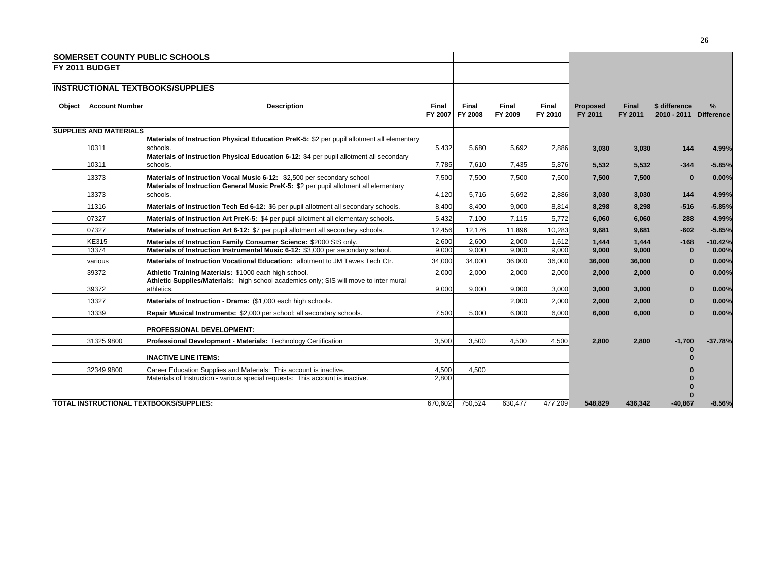|        |                               | <b>SOMERSET COUNTY PUBLIC SCHOOLS</b>                                                      |                         |                  |                  |                  |                            |                  |                        |           |
|--------|-------------------------------|--------------------------------------------------------------------------------------------|-------------------------|------------------|------------------|------------------|----------------------------|------------------|------------------------|-----------|
|        | <b>FY 2011 BUDGET</b>         |                                                                                            |                         |                  |                  |                  |                            |                  |                        |           |
|        |                               |                                                                                            |                         |                  |                  |                  |                            |                  |                        |           |
|        |                               | <b>INSTRUCTIONAL TEXTBOOKS/SUPPLIES</b>                                                    |                         |                  |                  |                  |                            |                  |                        |           |
|        |                               |                                                                                            |                         |                  |                  |                  |                            |                  |                        |           |
| Object | <b>Account Number</b>         | <b>Description</b>                                                                         | <b>Final</b><br>FY 2007 | Final<br>FY 2008 | Final<br>FY 2009 | Final<br>FY 2010 | <b>Proposed</b><br>FY 2011 | Final<br>FY 2011 | \$ difference          | %         |
|        |                               |                                                                                            |                         |                  |                  |                  |                            |                  | 2010 - 2011 Difference |           |
|        | <b>SUPPLIES AND MATERIALS</b> |                                                                                            |                         |                  |                  |                  |                            |                  |                        |           |
|        |                               | Materials of Instruction Physical Education PreK-5: \$2 per pupil allotment all elementary |                         |                  |                  |                  |                            |                  |                        |           |
|        | 10311                         | schools.                                                                                   | 5,432                   | 5,680            | 5.692            | 2,886            | 3.030                      | 3,030            | 144                    | 4.99%     |
|        |                               | Materials of Instruction Physical Education 6-12: \$4 per pupil allotment all secondary    |                         |                  |                  |                  |                            |                  |                        |           |
|        | 10311                         | schools.                                                                                   | 7,785                   | 7,610            | 7,435            | 5,876            | 5.532                      | 5.532            | $-344$                 | $-5.85%$  |
|        | 13373                         | Materials of Instruction Vocal Music 6-12: \$2,500 per secondary school                    | 7,500                   | 7,500            | 7,500            | 7,500            | 7,500                      | 7,500            | $\bf{0}$               | 0.00%     |
|        |                               | Materials of Instruction General Music PreK-5: \$2 per pupil allotment all elementary      |                         |                  |                  |                  |                            |                  |                        |           |
|        | 13373                         | schools.                                                                                   | 4,120                   | 5,716            | 5,692            | 2,886            | 3,030                      | 3,030            | 144                    | 4.99%     |
|        | 11316                         | Materials of Instruction Tech Ed 6-12: \$6 per pupil allotment all secondary schools.      | 8,400                   | 8,400            | 9,000            | 8,814            | 8,298                      | 8,298            | $-516$                 | $-5.85%$  |
|        | 07327                         | Materials of Instruction Art PreK-5: \$4 per pupil allotment all elementary schools.       | 5,432                   | 7.100            | 7,115            | 5.772            | 6,060                      | 6,060            | 288                    | 4.99%     |
|        | 07327                         | Materials of Instruction Art 6-12: \$7 per pupil allotment all secondary schools.          | 12,456                  | 12,176           | 11,896           | 10,283           | 9,681                      | 9,681            | $-602$                 | $-5.85%$  |
|        | <b>KE315</b>                  | Materials of Instruction Family Consumer Science: \$2000 SIS only.                         | 2,600                   | 2,600            | 2,000            | 1,612            | 1.444                      | 1.444            | $-168$                 | $-10.42%$ |
|        | 13374                         | Materials of Instruction Instrumental Music 6-12: \$3,000 per secondary school.            | 9,000                   | 9,000            | 9,000            | 9,000            | 9,000                      | 9,000            | $\bf{0}$               | 0.00%     |
|        | various                       | Materials of Instruction Vocational Education: allotment to JM Tawes Tech Ctr.             | 34,000                  | 34,000           | 36,000           | 36,000           | 36,000                     | 36,000           | 0                      | 0.00%     |
|        | 39372                         | Athletic Training Materials: \$1000 each high school.                                      | 2,000                   | 2.000            | 2,000            | 2,000            | 2,000                      | 2,000            | $\mathbf{0}$           | 0.00%     |
|        |                               | Athletic Supplies/Materials: high school academies only; SIS will move to inter mural      |                         |                  |                  |                  |                            |                  |                        |           |
|        | 39372                         | athletics.                                                                                 | 9.000                   | 9.000            | 9.000            | 3.000            | 3,000                      | 3,000            | $\bf{0}$               | 0.00%     |
|        | 13327                         | Materials of Instruction - Drama: (\$1,000 each high schools.                              |                         |                  | 2,000            | 2,000            | 2,000                      | 2,000            | $\mathbf{0}$           | 0.00%     |
|        | 13339                         | Repair Musical Instruments: \$2,000 per school; all secondary schools.                     | 7.500                   | 5,000            | 6.000            | 6,000            | 6,000                      | 6,000            | $\bf{0}$               | 0.00%     |
|        |                               | <b>PROFESSIONAL DEVELOPMENT:</b>                                                           |                         |                  |                  |                  |                            |                  |                        |           |
|        | 31325 9800                    | Professional Development - Materials: Technology Certification                             | 3,500                   | 3,500            | 4.500            | 4,500            | 2,800                      | 2,800            | $-1,700$               | $-37.78%$ |
|        |                               | <b>INACTIVE LINE ITEMS:</b>                                                                |                         |                  |                  |                  |                            |                  |                        |           |
|        | 32349 9800                    | Career Education Supplies and Materials: This account is inactive.                         | 4,500                   | 4,500            |                  |                  |                            |                  |                        |           |
|        |                               | Materials of Instruction - various special requests: This account is inactive.             | 2.800                   |                  |                  |                  |                            |                  |                        |           |
|        |                               |                                                                                            |                         |                  |                  |                  |                            |                  |                        |           |
|        |                               |                                                                                            |                         |                  |                  |                  |                            |                  |                        |           |
|        |                               | TOTAL INSTRUCTIONAL TEXTBOOKS/SUPPLIES:                                                    | 670,602                 | 750.524          | 630,477          | 477.209          | 548.829                    | 436,342          | -40.867                | $-8.56%$  |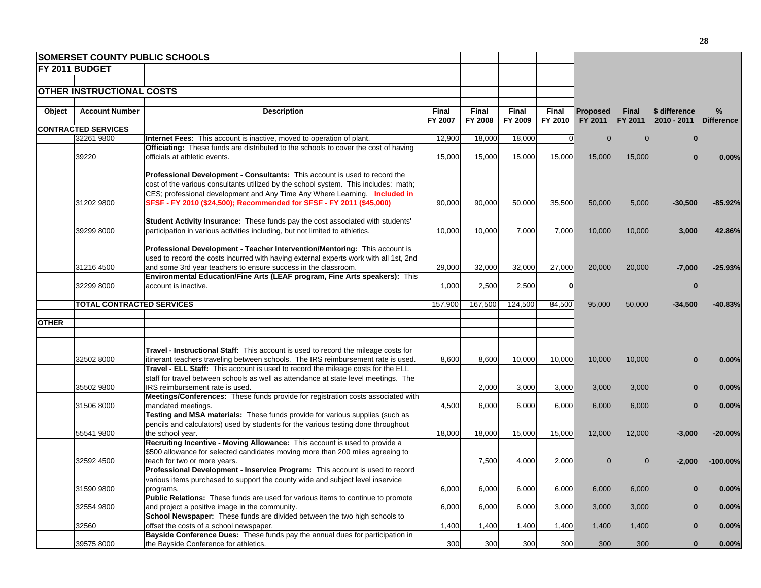| FY 2011 BUDGET<br><b>OTHER INSTRUCTIONAL COSTS</b><br>Final<br>Final<br>%<br>Object<br><b>Account Number</b><br><b>Description</b><br>Final<br>Final<br><b>Proposed</b><br><b>Final</b><br>\$ difference<br>FY 2011<br>FY 2007<br>FY 2008<br>FY 2009<br>FY 2010<br>FY 2011<br><b>CONTRACTED SERVICES</b><br>32261 9800<br>12,900<br>18,000<br>18.000<br> 0 <br>$\Omega$<br><b>Internet Fees:</b> This account is inactive, moved to operation of plant.<br>$\Omega$<br>$\bf{0}$<br>Officiating: These funds are distributed to the schools to cover the cost of having<br>39220<br>15,000<br>15,000<br>15,000<br>15,000<br>officials at athletic events.<br>15,000<br>15,000<br>$\bf{0}$<br><b>Professional Development - Consultants:</b> This account is used to record the<br>cost of the various consultants utilized by the school system. This includes: math;<br>CES; professional development and Any Time Any Where Learning. Included in<br>31202 9800<br>90,000<br>90,000<br>50,000<br>SFSF - FY 2010 (\$24,500); Recommended for SFSF - FY 2011 (\$45,000)<br>35,500<br>50,000<br>5,000<br>$-30,500$<br>Student Activity Insurance: These funds pay the cost associated with students'<br>39299 8000<br>participation in various activities including, but not limited to athletics.<br>10,000<br>7,000<br>10,000<br>7,000<br>10,000<br>10,000<br>3,000<br>Professional Development - Teacher Intervention/Mentoring: This account is<br>used to record the costs incurred with having external experts work with all 1st, 2nd<br>27,000<br>31216 4500<br>and some 3rd year teachers to ensure success in the classroom.<br>29,000<br>32,000<br>32,000<br>20,000<br>20,000<br>$-7,000$<br>Environmental Education/Fine Arts (LEAF program, Fine Arts speakers): This<br>2,500<br>32299 8000<br>account is inactive.<br>1,000<br>2,500<br>$\mathbf{0}$<br>$\bf{0}$<br><b>TOTAL CONTRACTED SERVICES</b><br>157,900<br>167,500<br>124,500<br>84,500<br>95,000<br>50,000<br>$-34,500$<br><b>OTHER</b><br><b>Travel - Instructional Staff:</b> This account is used to record the mileage costs for<br>32502 8000<br>itinerant teachers traveling between schools. The IRS reimbursement rate is used.<br>8,600<br>8,600<br>10,000<br>10,000<br>10,000<br>10,000<br>$\bf{0}$<br>Travel - ELL Staff: This account is used to record the mileage costs for the ELL<br>staff for travel between schools as well as attendance at state level meetings. The<br>35502 9800<br>IRS reimbursement rate is used.<br>2,000<br>3,000<br>3,000<br>3,000<br>3,000<br>$\mathbf{0}$<br>Meetings/Conferences: These funds provide for registration costs associated with<br>31506 8000<br>mandated meetings.<br>4,500<br>6,000<br>6,000<br>6,000<br>6,000<br>6,000<br>$\bf{0}$<br>Testing and MSA materials: These funds provide for various supplies (such as<br>pencils and calculators) used by students for the various testing done throughout<br>55541 9800<br>the school year.<br>18,000<br>18,000<br>15,000<br>15,000<br>12,000<br>12,000<br>$-3,000$<br>Recruiting Incentive - Moving Allowance: This account is used to provide a<br>\$500 allowance for selected candidates moving more than 200 miles agreeing to<br>32592 4500<br>7,500<br>4,000<br>2,000<br>$\mathbf 0$<br>$\mathbf 0$<br>$-2,000$<br>teach for two or more years.<br>Professional Development - Inservice Program: This account is used to record<br>various items purchased to support the county wide and subject level inservice<br>31590 9800<br>6,000<br>6,000<br>6,000<br>6,000<br>programs.<br>6,000<br>6,000<br>$\bf{0}$<br><b>Public Relations:</b> These funds are used for various items to continue to promote<br>32554 9800<br>and project a positive image in the community.<br>6,000<br>6,000<br>6,000<br>3,000<br>3,000<br>3,000<br>$\bf{0}$<br>School Newspaper: These funds are divided between the two high schools to<br>offset the costs of a school newspaper.<br>1,400<br>32560<br>1,400<br>1,400<br>1,400<br>1,400<br>1,400<br>$\Omega$<br>Bayside Conference Dues: These funds pay the annual dues for participation in<br>300<br>300<br>300<br>300<br>300<br>$\mathbf{0}$ |            | <b>SOMERSET COUNTY PUBLIC SCHOOLS</b> |  |  |     |  |       |
|----------------------------------------------------------------------------------------------------------------------------------------------------------------------------------------------------------------------------------------------------------------------------------------------------------------------------------------------------------------------------------------------------------------------------------------------------------------------------------------------------------------------------------------------------------------------------------------------------------------------------------------------------------------------------------------------------------------------------------------------------------------------------------------------------------------------------------------------------------------------------------------------------------------------------------------------------------------------------------------------------------------------------------------------------------------------------------------------------------------------------------------------------------------------------------------------------------------------------------------------------------------------------------------------------------------------------------------------------------------------------------------------------------------------------------------------------------------------------------------------------------------------------------------------------------------------------------------------------------------------------------------------------------------------------------------------------------------------------------------------------------------------------------------------------------------------------------------------------------------------------------------------------------------------------------------------------------------------------------------------------------------------------------------------------------------------------------------------------------------------------------------------------------------------------------------------------------------------------------------------------------------------------------------------------------------------------------------------------------------------------------------------------------------------------------------------------------------------------------------------------------------------------------------------------------------------------------------------------------------------------------------------------------------------------------------------------------------------------------------------------------------------------------------------------------------------------------------------------------------------------------------------------------------------------------------------------------------------------------------------------------------------------------------------------------------------------------------------------------------------------------------------------------------------------------------------------------------------------------------------------------------------------------------------------------------------------------------------------------------------------------------------------------------------------------------------------------------------------------------------------------------------------------------------------------------------------------------------------------------------------------------------------------------------------------------------------------------------------------------------------------------------------------------------------------------------------------------------------------------------------------------------------------------------------------------------------------------------------------------------------------------------------------------------------------------------------------------------------------------------------------------------------------------------------|------------|---------------------------------------|--|--|-----|--|-------|
| 2010 - 2011 Difference<br>0.00%<br>$-85.92%$<br>42.86%<br>$-25.93%$<br>$-40.83%$<br>0.00%<br>0.00%<br>0.00%<br>$-20.00%$<br>$-100.00\%$<br>0.00%<br>0.00%<br>0.00%                                                                                                                                                                                                                                                                                                                                                                                                                                                                                                                                                                                                                                                                                                                                                                                                                                                                                                                                                                                                                                                                                                                                                                                                                                                                                                                                                                                                                                                                                                                                                                                                                                                                                                                                                                                                                                                                                                                                                                                                                                                                                                                                                                                                                                                                                                                                                                                                                                                                                                                                                                                                                                                                                                                                                                                                                                                                                                                                                                                                                                                                                                                                                                                                                                                                                                                                                                                                                                                                                                                                                                                                                                                                                                                                                                                                                                                                                                                                                                                                         |            |                                       |  |  |     |  |       |
|                                                                                                                                                                                                                                                                                                                                                                                                                                                                                                                                                                                                                                                                                                                                                                                                                                                                                                                                                                                                                                                                                                                                                                                                                                                                                                                                                                                                                                                                                                                                                                                                                                                                                                                                                                                                                                                                                                                                                                                                                                                                                                                                                                                                                                                                                                                                                                                                                                                                                                                                                                                                                                                                                                                                                                                                                                                                                                                                                                                                                                                                                                                                                                                                                                                                                                                                                                                                                                                                                                                                                                                                                                                                                                                                                                                                                                                                                                                                                                                                                                                                                                                                                                            |            |                                       |  |  |     |  |       |
|                                                                                                                                                                                                                                                                                                                                                                                                                                                                                                                                                                                                                                                                                                                                                                                                                                                                                                                                                                                                                                                                                                                                                                                                                                                                                                                                                                                                                                                                                                                                                                                                                                                                                                                                                                                                                                                                                                                                                                                                                                                                                                                                                                                                                                                                                                                                                                                                                                                                                                                                                                                                                                                                                                                                                                                                                                                                                                                                                                                                                                                                                                                                                                                                                                                                                                                                                                                                                                                                                                                                                                                                                                                                                                                                                                                                                                                                                                                                                                                                                                                                                                                                                                            |            |                                       |  |  |     |  |       |
|                                                                                                                                                                                                                                                                                                                                                                                                                                                                                                                                                                                                                                                                                                                                                                                                                                                                                                                                                                                                                                                                                                                                                                                                                                                                                                                                                                                                                                                                                                                                                                                                                                                                                                                                                                                                                                                                                                                                                                                                                                                                                                                                                                                                                                                                                                                                                                                                                                                                                                                                                                                                                                                                                                                                                                                                                                                                                                                                                                                                                                                                                                                                                                                                                                                                                                                                                                                                                                                                                                                                                                                                                                                                                                                                                                                                                                                                                                                                                                                                                                                                                                                                                                            |            |                                       |  |  |     |  |       |
|                                                                                                                                                                                                                                                                                                                                                                                                                                                                                                                                                                                                                                                                                                                                                                                                                                                                                                                                                                                                                                                                                                                                                                                                                                                                                                                                                                                                                                                                                                                                                                                                                                                                                                                                                                                                                                                                                                                                                                                                                                                                                                                                                                                                                                                                                                                                                                                                                                                                                                                                                                                                                                                                                                                                                                                                                                                                                                                                                                                                                                                                                                                                                                                                                                                                                                                                                                                                                                                                                                                                                                                                                                                                                                                                                                                                                                                                                                                                                                                                                                                                                                                                                                            |            |                                       |  |  |     |  |       |
|                                                                                                                                                                                                                                                                                                                                                                                                                                                                                                                                                                                                                                                                                                                                                                                                                                                                                                                                                                                                                                                                                                                                                                                                                                                                                                                                                                                                                                                                                                                                                                                                                                                                                                                                                                                                                                                                                                                                                                                                                                                                                                                                                                                                                                                                                                                                                                                                                                                                                                                                                                                                                                                                                                                                                                                                                                                                                                                                                                                                                                                                                                                                                                                                                                                                                                                                                                                                                                                                                                                                                                                                                                                                                                                                                                                                                                                                                                                                                                                                                                                                                                                                                                            |            |                                       |  |  |     |  |       |
|                                                                                                                                                                                                                                                                                                                                                                                                                                                                                                                                                                                                                                                                                                                                                                                                                                                                                                                                                                                                                                                                                                                                                                                                                                                                                                                                                                                                                                                                                                                                                                                                                                                                                                                                                                                                                                                                                                                                                                                                                                                                                                                                                                                                                                                                                                                                                                                                                                                                                                                                                                                                                                                                                                                                                                                                                                                                                                                                                                                                                                                                                                                                                                                                                                                                                                                                                                                                                                                                                                                                                                                                                                                                                                                                                                                                                                                                                                                                                                                                                                                                                                                                                                            |            |                                       |  |  |     |  |       |
|                                                                                                                                                                                                                                                                                                                                                                                                                                                                                                                                                                                                                                                                                                                                                                                                                                                                                                                                                                                                                                                                                                                                                                                                                                                                                                                                                                                                                                                                                                                                                                                                                                                                                                                                                                                                                                                                                                                                                                                                                                                                                                                                                                                                                                                                                                                                                                                                                                                                                                                                                                                                                                                                                                                                                                                                                                                                                                                                                                                                                                                                                                                                                                                                                                                                                                                                                                                                                                                                                                                                                                                                                                                                                                                                                                                                                                                                                                                                                                                                                                                                                                                                                                            |            |                                       |  |  |     |  |       |
|                                                                                                                                                                                                                                                                                                                                                                                                                                                                                                                                                                                                                                                                                                                                                                                                                                                                                                                                                                                                                                                                                                                                                                                                                                                                                                                                                                                                                                                                                                                                                                                                                                                                                                                                                                                                                                                                                                                                                                                                                                                                                                                                                                                                                                                                                                                                                                                                                                                                                                                                                                                                                                                                                                                                                                                                                                                                                                                                                                                                                                                                                                                                                                                                                                                                                                                                                                                                                                                                                                                                                                                                                                                                                                                                                                                                                                                                                                                                                                                                                                                                                                                                                                            |            |                                       |  |  |     |  |       |
|                                                                                                                                                                                                                                                                                                                                                                                                                                                                                                                                                                                                                                                                                                                                                                                                                                                                                                                                                                                                                                                                                                                                                                                                                                                                                                                                                                                                                                                                                                                                                                                                                                                                                                                                                                                                                                                                                                                                                                                                                                                                                                                                                                                                                                                                                                                                                                                                                                                                                                                                                                                                                                                                                                                                                                                                                                                                                                                                                                                                                                                                                                                                                                                                                                                                                                                                                                                                                                                                                                                                                                                                                                                                                                                                                                                                                                                                                                                                                                                                                                                                                                                                                                            |            |                                       |  |  |     |  |       |
|                                                                                                                                                                                                                                                                                                                                                                                                                                                                                                                                                                                                                                                                                                                                                                                                                                                                                                                                                                                                                                                                                                                                                                                                                                                                                                                                                                                                                                                                                                                                                                                                                                                                                                                                                                                                                                                                                                                                                                                                                                                                                                                                                                                                                                                                                                                                                                                                                                                                                                                                                                                                                                                                                                                                                                                                                                                                                                                                                                                                                                                                                                                                                                                                                                                                                                                                                                                                                                                                                                                                                                                                                                                                                                                                                                                                                                                                                                                                                                                                                                                                                                                                                                            |            |                                       |  |  |     |  |       |
|                                                                                                                                                                                                                                                                                                                                                                                                                                                                                                                                                                                                                                                                                                                                                                                                                                                                                                                                                                                                                                                                                                                                                                                                                                                                                                                                                                                                                                                                                                                                                                                                                                                                                                                                                                                                                                                                                                                                                                                                                                                                                                                                                                                                                                                                                                                                                                                                                                                                                                                                                                                                                                                                                                                                                                                                                                                                                                                                                                                                                                                                                                                                                                                                                                                                                                                                                                                                                                                                                                                                                                                                                                                                                                                                                                                                                                                                                                                                                                                                                                                                                                                                                                            |            |                                       |  |  |     |  |       |
|                                                                                                                                                                                                                                                                                                                                                                                                                                                                                                                                                                                                                                                                                                                                                                                                                                                                                                                                                                                                                                                                                                                                                                                                                                                                                                                                                                                                                                                                                                                                                                                                                                                                                                                                                                                                                                                                                                                                                                                                                                                                                                                                                                                                                                                                                                                                                                                                                                                                                                                                                                                                                                                                                                                                                                                                                                                                                                                                                                                                                                                                                                                                                                                                                                                                                                                                                                                                                                                                                                                                                                                                                                                                                                                                                                                                                                                                                                                                                                                                                                                                                                                                                                            |            |                                       |  |  |     |  |       |
|                                                                                                                                                                                                                                                                                                                                                                                                                                                                                                                                                                                                                                                                                                                                                                                                                                                                                                                                                                                                                                                                                                                                                                                                                                                                                                                                                                                                                                                                                                                                                                                                                                                                                                                                                                                                                                                                                                                                                                                                                                                                                                                                                                                                                                                                                                                                                                                                                                                                                                                                                                                                                                                                                                                                                                                                                                                                                                                                                                                                                                                                                                                                                                                                                                                                                                                                                                                                                                                                                                                                                                                                                                                                                                                                                                                                                                                                                                                                                                                                                                                                                                                                                                            |            |                                       |  |  |     |  |       |
|                                                                                                                                                                                                                                                                                                                                                                                                                                                                                                                                                                                                                                                                                                                                                                                                                                                                                                                                                                                                                                                                                                                                                                                                                                                                                                                                                                                                                                                                                                                                                                                                                                                                                                                                                                                                                                                                                                                                                                                                                                                                                                                                                                                                                                                                                                                                                                                                                                                                                                                                                                                                                                                                                                                                                                                                                                                                                                                                                                                                                                                                                                                                                                                                                                                                                                                                                                                                                                                                                                                                                                                                                                                                                                                                                                                                                                                                                                                                                                                                                                                                                                                                                                            |            |                                       |  |  |     |  |       |
|                                                                                                                                                                                                                                                                                                                                                                                                                                                                                                                                                                                                                                                                                                                                                                                                                                                                                                                                                                                                                                                                                                                                                                                                                                                                                                                                                                                                                                                                                                                                                                                                                                                                                                                                                                                                                                                                                                                                                                                                                                                                                                                                                                                                                                                                                                                                                                                                                                                                                                                                                                                                                                                                                                                                                                                                                                                                                                                                                                                                                                                                                                                                                                                                                                                                                                                                                                                                                                                                                                                                                                                                                                                                                                                                                                                                                                                                                                                                                                                                                                                                                                                                                                            |            |                                       |  |  |     |  |       |
|                                                                                                                                                                                                                                                                                                                                                                                                                                                                                                                                                                                                                                                                                                                                                                                                                                                                                                                                                                                                                                                                                                                                                                                                                                                                                                                                                                                                                                                                                                                                                                                                                                                                                                                                                                                                                                                                                                                                                                                                                                                                                                                                                                                                                                                                                                                                                                                                                                                                                                                                                                                                                                                                                                                                                                                                                                                                                                                                                                                                                                                                                                                                                                                                                                                                                                                                                                                                                                                                                                                                                                                                                                                                                                                                                                                                                                                                                                                                                                                                                                                                                                                                                                            |            |                                       |  |  |     |  |       |
|                                                                                                                                                                                                                                                                                                                                                                                                                                                                                                                                                                                                                                                                                                                                                                                                                                                                                                                                                                                                                                                                                                                                                                                                                                                                                                                                                                                                                                                                                                                                                                                                                                                                                                                                                                                                                                                                                                                                                                                                                                                                                                                                                                                                                                                                                                                                                                                                                                                                                                                                                                                                                                                                                                                                                                                                                                                                                                                                                                                                                                                                                                                                                                                                                                                                                                                                                                                                                                                                                                                                                                                                                                                                                                                                                                                                                                                                                                                                                                                                                                                                                                                                                                            |            |                                       |  |  |     |  |       |
|                                                                                                                                                                                                                                                                                                                                                                                                                                                                                                                                                                                                                                                                                                                                                                                                                                                                                                                                                                                                                                                                                                                                                                                                                                                                                                                                                                                                                                                                                                                                                                                                                                                                                                                                                                                                                                                                                                                                                                                                                                                                                                                                                                                                                                                                                                                                                                                                                                                                                                                                                                                                                                                                                                                                                                                                                                                                                                                                                                                                                                                                                                                                                                                                                                                                                                                                                                                                                                                                                                                                                                                                                                                                                                                                                                                                                                                                                                                                                                                                                                                                                                                                                                            |            |                                       |  |  |     |  |       |
|                                                                                                                                                                                                                                                                                                                                                                                                                                                                                                                                                                                                                                                                                                                                                                                                                                                                                                                                                                                                                                                                                                                                                                                                                                                                                                                                                                                                                                                                                                                                                                                                                                                                                                                                                                                                                                                                                                                                                                                                                                                                                                                                                                                                                                                                                                                                                                                                                                                                                                                                                                                                                                                                                                                                                                                                                                                                                                                                                                                                                                                                                                                                                                                                                                                                                                                                                                                                                                                                                                                                                                                                                                                                                                                                                                                                                                                                                                                                                                                                                                                                                                                                                                            |            |                                       |  |  |     |  |       |
|                                                                                                                                                                                                                                                                                                                                                                                                                                                                                                                                                                                                                                                                                                                                                                                                                                                                                                                                                                                                                                                                                                                                                                                                                                                                                                                                                                                                                                                                                                                                                                                                                                                                                                                                                                                                                                                                                                                                                                                                                                                                                                                                                                                                                                                                                                                                                                                                                                                                                                                                                                                                                                                                                                                                                                                                                                                                                                                                                                                                                                                                                                                                                                                                                                                                                                                                                                                                                                                                                                                                                                                                                                                                                                                                                                                                                                                                                                                                                                                                                                                                                                                                                                            |            |                                       |  |  |     |  |       |
|                                                                                                                                                                                                                                                                                                                                                                                                                                                                                                                                                                                                                                                                                                                                                                                                                                                                                                                                                                                                                                                                                                                                                                                                                                                                                                                                                                                                                                                                                                                                                                                                                                                                                                                                                                                                                                                                                                                                                                                                                                                                                                                                                                                                                                                                                                                                                                                                                                                                                                                                                                                                                                                                                                                                                                                                                                                                                                                                                                                                                                                                                                                                                                                                                                                                                                                                                                                                                                                                                                                                                                                                                                                                                                                                                                                                                                                                                                                                                                                                                                                                                                                                                                            |            |                                       |  |  |     |  |       |
|                                                                                                                                                                                                                                                                                                                                                                                                                                                                                                                                                                                                                                                                                                                                                                                                                                                                                                                                                                                                                                                                                                                                                                                                                                                                                                                                                                                                                                                                                                                                                                                                                                                                                                                                                                                                                                                                                                                                                                                                                                                                                                                                                                                                                                                                                                                                                                                                                                                                                                                                                                                                                                                                                                                                                                                                                                                                                                                                                                                                                                                                                                                                                                                                                                                                                                                                                                                                                                                                                                                                                                                                                                                                                                                                                                                                                                                                                                                                                                                                                                                                                                                                                                            |            |                                       |  |  |     |  |       |
|                                                                                                                                                                                                                                                                                                                                                                                                                                                                                                                                                                                                                                                                                                                                                                                                                                                                                                                                                                                                                                                                                                                                                                                                                                                                                                                                                                                                                                                                                                                                                                                                                                                                                                                                                                                                                                                                                                                                                                                                                                                                                                                                                                                                                                                                                                                                                                                                                                                                                                                                                                                                                                                                                                                                                                                                                                                                                                                                                                                                                                                                                                                                                                                                                                                                                                                                                                                                                                                                                                                                                                                                                                                                                                                                                                                                                                                                                                                                                                                                                                                                                                                                                                            |            |                                       |  |  |     |  |       |
|                                                                                                                                                                                                                                                                                                                                                                                                                                                                                                                                                                                                                                                                                                                                                                                                                                                                                                                                                                                                                                                                                                                                                                                                                                                                                                                                                                                                                                                                                                                                                                                                                                                                                                                                                                                                                                                                                                                                                                                                                                                                                                                                                                                                                                                                                                                                                                                                                                                                                                                                                                                                                                                                                                                                                                                                                                                                                                                                                                                                                                                                                                                                                                                                                                                                                                                                                                                                                                                                                                                                                                                                                                                                                                                                                                                                                                                                                                                                                                                                                                                                                                                                                                            |            |                                       |  |  |     |  |       |
|                                                                                                                                                                                                                                                                                                                                                                                                                                                                                                                                                                                                                                                                                                                                                                                                                                                                                                                                                                                                                                                                                                                                                                                                                                                                                                                                                                                                                                                                                                                                                                                                                                                                                                                                                                                                                                                                                                                                                                                                                                                                                                                                                                                                                                                                                                                                                                                                                                                                                                                                                                                                                                                                                                                                                                                                                                                                                                                                                                                                                                                                                                                                                                                                                                                                                                                                                                                                                                                                                                                                                                                                                                                                                                                                                                                                                                                                                                                                                                                                                                                                                                                                                                            |            |                                       |  |  |     |  |       |
|                                                                                                                                                                                                                                                                                                                                                                                                                                                                                                                                                                                                                                                                                                                                                                                                                                                                                                                                                                                                                                                                                                                                                                                                                                                                                                                                                                                                                                                                                                                                                                                                                                                                                                                                                                                                                                                                                                                                                                                                                                                                                                                                                                                                                                                                                                                                                                                                                                                                                                                                                                                                                                                                                                                                                                                                                                                                                                                                                                                                                                                                                                                                                                                                                                                                                                                                                                                                                                                                                                                                                                                                                                                                                                                                                                                                                                                                                                                                                                                                                                                                                                                                                                            |            |                                       |  |  |     |  |       |
|                                                                                                                                                                                                                                                                                                                                                                                                                                                                                                                                                                                                                                                                                                                                                                                                                                                                                                                                                                                                                                                                                                                                                                                                                                                                                                                                                                                                                                                                                                                                                                                                                                                                                                                                                                                                                                                                                                                                                                                                                                                                                                                                                                                                                                                                                                                                                                                                                                                                                                                                                                                                                                                                                                                                                                                                                                                                                                                                                                                                                                                                                                                                                                                                                                                                                                                                                                                                                                                                                                                                                                                                                                                                                                                                                                                                                                                                                                                                                                                                                                                                                                                                                                            |            |                                       |  |  |     |  |       |
|                                                                                                                                                                                                                                                                                                                                                                                                                                                                                                                                                                                                                                                                                                                                                                                                                                                                                                                                                                                                                                                                                                                                                                                                                                                                                                                                                                                                                                                                                                                                                                                                                                                                                                                                                                                                                                                                                                                                                                                                                                                                                                                                                                                                                                                                                                                                                                                                                                                                                                                                                                                                                                                                                                                                                                                                                                                                                                                                                                                                                                                                                                                                                                                                                                                                                                                                                                                                                                                                                                                                                                                                                                                                                                                                                                                                                                                                                                                                                                                                                                                                                                                                                                            |            |                                       |  |  |     |  |       |
|                                                                                                                                                                                                                                                                                                                                                                                                                                                                                                                                                                                                                                                                                                                                                                                                                                                                                                                                                                                                                                                                                                                                                                                                                                                                                                                                                                                                                                                                                                                                                                                                                                                                                                                                                                                                                                                                                                                                                                                                                                                                                                                                                                                                                                                                                                                                                                                                                                                                                                                                                                                                                                                                                                                                                                                                                                                                                                                                                                                                                                                                                                                                                                                                                                                                                                                                                                                                                                                                                                                                                                                                                                                                                                                                                                                                                                                                                                                                                                                                                                                                                                                                                                            |            |                                       |  |  |     |  |       |
|                                                                                                                                                                                                                                                                                                                                                                                                                                                                                                                                                                                                                                                                                                                                                                                                                                                                                                                                                                                                                                                                                                                                                                                                                                                                                                                                                                                                                                                                                                                                                                                                                                                                                                                                                                                                                                                                                                                                                                                                                                                                                                                                                                                                                                                                                                                                                                                                                                                                                                                                                                                                                                                                                                                                                                                                                                                                                                                                                                                                                                                                                                                                                                                                                                                                                                                                                                                                                                                                                                                                                                                                                                                                                                                                                                                                                                                                                                                                                                                                                                                                                                                                                                            |            |                                       |  |  |     |  |       |
|                                                                                                                                                                                                                                                                                                                                                                                                                                                                                                                                                                                                                                                                                                                                                                                                                                                                                                                                                                                                                                                                                                                                                                                                                                                                                                                                                                                                                                                                                                                                                                                                                                                                                                                                                                                                                                                                                                                                                                                                                                                                                                                                                                                                                                                                                                                                                                                                                                                                                                                                                                                                                                                                                                                                                                                                                                                                                                                                                                                                                                                                                                                                                                                                                                                                                                                                                                                                                                                                                                                                                                                                                                                                                                                                                                                                                                                                                                                                                                                                                                                                                                                                                                            |            |                                       |  |  |     |  |       |
|                                                                                                                                                                                                                                                                                                                                                                                                                                                                                                                                                                                                                                                                                                                                                                                                                                                                                                                                                                                                                                                                                                                                                                                                                                                                                                                                                                                                                                                                                                                                                                                                                                                                                                                                                                                                                                                                                                                                                                                                                                                                                                                                                                                                                                                                                                                                                                                                                                                                                                                                                                                                                                                                                                                                                                                                                                                                                                                                                                                                                                                                                                                                                                                                                                                                                                                                                                                                                                                                                                                                                                                                                                                                                                                                                                                                                                                                                                                                                                                                                                                                                                                                                                            |            |                                       |  |  |     |  |       |
|                                                                                                                                                                                                                                                                                                                                                                                                                                                                                                                                                                                                                                                                                                                                                                                                                                                                                                                                                                                                                                                                                                                                                                                                                                                                                                                                                                                                                                                                                                                                                                                                                                                                                                                                                                                                                                                                                                                                                                                                                                                                                                                                                                                                                                                                                                                                                                                                                                                                                                                                                                                                                                                                                                                                                                                                                                                                                                                                                                                                                                                                                                                                                                                                                                                                                                                                                                                                                                                                                                                                                                                                                                                                                                                                                                                                                                                                                                                                                                                                                                                                                                                                                                            |            |                                       |  |  |     |  |       |
|                                                                                                                                                                                                                                                                                                                                                                                                                                                                                                                                                                                                                                                                                                                                                                                                                                                                                                                                                                                                                                                                                                                                                                                                                                                                                                                                                                                                                                                                                                                                                                                                                                                                                                                                                                                                                                                                                                                                                                                                                                                                                                                                                                                                                                                                                                                                                                                                                                                                                                                                                                                                                                                                                                                                                                                                                                                                                                                                                                                                                                                                                                                                                                                                                                                                                                                                                                                                                                                                                                                                                                                                                                                                                                                                                                                                                                                                                                                                                                                                                                                                                                                                                                            |            |                                       |  |  |     |  |       |
|                                                                                                                                                                                                                                                                                                                                                                                                                                                                                                                                                                                                                                                                                                                                                                                                                                                                                                                                                                                                                                                                                                                                                                                                                                                                                                                                                                                                                                                                                                                                                                                                                                                                                                                                                                                                                                                                                                                                                                                                                                                                                                                                                                                                                                                                                                                                                                                                                                                                                                                                                                                                                                                                                                                                                                                                                                                                                                                                                                                                                                                                                                                                                                                                                                                                                                                                                                                                                                                                                                                                                                                                                                                                                                                                                                                                                                                                                                                                                                                                                                                                                                                                                                            |            |                                       |  |  |     |  |       |
|                                                                                                                                                                                                                                                                                                                                                                                                                                                                                                                                                                                                                                                                                                                                                                                                                                                                                                                                                                                                                                                                                                                                                                                                                                                                                                                                                                                                                                                                                                                                                                                                                                                                                                                                                                                                                                                                                                                                                                                                                                                                                                                                                                                                                                                                                                                                                                                                                                                                                                                                                                                                                                                                                                                                                                                                                                                                                                                                                                                                                                                                                                                                                                                                                                                                                                                                                                                                                                                                                                                                                                                                                                                                                                                                                                                                                                                                                                                                                                                                                                                                                                                                                                            |            |                                       |  |  |     |  |       |
|                                                                                                                                                                                                                                                                                                                                                                                                                                                                                                                                                                                                                                                                                                                                                                                                                                                                                                                                                                                                                                                                                                                                                                                                                                                                                                                                                                                                                                                                                                                                                                                                                                                                                                                                                                                                                                                                                                                                                                                                                                                                                                                                                                                                                                                                                                                                                                                                                                                                                                                                                                                                                                                                                                                                                                                                                                                                                                                                                                                                                                                                                                                                                                                                                                                                                                                                                                                                                                                                                                                                                                                                                                                                                                                                                                                                                                                                                                                                                                                                                                                                                                                                                                            |            |                                       |  |  |     |  |       |
|                                                                                                                                                                                                                                                                                                                                                                                                                                                                                                                                                                                                                                                                                                                                                                                                                                                                                                                                                                                                                                                                                                                                                                                                                                                                                                                                                                                                                                                                                                                                                                                                                                                                                                                                                                                                                                                                                                                                                                                                                                                                                                                                                                                                                                                                                                                                                                                                                                                                                                                                                                                                                                                                                                                                                                                                                                                                                                                                                                                                                                                                                                                                                                                                                                                                                                                                                                                                                                                                                                                                                                                                                                                                                                                                                                                                                                                                                                                                                                                                                                                                                                                                                                            |            |                                       |  |  |     |  |       |
|                                                                                                                                                                                                                                                                                                                                                                                                                                                                                                                                                                                                                                                                                                                                                                                                                                                                                                                                                                                                                                                                                                                                                                                                                                                                                                                                                                                                                                                                                                                                                                                                                                                                                                                                                                                                                                                                                                                                                                                                                                                                                                                                                                                                                                                                                                                                                                                                                                                                                                                                                                                                                                                                                                                                                                                                                                                                                                                                                                                                                                                                                                                                                                                                                                                                                                                                                                                                                                                                                                                                                                                                                                                                                                                                                                                                                                                                                                                                                                                                                                                                                                                                                                            |            |                                       |  |  |     |  |       |
|                                                                                                                                                                                                                                                                                                                                                                                                                                                                                                                                                                                                                                                                                                                                                                                                                                                                                                                                                                                                                                                                                                                                                                                                                                                                                                                                                                                                                                                                                                                                                                                                                                                                                                                                                                                                                                                                                                                                                                                                                                                                                                                                                                                                                                                                                                                                                                                                                                                                                                                                                                                                                                                                                                                                                                                                                                                                                                                                                                                                                                                                                                                                                                                                                                                                                                                                                                                                                                                                                                                                                                                                                                                                                                                                                                                                                                                                                                                                                                                                                                                                                                                                                                            |            |                                       |  |  |     |  |       |
|                                                                                                                                                                                                                                                                                                                                                                                                                                                                                                                                                                                                                                                                                                                                                                                                                                                                                                                                                                                                                                                                                                                                                                                                                                                                                                                                                                                                                                                                                                                                                                                                                                                                                                                                                                                                                                                                                                                                                                                                                                                                                                                                                                                                                                                                                                                                                                                                                                                                                                                                                                                                                                                                                                                                                                                                                                                                                                                                                                                                                                                                                                                                                                                                                                                                                                                                                                                                                                                                                                                                                                                                                                                                                                                                                                                                                                                                                                                                                                                                                                                                                                                                                                            |            |                                       |  |  |     |  |       |
|                                                                                                                                                                                                                                                                                                                                                                                                                                                                                                                                                                                                                                                                                                                                                                                                                                                                                                                                                                                                                                                                                                                                                                                                                                                                                                                                                                                                                                                                                                                                                                                                                                                                                                                                                                                                                                                                                                                                                                                                                                                                                                                                                                                                                                                                                                                                                                                                                                                                                                                                                                                                                                                                                                                                                                                                                                                                                                                                                                                                                                                                                                                                                                                                                                                                                                                                                                                                                                                                                                                                                                                                                                                                                                                                                                                                                                                                                                                                                                                                                                                                                                                                                                            |            |                                       |  |  |     |  |       |
|                                                                                                                                                                                                                                                                                                                                                                                                                                                                                                                                                                                                                                                                                                                                                                                                                                                                                                                                                                                                                                                                                                                                                                                                                                                                                                                                                                                                                                                                                                                                                                                                                                                                                                                                                                                                                                                                                                                                                                                                                                                                                                                                                                                                                                                                                                                                                                                                                                                                                                                                                                                                                                                                                                                                                                                                                                                                                                                                                                                                                                                                                                                                                                                                                                                                                                                                                                                                                                                                                                                                                                                                                                                                                                                                                                                                                                                                                                                                                                                                                                                                                                                                                                            |            |                                       |  |  |     |  |       |
|                                                                                                                                                                                                                                                                                                                                                                                                                                                                                                                                                                                                                                                                                                                                                                                                                                                                                                                                                                                                                                                                                                                                                                                                                                                                                                                                                                                                                                                                                                                                                                                                                                                                                                                                                                                                                                                                                                                                                                                                                                                                                                                                                                                                                                                                                                                                                                                                                                                                                                                                                                                                                                                                                                                                                                                                                                                                                                                                                                                                                                                                                                                                                                                                                                                                                                                                                                                                                                                                                                                                                                                                                                                                                                                                                                                                                                                                                                                                                                                                                                                                                                                                                                            |            |                                       |  |  |     |  |       |
|                                                                                                                                                                                                                                                                                                                                                                                                                                                                                                                                                                                                                                                                                                                                                                                                                                                                                                                                                                                                                                                                                                                                                                                                                                                                                                                                                                                                                                                                                                                                                                                                                                                                                                                                                                                                                                                                                                                                                                                                                                                                                                                                                                                                                                                                                                                                                                                                                                                                                                                                                                                                                                                                                                                                                                                                                                                                                                                                                                                                                                                                                                                                                                                                                                                                                                                                                                                                                                                                                                                                                                                                                                                                                                                                                                                                                                                                                                                                                                                                                                                                                                                                                                            |            |                                       |  |  |     |  |       |
|                                                                                                                                                                                                                                                                                                                                                                                                                                                                                                                                                                                                                                                                                                                                                                                                                                                                                                                                                                                                                                                                                                                                                                                                                                                                                                                                                                                                                                                                                                                                                                                                                                                                                                                                                                                                                                                                                                                                                                                                                                                                                                                                                                                                                                                                                                                                                                                                                                                                                                                                                                                                                                                                                                                                                                                                                                                                                                                                                                                                                                                                                                                                                                                                                                                                                                                                                                                                                                                                                                                                                                                                                                                                                                                                                                                                                                                                                                                                                                                                                                                                                                                                                                            |            |                                       |  |  |     |  |       |
|                                                                                                                                                                                                                                                                                                                                                                                                                                                                                                                                                                                                                                                                                                                                                                                                                                                                                                                                                                                                                                                                                                                                                                                                                                                                                                                                                                                                                                                                                                                                                                                                                                                                                                                                                                                                                                                                                                                                                                                                                                                                                                                                                                                                                                                                                                                                                                                                                                                                                                                                                                                                                                                                                                                                                                                                                                                                                                                                                                                                                                                                                                                                                                                                                                                                                                                                                                                                                                                                                                                                                                                                                                                                                                                                                                                                                                                                                                                                                                                                                                                                                                                                                                            |            |                                       |  |  |     |  |       |
|                                                                                                                                                                                                                                                                                                                                                                                                                                                                                                                                                                                                                                                                                                                                                                                                                                                                                                                                                                                                                                                                                                                                                                                                                                                                                                                                                                                                                                                                                                                                                                                                                                                                                                                                                                                                                                                                                                                                                                                                                                                                                                                                                                                                                                                                                                                                                                                                                                                                                                                                                                                                                                                                                                                                                                                                                                                                                                                                                                                                                                                                                                                                                                                                                                                                                                                                                                                                                                                                                                                                                                                                                                                                                                                                                                                                                                                                                                                                                                                                                                                                                                                                                                            |            |                                       |  |  |     |  |       |
|                                                                                                                                                                                                                                                                                                                                                                                                                                                                                                                                                                                                                                                                                                                                                                                                                                                                                                                                                                                                                                                                                                                                                                                                                                                                                                                                                                                                                                                                                                                                                                                                                                                                                                                                                                                                                                                                                                                                                                                                                                                                                                                                                                                                                                                                                                                                                                                                                                                                                                                                                                                                                                                                                                                                                                                                                                                                                                                                                                                                                                                                                                                                                                                                                                                                                                                                                                                                                                                                                                                                                                                                                                                                                                                                                                                                                                                                                                                                                                                                                                                                                                                                                                            |            |                                       |  |  |     |  |       |
|                                                                                                                                                                                                                                                                                                                                                                                                                                                                                                                                                                                                                                                                                                                                                                                                                                                                                                                                                                                                                                                                                                                                                                                                                                                                                                                                                                                                                                                                                                                                                                                                                                                                                                                                                                                                                                                                                                                                                                                                                                                                                                                                                                                                                                                                                                                                                                                                                                                                                                                                                                                                                                                                                                                                                                                                                                                                                                                                                                                                                                                                                                                                                                                                                                                                                                                                                                                                                                                                                                                                                                                                                                                                                                                                                                                                                                                                                                                                                                                                                                                                                                                                                                            | 39575 8000 | the Bayside Conference for athletics. |  |  | 300 |  | 0.00% |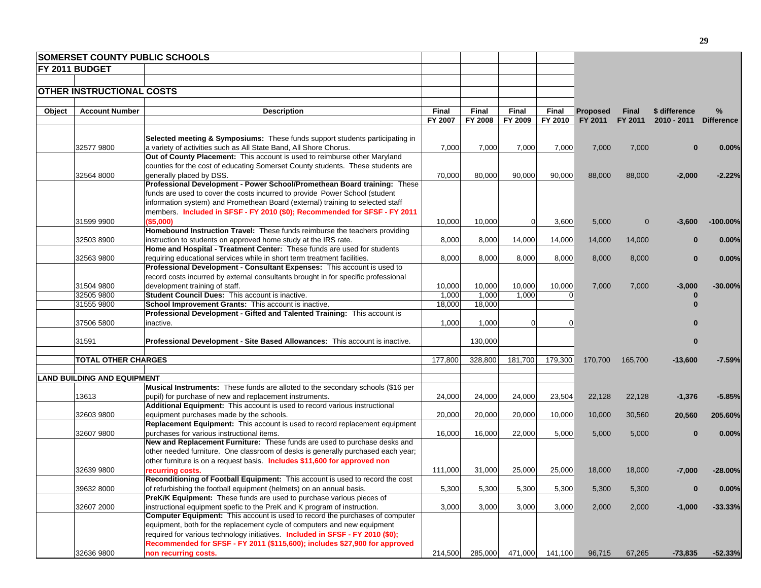|        | <b>SOMERSET COUNTY PUBLIC SCHOOLS</b> |                                                                                     |         |         |                |              |                 |              |               |                   |
|--------|---------------------------------------|-------------------------------------------------------------------------------------|---------|---------|----------------|--------------|-----------------|--------------|---------------|-------------------|
|        | <b>FY 2011 BUDGET</b>                 |                                                                                     |         |         |                |              |                 |              |               |                   |
|        |                                       |                                                                                     |         |         |                |              |                 |              |               |                   |
|        | <b>OTHER INSTRUCTIONAL COSTS</b>      |                                                                                     |         |         |                |              |                 |              |               |                   |
|        |                                       |                                                                                     |         |         |                |              |                 |              |               |                   |
| Object | <b>Account Number</b>                 | <b>Description</b>                                                                  | Final   | Final   | Final          | <b>Final</b> | <b>Proposed</b> | Final        | \$ difference | %                 |
|        |                                       |                                                                                     | FY 2007 | FY 2008 | FY 2009        | FY 2010      | FY 2011         | FY 2011      | $2010 - 2011$ | <b>Difference</b> |
|        |                                       |                                                                                     |         |         |                |              |                 |              |               |                   |
|        |                                       | Selected meeting & Symposiums: These funds support students participating in        |         |         |                |              |                 |              |               |                   |
|        | 325779800                             | a variety of activities such as All State Band, All Shore Chorus.                   | 7,000   | 7,000   | 7,000          | 7,000        | 7,000           | 7,000        |               | $0.00\%$          |
|        |                                       | Out of County Placement: This account is used to reimburse other Maryland           |         |         |                |              |                 |              |               |                   |
|        |                                       | counties for the cost of educating Somerset County students. These students are     |         |         |                |              |                 |              |               |                   |
|        | 32564 8000                            | generally placed by DSS.                                                            | 70,000  | 80,000  | 90,000         | 90,000       | 88,000          | 88,000       | $-2,000$      | $-2.22%$          |
|        |                                       | Professional Development - Power School/Promethean Board training: These            |         |         |                |              |                 |              |               |                   |
|        |                                       | funds are used to cover the costs incurred to provide Power School (student         |         |         |                |              |                 |              |               |                   |
|        |                                       | information system) and Promethean Board (external) training to selected staff      |         |         |                |              |                 |              |               |                   |
|        |                                       | members. Included in SFSF - FY 2010 (\$0); Recommended for SFSF - FY 2011           |         |         |                |              |                 |              |               |                   |
|        | 31599 9900                            | (\$5,000)                                                                           | 10,000  | 10,000  | $\overline{0}$ | 3,600        | 5,000           | $\mathbf{0}$ | $-3,600$      | $-100.00\%$       |
|        |                                       | Homebound Instruction Travel: These funds reimburse the teachers providing          |         |         |                |              |                 |              |               |                   |
|        | 32503 8900                            | instruction to students on approved home study at the IRS rate.                     | 8,000   | 8,000   | 14,000         | 14,000       | 14,000          | 14,000       |               | 0.00%             |
|        |                                       | Home and Hospital - Treatment Center: These funds are used for students             |         |         |                |              |                 |              |               |                   |
|        | 32563 9800                            | requiring educational services while in short term treatment facilities.            | 8,000   | 8,000   | 8,000          | 8,000        | 8,000           | 8,000        | 0             | 0.00%             |
|        |                                       | Professional Development - Consultant Expenses: This account is used to             |         |         |                |              |                 |              |               |                   |
|        |                                       | record costs incurred by external consultants brought in for specific professional  |         |         |                |              |                 |              |               |                   |
|        | 31504 9800                            | development training of staff.                                                      | 10,000  | 10,000  | 10,000         | 10,000       | 7,000           | 7,000        | $-3,000$      | $-30.00%$         |
|        | 32505 9800                            | Student Council Dues: This account is inactive.                                     | 1,000   | 1,000   | 1,000          | $\Omega$     |                 |              |               |                   |
|        | 31555 9800                            | School Improvement Grants: This account is inactive.                                | 18,000  | 18,000  |                |              |                 |              |               |                   |
|        |                                       | Professional Development - Gifted and Talented Training: This account is            |         |         |                |              |                 |              |               |                   |
|        | 37506 5800                            | inactive.                                                                           | 1,000   | 1,000   | $\Omega$       | $\Omega$     |                 |              |               |                   |
|        |                                       |                                                                                     |         |         |                |              |                 |              |               |                   |
|        | 31591                                 | Professional Development - Site Based Allowances: This account is inactive.         |         | 130,000 |                |              |                 |              | 0             |                   |
|        |                                       |                                                                                     |         |         |                |              |                 |              |               |                   |
|        | <b>TOTAL OTHER CHARGES</b>            |                                                                                     | 177,800 | 328,800 | 181,700        | 179,300      | 170,700         | 165,700      | -13,600       | $-7.59%$          |
|        |                                       |                                                                                     |         |         |                |              |                 |              |               |                   |
|        | <b>LAND BUILDING AND EQUIPMENT</b>    |                                                                                     |         |         |                |              |                 |              |               |                   |
|        |                                       | Musical Instruments: These funds are alloted to the secondary schools (\$16 per     |         |         |                |              |                 |              |               |                   |
|        | 13613                                 | pupil) for purchase of new and replacement instruments.                             | 24,000  | 24,000  | 24,000         | 23,504       | 22,128          | 22,128       | $-1,376$      | $-5.85%$          |
|        |                                       | Additional Equipment: This account is used to record various instructional          |         |         |                |              |                 |              |               |                   |
|        | 32603 9800                            | equipment purchases made by the schools.                                            | 20,000  | 20,000  | 20,000         | 10,000       | 10,000          | 30,560       | 20,560        | 205.60%           |
|        |                                       | Replacement Equipment: This account is used to record replacement equipment         |         |         |                |              |                 |              |               |                   |
|        | 32607 9800                            | purchases for various instructional items.                                          | 16,000  | 16,000  | 22,000         | 5,000        | 5,000           | 5,000        | 0             | 0.00%             |
|        |                                       | New and Replacement Furniture: These funds are used to purchase desks and           |         |         |                |              |                 |              |               |                   |
|        |                                       | other needed furniture. One classroom of desks is generally purchased each year;    |         |         |                |              |                 |              |               |                   |
|        |                                       | other furniture is on a request basis. Includes \$11,600 for approved non           |         |         |                |              |                 |              |               |                   |
|        | 32639 9800                            | recurring costs.                                                                    | 111,000 | 31,000  | 25,000         | 25,000       | 18,000          | 18,000       | -7,000        | $-28.00\%$        |
|        |                                       | Reconditioning of Football Equipment: This account is used to record the cost       |         |         |                |              |                 |              |               |                   |
|        | 39632 8000                            | of refurbishing the football equipment (helmets) on an annual basis.                | 5,300   | 5,300   | 5,300          | 5,300        | 5,300           | 5,300        | $\bf{0}$      | 0.00%             |
|        |                                       | PreK/K Equipment: These funds are used to purchase various pieces of                |         |         |                |              |                 |              |               |                   |
|        | 32607 2000                            | instructional equipment spefic to the PreK and K program of instruction.            | 3,000   | 3,000   | 3,000          | 3,000        | 2,000           | 2,000        | $-1,000$      | $-33.33%$         |
|        |                                       | <b>Computer Equipment:</b> This account is used to record the purchases of computer |         |         |                |              |                 |              |               |                   |
|        |                                       | equipment, both for the replacement cycle of computers and new equipment            |         |         |                |              |                 |              |               |                   |
|        |                                       | required for various technology initiatives. Included in SFSF - FY 2010 (\$0);      |         |         |                |              |                 |              |               |                   |
|        |                                       | Recommended for SFSF - FY 2011 (\$115,600); includes \$27,900 for approved          |         |         |                |              |                 |              |               |                   |
|        | 32636 9800                            | non recurring costs.                                                                | 214,500 | 285,000 | 471,000        | 141,100      | 96,715          | 67,265       | $-73,835$     | $-52.33%$         |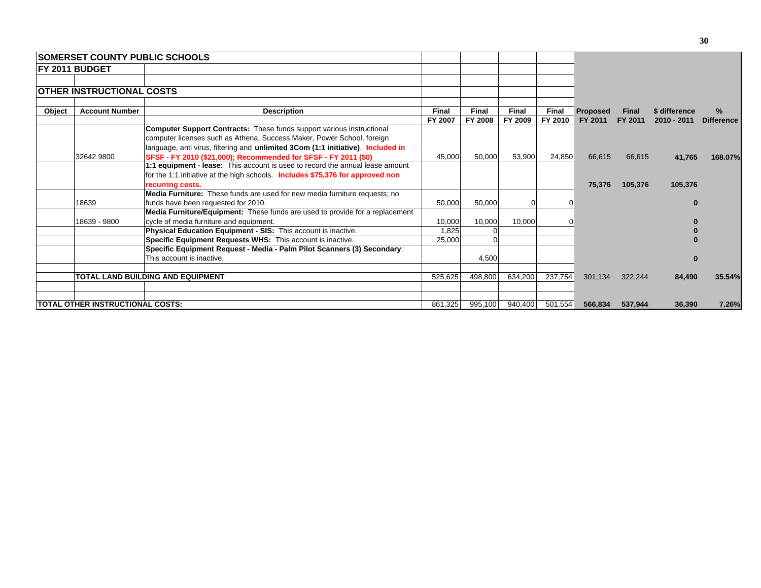|        | <b>SOMERSET COUNTY PUBLIC SCHOOLS</b>    |                                                                                                                                                                                                                                            |         |          |              |              |                 |              |               |                   |
|--------|------------------------------------------|--------------------------------------------------------------------------------------------------------------------------------------------------------------------------------------------------------------------------------------------|---------|----------|--------------|--------------|-----------------|--------------|---------------|-------------------|
|        | <b>FY 2011 BUDGET</b>                    |                                                                                                                                                                                                                                            |         |          |              |              |                 |              |               |                   |
|        |                                          |                                                                                                                                                                                                                                            |         |          |              |              |                 |              |               |                   |
|        | <b>OTHER INSTRUCTIONAL COSTS</b>         |                                                                                                                                                                                                                                            |         |          |              |              |                 |              |               |                   |
| Object | <b>Account Number</b>                    | <b>Description</b>                                                                                                                                                                                                                         | Final   | Final    | <b>Final</b> | <b>Final</b> | <b>Proposed</b> | <b>Final</b> | \$ difference | $\%$              |
|        |                                          |                                                                                                                                                                                                                                            | FY 2007 | FY 2008  | FY 2009      | FY 2010      | FY 2011         | FY 2011      | $2010 - 2011$ | <b>Difference</b> |
|        |                                          | <b>Computer Support Contracts:</b> These funds support various instructional<br>computer licenses such as Athena, Success Maker, Power School, foreign<br>language, anti virus, filtering and unlimited 3Com (1:1 initiative). Included in |         |          |              |              |                 |              |               |                   |
|        | 32642 9800                               | SFSF - FY 2010 (\$21,000); Recommended for SFSF - FY 2011 (\$0)                                                                                                                                                                            | 45,000  | 50,000   | 53,900       | 24,850       | 66,615          | 66,615       | 41,765        | 168.07%           |
|        |                                          | 1:1 equipment - lease: This account is used to record the annual lease amount<br>for the 1:1 initiative at the high schools. Includes \$75,376 for approved non                                                                            |         |          |              |              |                 |              |               |                   |
|        |                                          | recurring costs.                                                                                                                                                                                                                           |         |          |              |              | 75,376          | 105,376      | 105,376       |                   |
|        | 18639                                    | <b>Media Furniture:</b> These funds are used for new media furniture requests; no<br>funds have been requested for 2010.                                                                                                                   | 50.000  | 50,000   |              |              |                 |              |               |                   |
|        | 18639 - 9800                             | Media Furniture/Equipment: These funds are used to provide for a replacement<br>cycle of media furniture and equipment.                                                                                                                    | 10,000  | 10,000   | 10,000       |              |                 |              |               |                   |
|        |                                          | <b>Physical Education Equipment - SIS: This account is inactive.</b>                                                                                                                                                                       | 1.825   |          |              |              |                 |              |               |                   |
|        |                                          | Specific Equipment Requests WHS: This account is inactive.                                                                                                                                                                                 | 25,000  | $\Omega$ |              |              |                 |              |               |                   |
|        |                                          | Specific Equipment Request - Media - Palm Pilot Scanners (3) Secondary:                                                                                                                                                                    |         |          |              |              |                 |              |               |                   |
|        |                                          | This account is inactive.                                                                                                                                                                                                                  |         | 4,500    |              |              |                 |              |               |                   |
|        |                                          | TOTAL LAND BUILDING AND EQUIPMENT                                                                                                                                                                                                          | 525,625 | 498,800  | 634,200      | 237,754      | 301,134         | 322,244      | 84,490        | 35.54%            |
|        | <b>ITOTAL OTHER INSTRUCTIONAL COSTS:</b> |                                                                                                                                                                                                                                            | 861,325 | 995,100  | 940,400      | 501,554      | 566,834         | 537,944      | 36,390        | 7.26%             |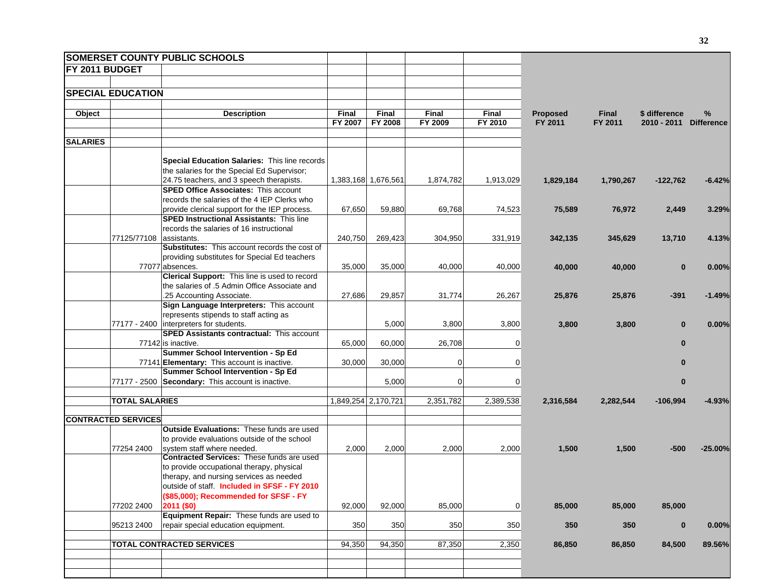|                       |                            | <b>SOMERSET COUNTY PUBLIC SCHOOLS</b>                                                          |         |                     |                |                 |                 |              |               |                   |
|-----------------------|----------------------------|------------------------------------------------------------------------------------------------|---------|---------------------|----------------|-----------------|-----------------|--------------|---------------|-------------------|
| <b>FY 2011 BUDGET</b> |                            |                                                                                                |         |                     |                |                 |                 |              |               |                   |
|                       |                            |                                                                                                |         |                     |                |                 |                 |              |               |                   |
|                       | <b>SPECIAL EDUCATION</b>   |                                                                                                |         |                     |                |                 |                 |              |               |                   |
|                       |                            |                                                                                                |         |                     |                |                 |                 |              |               |                   |
| Object                |                            | <b>Description</b>                                                                             | Final   | Final               | <b>Final</b>   | Final           | <b>Proposed</b> | <b>Final</b> | \$ difference | %                 |
|                       |                            |                                                                                                | FY 2007 | FY 2008             | FY 2009        | FY 2010         | FY 2011         | FY 2011      | 2010 - 2011   | <b>Difference</b> |
|                       |                            |                                                                                                |         |                     |                |                 |                 |              |               |                   |
| <b>SALARIES</b>       |                            |                                                                                                |         |                     |                |                 |                 |              |               |                   |
|                       |                            |                                                                                                |         |                     |                |                 |                 |              |               |                   |
|                       |                            | Special Education Salaries: This line records                                                  |         |                     |                |                 |                 |              |               |                   |
|                       |                            | the salaries for the Special Ed Supervisor;                                                    |         |                     |                |                 |                 |              |               |                   |
|                       |                            | 24.75 teachers, and 3 speech therapists.                                                       |         | 1,383,168 1,676,561 | 1,874,782      | 1,913,029       | 1,829,184       | 1,790,267    | $-122,762$    | $-6.42%$          |
|                       |                            | <b>SPED Office Associates: This account</b>                                                    |         |                     |                |                 |                 |              |               |                   |
|                       |                            | records the salaries of the 4 IEP Clerks who                                                   |         |                     |                |                 |                 |              |               |                   |
|                       |                            | provide clerical support for the IEP process.                                                  | 67,650  | 59,880              | 69,768         | 74,523          | 75,589          | 76,972       | 2,449         | 3.29%             |
|                       |                            | <b>SPED Instructional Assistants: This line</b>                                                |         |                     |                |                 |                 |              |               |                   |
|                       |                            | records the salaries of 16 instructional                                                       |         |                     |                |                 |                 |              |               |                   |
|                       | 77125/77108 assistants.    |                                                                                                | 240,750 | 269,423             | 304,950        | 331,919         | 342,135         | 345,629      | 13,710        | 4.13%             |
|                       |                            | <b>Substitutes:</b> This account records the cost of                                           |         |                     |                |                 |                 |              |               |                   |
|                       |                            | providing substitutes for Special Ed teachers                                                  |         |                     |                |                 |                 |              |               |                   |
|                       |                            | 77077 absences.                                                                                | 35,000  | 35,000              | 40,000         | 40,000          | 40,000          | 40,000       | $\bf{0}$      | 0.00%             |
|                       |                            | Clerical Support: This line is used to record<br>the salaries of .5 Admin Office Associate and |         |                     |                |                 |                 |              |               |                   |
|                       |                            | .25 Accounting Associate.                                                                      | 27,686  | 29,857              | 31,774         | 26,267          |                 |              | $-391$        |                   |
|                       |                            | Sign Language Interpreters: This account                                                       |         |                     |                |                 | 25,876          | 25,876       |               | $-1.49%$          |
|                       |                            | represents stipends to staff acting as                                                         |         |                     |                |                 |                 |              |               |                   |
|                       |                            | 77177 - 2400 interpreters for students.                                                        |         | 5,000               | 3,800          | 3,800           | 3,800           | 3,800        | $\bf{0}$      | 0.00%             |
|                       |                            | <b>SPED Assistants contractual: This account</b>                                               |         |                     |                |                 |                 |              |               |                   |
|                       |                            | 77142 is inactive.                                                                             | 65,000  | 60,000              | 26,708         | 0               |                 |              | $\bf{0}$      |                   |
|                       |                            | Summer School Intervention - Sp Ed                                                             |         |                     |                |                 |                 |              |               |                   |
|                       |                            | 77141 Elementary: This account is inactive.                                                    | 30,000  | 30,000              | $\mathbf 0$    | 0               |                 |              | $\bf{0}$      |                   |
|                       |                            | Summer School Intervention - Sp Ed                                                             |         |                     |                |                 |                 |              |               |                   |
|                       |                            | 77177 - 2500 Secondary: This account is inactive.                                              |         | 5,000               | $\overline{0}$ | 0               |                 |              | $\bf{0}$      |                   |
|                       |                            |                                                                                                |         |                     |                |                 |                 |              |               |                   |
|                       | <b>TOTAL SALARIES</b>      |                                                                                                |         | 1,849,254 2,170,721 | 2,351,782      | 2,389,538       | 2,316,584       | 2,282,544    | $-106,994$    | $-4.93%$          |
|                       |                            |                                                                                                |         |                     |                |                 |                 |              |               |                   |
|                       | <b>CONTRACTED SERVICES</b> |                                                                                                |         |                     |                |                 |                 |              |               |                   |
|                       |                            | <b>Outside Evaluations: These funds are used</b>                                               |         |                     |                |                 |                 |              |               |                   |
|                       |                            | to provide evaluations outside of the school                                                   |         |                     |                |                 |                 |              |               |                   |
|                       | 77254 2400                 | system staff where needed.                                                                     | 2,000   | 2,000               | 2,000          | 2,000           | 1,500           | 1,500        | $-500$        | $-25.00%$         |
|                       |                            | <b>Contracted Services: These funds are used</b>                                               |         |                     |                |                 |                 |              |               |                   |
|                       |                            | to provide occupational therapy, physical                                                      |         |                     |                |                 |                 |              |               |                   |
|                       |                            | therapy, and nursing services as needed                                                        |         |                     |                |                 |                 |              |               |                   |
|                       |                            | outside of staff. Included in SFSF - FY 2010                                                   |         |                     |                |                 |                 |              |               |                   |
|                       |                            | (\$85,000); Recommended for SFSF - FY                                                          |         |                     |                |                 |                 |              |               |                   |
|                       | 77202 2400                 | 2011 (\$0)                                                                                     | 92,000  | 92,000              | 85,000         | $\vert 0 \vert$ | 85,000          | 85,000       | 85,000        |                   |
|                       |                            | Equipment Repair: These funds are used to                                                      |         |                     |                |                 |                 |              |               |                   |
|                       | 95213 2400                 | repair special education equipment.                                                            | 350     | 350                 | 350            | 350             | 350             | 350          | $\bf{0}$      | 0.00%             |
|                       |                            |                                                                                                |         |                     |                |                 |                 |              |               |                   |
|                       |                            | <b>TOTAL CONTRACTED SERVICES</b>                                                               | 94,350  | 94,350              | 87,350         | 2,350           | 86,850          | 86,850       | 84,500        | 89.56%            |
|                       |                            |                                                                                                |         |                     |                |                 |                 |              |               |                   |
|                       |                            |                                                                                                |         |                     |                |                 |                 |              |               |                   |
|                       |                            |                                                                                                |         |                     |                |                 |                 |              |               |                   |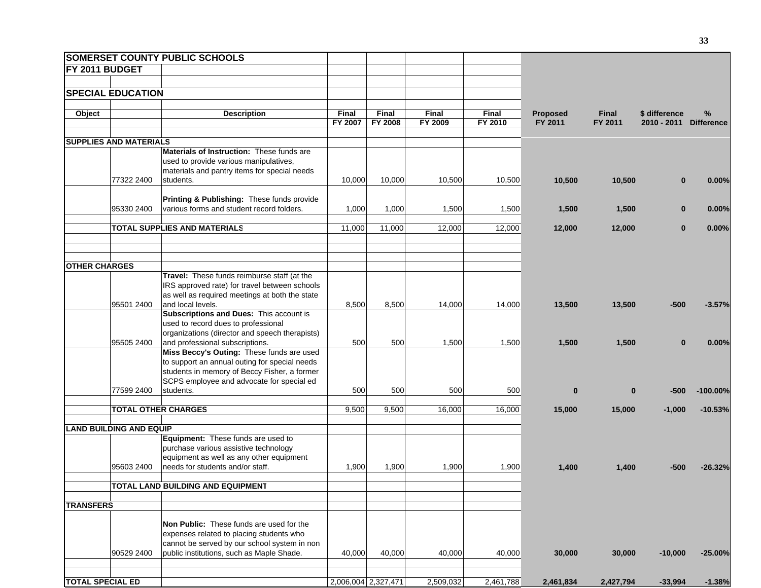|                         |                                | <b>SOMERSET COUNTY PUBLIC SCHOOLS</b>                                                           |         |                     |           |           |                 |              |               |                   |
|-------------------------|--------------------------------|-------------------------------------------------------------------------------------------------|---------|---------------------|-----------|-----------|-----------------|--------------|---------------|-------------------|
| <b>FY 2011 BUDGET</b>   |                                |                                                                                                 |         |                     |           |           |                 |              |               |                   |
|                         |                                |                                                                                                 |         |                     |           |           |                 |              |               |                   |
|                         | <b>SPECIAL EDUCATION</b>       |                                                                                                 |         |                     |           |           |                 |              |               |                   |
|                         |                                |                                                                                                 |         |                     |           |           |                 |              |               |                   |
| Object                  |                                | <b>Description</b>                                                                              | Final   | Final               | Final     | Final     | <b>Proposed</b> | <b>Final</b> | \$ difference | $\%$              |
|                         |                                |                                                                                                 | FY 2007 | FY 2008             | FY 2009   | FY 2010   | FY 2011         | FY 2011      | 2010 - 2011   | <b>Difference</b> |
|                         | <b>SUPPLIES AND MATERIALS</b>  |                                                                                                 |         |                     |           |           |                 |              |               |                   |
|                         |                                | <b>Materials of Instruction: These funds are</b>                                                |         |                     |           |           |                 |              |               |                   |
|                         |                                | used to provide various manipulatives,                                                          |         |                     |           |           |                 |              |               |                   |
|                         | 77322 2400                     | materials and pantry items for special needs<br>students.                                       | 10,000  | 10,000              | 10,500    | 10,500    | 10,500          | 10,500       | $\bf{0}$      | 0.00%             |
|                         |                                |                                                                                                 |         |                     |           |           |                 |              |               |                   |
|                         |                                | Printing & Publishing: These funds provide                                                      |         |                     |           |           |                 |              |               |                   |
|                         | 95330 2400                     | various forms and student record folders.                                                       | 1,000   | 1,000               | 1,500     | 1,500     | 1,500           | 1,500        | $\bf{0}$      | 0.00%             |
|                         |                                |                                                                                                 |         |                     |           |           |                 |              |               |                   |
|                         |                                | TOTAL SUPPLIES AND MATERIALS                                                                    | 11,000  | 11,000              | 12,000    | 12,000    | 12,000          | 12,000       | $\bf{0}$      | 0.00%             |
|                         |                                |                                                                                                 |         |                     |           |           |                 |              |               |                   |
|                         |                                |                                                                                                 |         |                     |           |           |                 |              |               |                   |
| <b>OTHER CHARGES</b>    |                                |                                                                                                 |         |                     |           |           |                 |              |               |                   |
|                         |                                | Travel: These funds reimburse staff (at the                                                     |         |                     |           |           |                 |              |               |                   |
|                         |                                | IRS approved rate) for travel between schools<br>as well as required meetings at both the state |         |                     |           |           |                 |              |               |                   |
|                         | 95501 2400                     | and local levels.                                                                               | 8,500   | 8,500               | 14,000    | 14,000    | 13,500          | 13,500       | $-500$        | $-3.57%$          |
|                         |                                | <b>Subscriptions and Dues: This account is</b>                                                  |         |                     |           |           |                 |              |               |                   |
|                         |                                | used to record dues to professional                                                             |         |                     |           |           |                 |              |               |                   |
|                         |                                | organizations (director and speech therapists)                                                  |         |                     |           |           |                 |              |               |                   |
|                         | 95505 2400                     | and professional subscriptions.<br>Miss Beccy's Outing: These funds are used                    | 500     | 500                 | 1,500     | 1,500     | 1,500           | 1,500        | $\bf{0}$      | 0.00%             |
|                         |                                | to support an annual outing for special needs                                                   |         |                     |           |           |                 |              |               |                   |
|                         |                                | students in memory of Beccy Fisher, a former                                                    |         |                     |           |           |                 |              |               |                   |
|                         |                                | SCPS employee and advocate for special ed                                                       |         |                     |           |           |                 |              |               |                   |
|                         | 77599 2400                     | students.                                                                                       | 500     | 500                 | 500       | 500       | $\bf{0}$        | $\bf{0}$     | $-500$        | $-100.00\%$       |
|                         | <b>TOTAL OTHER CHARGES</b>     |                                                                                                 | 9,500   | 9,500               | 16,000    | 16,000    | 15,000          | 15,000       | $-1,000$      | $-10.53%$         |
|                         |                                |                                                                                                 |         |                     |           |           |                 |              |               |                   |
|                         | <b>LAND BUILDING AND EQUIP</b> |                                                                                                 |         |                     |           |           |                 |              |               |                   |
|                         |                                | Equipment: These funds are used to                                                              |         |                     |           |           |                 |              |               |                   |
|                         |                                | purchase various assistive technology                                                           |         |                     |           |           |                 |              |               |                   |
|                         | 95603 2400                     | equipment as well as any other equipment<br>needs for students and/or staff.                    | 1,900   | 1,900               | 1,900     | 1,900     | 1,400           | 1,400        | -500          | $-26.32%$         |
|                         |                                |                                                                                                 |         |                     |           |           |                 |              |               |                   |
|                         |                                | TOTAL LAND BUILDING AND EQUIPMENT                                                               |         |                     |           |           |                 |              |               |                   |
|                         |                                |                                                                                                 |         |                     |           |           |                 |              |               |                   |
| <b>TRANSFERS</b>        |                                |                                                                                                 |         |                     |           |           |                 |              |               |                   |
|                         |                                | Non Public: These funds are used for the                                                        |         |                     |           |           |                 |              |               |                   |
|                         |                                | expenses related to placing students who                                                        |         |                     |           |           |                 |              |               |                   |
|                         |                                | cannot be served by our school system in non                                                    |         |                     |           |           |                 |              |               |                   |
|                         | 90529 2400                     | public institutions, such as Maple Shade.                                                       | 40,000  | 40,000              | 40,000    | 40,000    | 30,000          | 30,000       | $-10,000$     | $-25.00%$         |
|                         |                                |                                                                                                 |         |                     |           |           |                 |              |               |                   |
| <b>TOTAL SPECIAL ED</b> |                                |                                                                                                 |         | 2,006,004 2,327,471 | 2,509,032 | 2,461,788 | 2,461,834       | 2,427,794    | $-33,994$     | $-1.38%$          |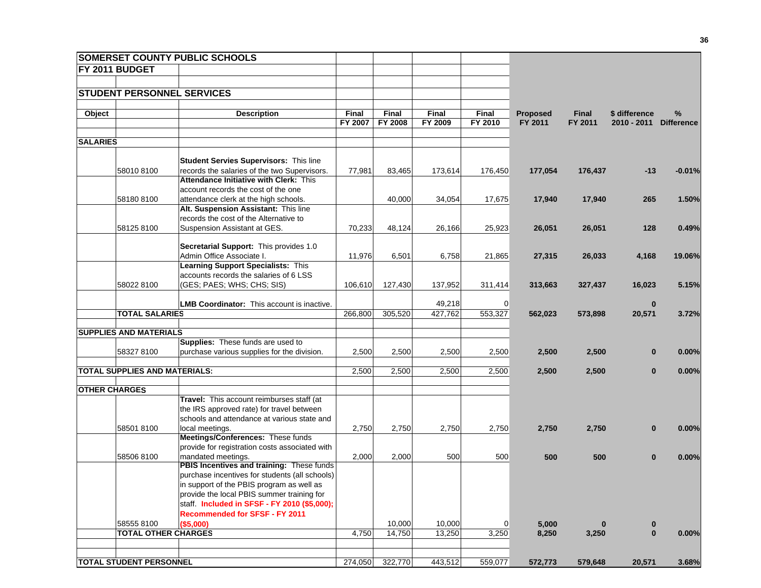|                      |                                | <b>SOMERSET COUNTY PUBLIC SCHOOLS</b>                               |                  |                  |                  |                  |                            |                  |                                |                           |
|----------------------|--------------------------------|---------------------------------------------------------------------|------------------|------------------|------------------|------------------|----------------------------|------------------|--------------------------------|---------------------------|
|                      | FY 2011 BUDGET                 |                                                                     |                  |                  |                  |                  |                            |                  |                                |                           |
|                      |                                |                                                                     |                  |                  |                  |                  |                            |                  |                                |                           |
|                      |                                | <b>STUDENT PERSONNEL SERVICES</b>                                   |                  |                  |                  |                  |                            |                  |                                |                           |
|                      |                                |                                                                     |                  |                  |                  |                  |                            |                  |                                |                           |
| Object               |                                | <b>Description</b>                                                  | Final<br>FY 2007 | Final<br>FY 2008 | Final<br>FY 2009 | Final<br>FY 2010 | <b>Proposed</b><br>FY 2011 | Final<br>FY 2011 | \$ difference<br>$2010 - 2011$ | $\%$<br><b>Difference</b> |
|                      |                                |                                                                     |                  |                  |                  |                  |                            |                  |                                |                           |
| <b>SALARIES</b>      |                                |                                                                     |                  |                  |                  |                  |                            |                  |                                |                           |
|                      |                                |                                                                     |                  |                  |                  |                  |                            |                  |                                |                           |
|                      |                                | <b>Student Servies Supervisors: This line</b>                       |                  |                  |                  |                  |                            |                  |                                |                           |
|                      | 58010 8100                     | records the salaries of the two Supervisors.                        | 77,981           | 83,465           | 173,614          | 176,450          | 177,054                    | 176,437          | $-13$                          | $-0.01%$                  |
|                      |                                | Attendance Initiative with Clerk: This                              |                  |                  |                  |                  |                            |                  |                                |                           |
|                      |                                | account records the cost of the one                                 |                  |                  |                  |                  |                            |                  |                                |                           |
|                      | 58180 8100                     | attendance clerk at the high schools.                               |                  | 40,000           | 34,054           | 17,675           | 17,940                     | 17,940           | 265                            | 1.50%                     |
|                      |                                | Alt. Suspension Assistant: This line                                |                  |                  |                  |                  |                            |                  |                                |                           |
|                      |                                | records the cost of the Alternative to                              |                  |                  |                  |                  |                            |                  |                                |                           |
|                      | 58125 8100                     | Suspension Assistant at GES.                                        | 70,233           | 48,124           | 26,166           | 25,923           | 26,051                     | 26,051           | 128                            | 0.49%                     |
|                      |                                |                                                                     |                  |                  |                  |                  |                            |                  |                                |                           |
|                      |                                | Secretarial Support: This provides 1.0<br>Admin Office Associate I. | 11,976           | 6,501            | 6,758            | 21,865           | 27,315                     |                  | 4,168                          | 19.06%                    |
|                      |                                | <b>Learning Support Specialists: This</b>                           |                  |                  |                  |                  |                            | 26,033           |                                |                           |
|                      |                                | accounts records the salaries of 6 LSS                              |                  |                  |                  |                  |                            |                  |                                |                           |
|                      | 58022 8100                     | (GES; PAES; WHS; CHS; SIS)                                          | 106,610          | 127,430          | 137,952          | 311,414          | 313,663                    | 327,437          | 16,023                         | 5.15%                     |
|                      |                                |                                                                     |                  |                  |                  |                  |                            |                  |                                |                           |
|                      |                                | <b>LMB Coordinator:</b> This account is inactive.                   |                  |                  | 49,218           | $\overline{0}$   |                            |                  | $\bf{0}$                       |                           |
|                      | <b>TOTAL SALARIES</b>          |                                                                     | 266,800          | 305,520          | 427,762          | 553,327          | 562,023                    | 573,898          | 20,571                         | 3.72%                     |
|                      |                                |                                                                     |                  |                  |                  |                  |                            |                  |                                |                           |
|                      | <b>SUPPLIES AND MATERIALS</b>  |                                                                     |                  |                  |                  |                  |                            |                  |                                |                           |
|                      |                                | Supplies: These funds are used to                                   |                  |                  |                  |                  |                            |                  |                                |                           |
|                      | 58327 8100                     | purchase various supplies for the division.                         | 2,500            | 2,500            | 2,500            | 2,500            | 2,500                      | 2,500            | $\bf{0}$                       | 0.00%                     |
|                      | TOTAL SUPPLIES AND MATERIALS.  |                                                                     | 2,500            | 2,500            | 2,500            | 2,500            |                            | 2,500            | $\bf{0}$                       | 0.00%                     |
|                      |                                |                                                                     |                  |                  |                  |                  | 2,500                      |                  |                                |                           |
| <b>OTHER CHARGES</b> |                                |                                                                     |                  |                  |                  |                  |                            |                  |                                |                           |
|                      |                                | Travel: This account reimburses staff (at                           |                  |                  |                  |                  |                            |                  |                                |                           |
|                      |                                | the IRS approved rate) for travel between                           |                  |                  |                  |                  |                            |                  |                                |                           |
|                      |                                | schools and attendance at various state and                         |                  |                  |                  |                  |                            |                  |                                |                           |
|                      | 585018100                      | local meetings.                                                     | 2,750            | 2,750            | 2,750            | 2,750            | 2,750                      | 2,750            | $\bf{0}$                       | 0.00%                     |
|                      |                                | Meetings/Conferences: These funds                                   |                  |                  |                  |                  |                            |                  |                                |                           |
|                      |                                | provide for registration costs associated with                      |                  |                  |                  |                  |                            |                  |                                |                           |
|                      | 58506 8100                     | mandated meetings.                                                  | 2,000            | 2,000            | 500              | 500              | 500                        | 500              | $\bf{0}$                       | 0.00%                     |
|                      |                                | PBIS Incentives and training: These funds                           |                  |                  |                  |                  |                            |                  |                                |                           |
|                      |                                | purchase incentives for students (all schools)                      |                  |                  |                  |                  |                            |                  |                                |                           |
|                      |                                | in support of the PBIS program as well as                           |                  |                  |                  |                  |                            |                  |                                |                           |
|                      |                                | provide the local PBIS summer training for                          |                  |                  |                  |                  |                            |                  |                                |                           |
|                      |                                | staff. Included in SFSF - FY 2010 (\$5,000);                        |                  |                  |                  |                  |                            |                  |                                |                           |
|                      |                                | <b>Recommended for SFSF - FY 2011</b>                               |                  |                  |                  |                  |                            |                  |                                |                           |
|                      | 58555 8100                     | (\$5,000)                                                           |                  | 10,000           | 10,000           | $\overline{0}$   | 5,000                      | $\bf{0}$         | $\mathbf{0}$                   |                           |
|                      | <b>TOTAL OTHER CHARGES</b>     |                                                                     | 4,750            | 14,750           | 13,250           | 3,250            | 8,250                      | 3,250            | $\bf{0}$                       | 0.00%                     |
|                      |                                |                                                                     |                  |                  |                  |                  |                            |                  |                                |                           |
|                      | <b>TOTAL STUDENT PERSONNEL</b> |                                                                     | 274,050          | 322,770          | 443,512          | 559,077          | 572,773                    | 579,648          | 20,571                         | 3.68%                     |
|                      |                                |                                                                     |                  |                  |                  |                  |                            |                  |                                |                           |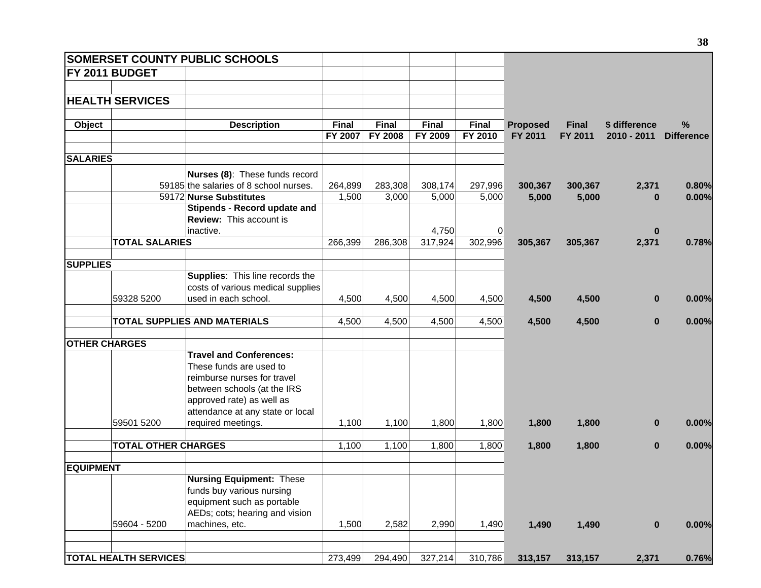|                      |                              | <b>SOMERSET COUNTY PUBLIC SCHOOLS</b>  |              |              |              |                |                 |              |               |                   |
|----------------------|------------------------------|----------------------------------------|--------------|--------------|--------------|----------------|-----------------|--------------|---------------|-------------------|
|                      | FY 2011 BUDGET               |                                        |              |              |              |                |                 |              |               |                   |
|                      |                              |                                        |              |              |              |                |                 |              |               |                   |
|                      | <b>HEALTH SERVICES</b>       |                                        |              |              |              |                |                 |              |               |                   |
|                      |                              |                                        |              |              |              |                |                 |              |               |                   |
| Object               |                              | <b>Description</b>                     | <b>Final</b> | <b>Final</b> | <b>Final</b> | <b>Final</b>   | <b>Proposed</b> | <b>Final</b> | \$ difference | %                 |
|                      |                              |                                        | FY 2007      | FY 2008      | FY 2009      | FY 2010        | FY 2011         | FY 2011      | 2010 - 2011   | <b>Difference</b> |
|                      |                              |                                        |              |              |              |                |                 |              |               |                   |
| <b>SALARIES</b>      |                              |                                        |              |              |              |                |                 |              |               |                   |
|                      |                              | Nurses (8): These funds record         |              |              |              |                |                 |              |               |                   |
|                      |                              | 59185 the salaries of 8 school nurses. | 264,899      | 283,308      | 308,174      | 297,996        | 300,367         | 300,367      | 2,371         | 0.80%             |
|                      |                              | 59172 Nurse Substitutes                | 1,500        | 3,000        | 5,000        | 5,000          | 5,000           | 5,000        | $\bf{0}$      | 0.00%             |
|                      |                              | Stipends - Record update and           |              |              |              |                |                 |              |               |                   |
|                      |                              | <b>Review:</b> This account is         |              |              |              |                |                 |              |               |                   |
|                      |                              | inactive.                              |              |              | 4,750        | $\overline{0}$ |                 |              | $\bf{0}$      |                   |
|                      | <b>TOTAL SALARIES</b>        |                                        | 266,399      | 286,308      | 317,924      | 302,996        | 305,367         | 305,367      | 2,371         | 0.78%             |
|                      |                              |                                        |              |              |              |                |                 |              |               |                   |
| <b>SUPPLIES</b>      |                              |                                        |              |              |              |                |                 |              |               |                   |
|                      |                              | Supplies: This line records the        |              |              |              |                |                 |              |               |                   |
|                      |                              | costs of various medical supplies      |              |              |              |                |                 |              |               |                   |
|                      | 59328 5200                   | used in each school.                   | 4,500        | 4,500        | 4,500        | 4,500          | 4,500           | 4,500        | $\bf{0}$      | 0.00%             |
|                      |                              | <b>TOTAL SUPPLIES AND MATERIALS</b>    |              |              |              |                |                 |              |               |                   |
|                      |                              |                                        | 4,500        | 4,500        | 4,500        | 4,500          | 4,500           | 4,500        | $\bf{0}$      | 0.00%             |
| <b>OTHER CHARGES</b> |                              |                                        |              |              |              |                |                 |              |               |                   |
|                      |                              | <b>Travel and Conferences:</b>         |              |              |              |                |                 |              |               |                   |
|                      |                              | These funds are used to                |              |              |              |                |                 |              |               |                   |
|                      |                              | reimburse nurses for travel            |              |              |              |                |                 |              |               |                   |
|                      |                              | between schools (at the IRS            |              |              |              |                |                 |              |               |                   |
|                      |                              | approved rate) as well as              |              |              |              |                |                 |              |               |                   |
|                      |                              | attendance at any state or local       |              |              |              |                |                 |              |               |                   |
|                      | 59501 5200                   | required meetings.                     | 1,100        | 1,100        | 1,800        | 1,800          | 1,800           | 1,800        | $\bf{0}$      | 0.00%             |
|                      |                              |                                        |              |              |              |                |                 |              |               |                   |
|                      | <b>TOTAL OTHER CHARGES</b>   |                                        | 1,100        | 1,100        | 1,800        | 1,800          | 1,800           | 1,800        | $\bf{0}$      | 0.00%             |
| <b>EQUIPMENT</b>     |                              |                                        |              |              |              |                |                 |              |               |                   |
|                      |                              | <b>Nursing Equipment: These</b>        |              |              |              |                |                 |              |               |                   |
|                      |                              | funds buy various nursing              |              |              |              |                |                 |              |               |                   |
|                      |                              | equipment such as portable             |              |              |              |                |                 |              |               |                   |
|                      |                              | AEDs; cots; hearing and vision         |              |              |              |                |                 |              |               |                   |
|                      | 59604 - 5200                 | machines, etc.                         | 1,500        | 2,582        | 2,990        | 1,490          | 1,490           | 1,490        | $\bf{0}$      | 0.00%             |
|                      |                              |                                        |              |              |              |                |                 |              |               |                   |
|                      |                              |                                        |              |              |              |                |                 |              |               |                   |
|                      | <b>TOTAL HEALTH SERVICES</b> |                                        | 273,499      | 294,490      | 327,214      | 310,786        | 313,157         | 313,157      | 2,371         | 0.76%             |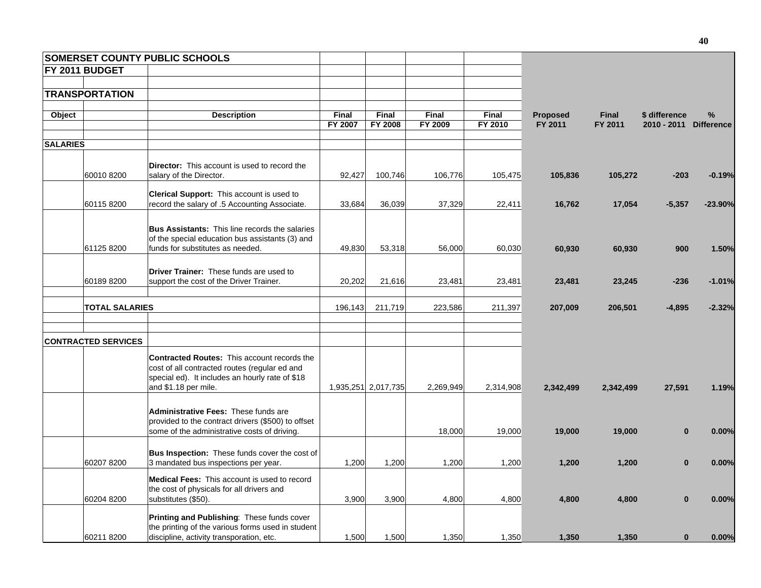|                 |                            | <b>SOMERSET COUNTY PUBLIC SCHOOLS</b>                                                                                                                                          |              |                     |           |              |                 |              |                        |           |
|-----------------|----------------------------|--------------------------------------------------------------------------------------------------------------------------------------------------------------------------------|--------------|---------------------|-----------|--------------|-----------------|--------------|------------------------|-----------|
|                 | FY 2011 BUDGET             |                                                                                                                                                                                |              |                     |           |              |                 |              |                        |           |
|                 |                            |                                                                                                                                                                                |              |                     |           |              |                 |              |                        |           |
|                 | <b>TRANSPORTATION</b>      |                                                                                                                                                                                |              |                     |           |              |                 |              |                        |           |
| Object          |                            | <b>Description</b>                                                                                                                                                             | <b>Final</b> | <b>Final</b>        | Final     | <b>Final</b> | <b>Proposed</b> | <b>Final</b> | \$ difference          | %         |
|                 |                            |                                                                                                                                                                                | FY 2007      | <b>FY 2008</b>      | FY 2009   | FY 2010      | FY 2011         | FY 2011      | 2010 - 2011 Difference |           |
|                 |                            |                                                                                                                                                                                |              |                     |           |              |                 |              |                        |           |
| <b>SALARIES</b> |                            |                                                                                                                                                                                |              |                     |           |              |                 |              |                        |           |
|                 | 60010 8200                 | <b>Director:</b> This account is used to record the<br>salary of the Director.                                                                                                 | 92,427       | 100,746             | 106,776   | 105,475      | 105,836         | 105,272      | $-203$                 | $-0.19%$  |
|                 |                            | Clerical Support: This account is used to                                                                                                                                      |              |                     |           |              |                 |              |                        |           |
|                 | 601158200                  | record the salary of .5 Accounting Associate.                                                                                                                                  | 33,684       | 36,039              | 37,329    | 22,411       | 16,762          | 17,054       | $-5,357$               | $-23.90%$ |
|                 |                            |                                                                                                                                                                                |              |                     |           |              |                 |              |                        |           |
|                 |                            | <b>Bus Assistants:</b> This line records the salaries<br>of the special education bus assistants (3) and                                                                       |              |                     |           |              |                 |              |                        |           |
|                 | 61125 8200                 | funds for substitutes as needed.                                                                                                                                               | 49,830       | 53,318              | 56,000    | 60,030       | 60,930          | 60,930       | 900                    | 1.50%     |
|                 | 601898200                  | <b>Driver Trainer:</b> These funds are used to<br>support the cost of the Driver Trainer.                                                                                      | 20,202       | 21,616              | 23,481    |              |                 |              |                        |           |
|                 |                            |                                                                                                                                                                                |              |                     |           | 23,481       | 23,481          | 23,245       | $-236$                 | $-1.01%$  |
|                 | <b>TOTAL SALARIES</b>      |                                                                                                                                                                                | 196,143      | 211,719             | 223,586   | 211,397      | 207,009         | 206,501      | $-4,895$               | $-2.32%$  |
|                 |                            |                                                                                                                                                                                |              |                     |           |              |                 |              |                        |           |
|                 | <b>CONTRACTED SERVICES</b> |                                                                                                                                                                                |              |                     |           |              |                 |              |                        |           |
|                 |                            | <b>Contracted Routes: This account records the</b><br>cost of all contracted routes (regular ed and<br>special ed). It includes an hourly rate of \$18<br>and \$1.18 per mile. |              | 1,935,251 2,017,735 | 2,269,949 | 2,314,908    | 2,342,499       | 2,342,499    | 27,591                 | 1.19%     |
|                 |                            |                                                                                                                                                                                |              |                     |           |              |                 |              |                        |           |
|                 |                            | <b>Administrative Fees: These funds are</b><br>provided to the contract drivers (\$500) to offset<br>some of the administrative costs of driving.                              |              |                     | 18,000    | 19,000       | 19,000          | 19,000       | $\bf{0}$               | 0.00%     |
|                 |                            |                                                                                                                                                                                |              |                     |           |              |                 |              |                        |           |
|                 | 60207 8200                 | Bus Inspection: These funds cover the cost of<br>3 mandated bus inspections per year.                                                                                          | 1,200        | 1,200               | 1,200     | 1,200        | 1,200           | 1,200        | $\bf{0}$               | 0.00%     |
|                 |                            | Medical Fees: This account is used to record<br>the cost of physicals for all drivers and                                                                                      |              |                     |           |              |                 |              |                        |           |
|                 | 60204 8200                 | substitutes (\$50).                                                                                                                                                            | 3,900        | 3,900               | 4,800     | 4,800        | 4,800           | 4,800        | $\bf{0}$               | 0.00%     |
|                 |                            | Printing and Publishing: These funds cover<br>the printing of the various forms used in student                                                                                |              |                     |           |              |                 |              |                        |           |
|                 | 60211 8200                 | discipline, activity transporation, etc.                                                                                                                                       | 1,500        | 1,500               | 1,350     | 1,350        | 1,350           | 1,350        | $\bf{0}$               | 0.00%     |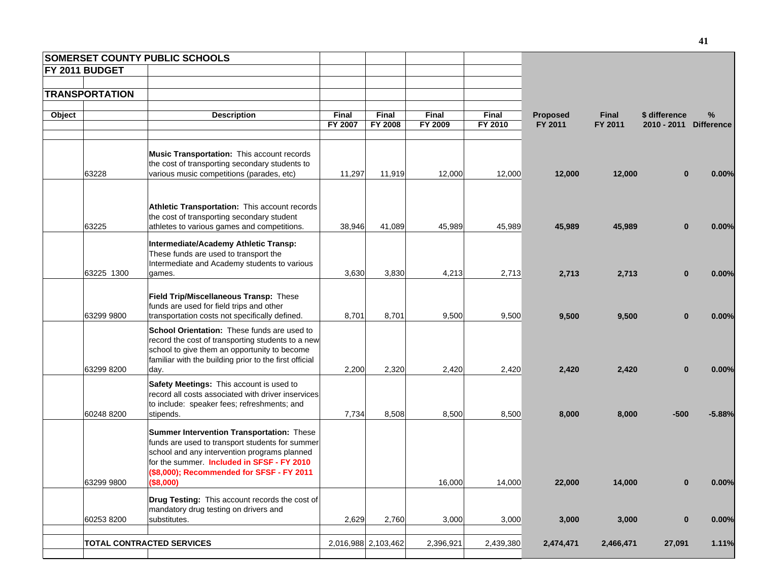|        |                       | <b>SOMERSET COUNTY PUBLIC SCHOOLS</b>                                                   |              |                     |           |              |                 |              |               |                   |
|--------|-----------------------|-----------------------------------------------------------------------------------------|--------------|---------------------|-----------|--------------|-----------------|--------------|---------------|-------------------|
|        | <b>FY 2011 BUDGET</b> |                                                                                         |              |                     |           |              |                 |              |               |                   |
|        |                       |                                                                                         |              |                     |           |              |                 |              |               |                   |
|        | <b>TRANSPORTATION</b> |                                                                                         |              |                     |           |              |                 |              |               |                   |
| Object |                       | <b>Description</b>                                                                      | <b>Final</b> | Final               | Final     | <b>Final</b> | <b>Proposed</b> | <b>Final</b> | \$ difference | ℅                 |
|        |                       |                                                                                         | FY 2007      | <b>FY 2008</b>      | FY 2009   | FY 2010      | FY 2011         | FY 2011      | 2010 - 2011   | <b>Difference</b> |
|        |                       |                                                                                         |              |                     |           |              |                 |              |               |                   |
|        |                       | Music Transportation: This account records                                              |              |                     |           |              |                 |              |               |                   |
|        |                       | the cost of transporting secondary students to                                          |              |                     |           |              |                 |              |               |                   |
|        | 63228                 | various music competitions (parades, etc)                                               | 11,297       | 11,919              | 12,000    | 12,000       | 12,000          | 12,000       | $\bf{0}$      | 0.00%             |
|        |                       |                                                                                         |              |                     |           |              |                 |              |               |                   |
|        |                       | Athletic Transportation: This account records                                           |              |                     |           |              |                 |              |               |                   |
|        |                       | the cost of transporting secondary student                                              |              |                     |           |              |                 |              |               |                   |
|        | 63225                 | athletes to various games and competitions.                                             | 38,946       | 41,089              | 45,989    | 45,989       | 45,989          | 45,989       | $\bf{0}$      | 0.00%             |
|        |                       | Intermediate/Academy Athletic Transp:                                                   |              |                     |           |              |                 |              |               |                   |
|        |                       | These funds are used to transport the                                                   |              |                     |           |              |                 |              |               |                   |
|        |                       | Intermediate and Academy students to various                                            |              |                     |           |              |                 |              |               |                   |
|        | 63225 1300            | games.                                                                                  | 3,630        | 3,830               | 4,213     | 2,713        | 2,713           | 2,713        | $\bf{0}$      | 0.00%             |
|        |                       |                                                                                         |              |                     |           |              |                 |              |               |                   |
|        |                       | Field Trip/Miscellaneous Transp: These<br>funds are used for field trips and other      |              |                     |           |              |                 |              |               |                   |
|        | 63299 9800            | transportation costs not specifically defined.                                          | 8,701        | 8,701               | 9,500     | 9,500        | 9,500           | 9,500        | $\bf{0}$      | 0.00%             |
|        |                       | School Orientation: These funds are used to                                             |              |                     |           |              |                 |              |               |                   |
|        |                       | record the cost of transporting students to a new                                       |              |                     |           |              |                 |              |               |                   |
|        |                       | school to give them an opportunity to become                                            |              |                     |           |              |                 |              |               |                   |
|        | 63299 8200            | familiar with the building prior to the first official<br>day.                          | 2,200        | 2,320               | 2,420     | 2,420        | 2,420           | 2,420        | $\bf{0}$      | 0.00%             |
|        |                       | Safety Meetings: This account is used to                                                |              |                     |           |              |                 |              |               |                   |
|        |                       | record all costs associated with driver inservices                                      |              |                     |           |              |                 |              |               |                   |
|        |                       | to include: speaker fees; refreshments; and                                             |              |                     |           |              |                 |              |               |                   |
|        | 60248 8200            | stipends.                                                                               | 7,734        | 8,508               | 8,500     | 8,500        | 8,000           | 8,000        | -500          | $-5.88%$          |
|        |                       | Summer Intervention Transportation: These                                               |              |                     |           |              |                 |              |               |                   |
|        |                       | funds are used to transport students for summer                                         |              |                     |           |              |                 |              |               |                   |
|        |                       | school and any intervention programs planned                                            |              |                     |           |              |                 |              |               |                   |
|        |                       | for the summer. Included in SFSF - FY 2010<br>(\$8,000); Recommended for SFSF - FY 2011 |              |                     |           |              |                 |              |               |                   |
|        | 63299 9800            | (\$8,000)                                                                               |              |                     | 16,000    | 14,000       | <b>22,000</b>   | 14,000       |               | <b>U.UU%</b>      |
|        |                       |                                                                                         |              |                     |           |              |                 |              |               |                   |
|        |                       | Drug Testing: This account records the cost of<br>mandatory drug testing on drivers and |              |                     |           |              |                 |              |               |                   |
|        | 60253 8200            | substitutes.                                                                            | 2,629        | 2,760               | 3,000     | 3,000        | 3,000           | 3,000        | $\bf{0}$      | 0.00%             |
|        |                       |                                                                                         |              |                     |           |              |                 |              |               |                   |
|        |                       | <b>TOTAL CONTRACTED SERVICES</b>                                                        |              | 2,016,988 2,103,462 | 2,396,921 | 2,439,380    | 2,474,471       | 2,466,471    | 27,091        | 1.11%             |
|        |                       |                                                                                         |              |                     |           |              |                 |              |               |                   |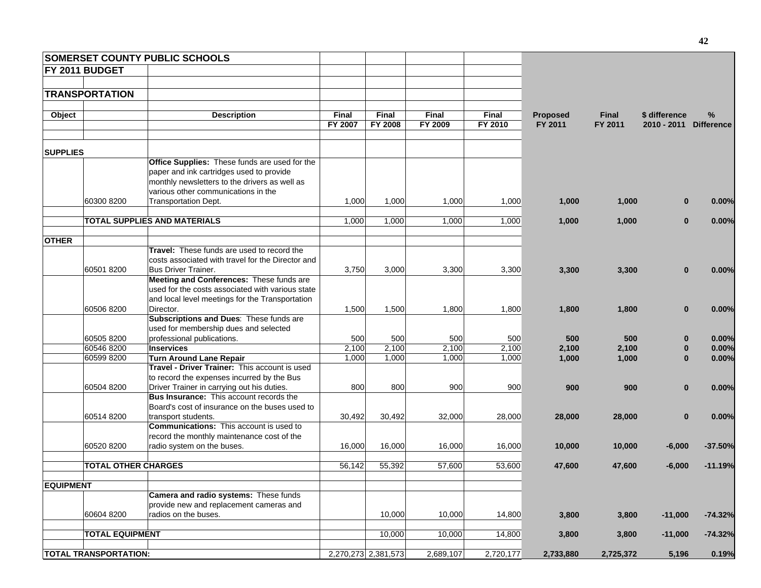|                  |                              | <b>SOMERSET COUNTY PUBLIC SCHOOLS</b>             |                     |                     |                     |              |                 |              |               |                   |
|------------------|------------------------------|---------------------------------------------------|---------------------|---------------------|---------------------|--------------|-----------------|--------------|---------------|-------------------|
|                  | <b>FY 2011 BUDGET</b>        |                                                   |                     |                     |                     |              |                 |              |               |                   |
|                  |                              |                                                   |                     |                     |                     |              |                 |              |               |                   |
|                  | <b>TRANSPORTATION</b>        |                                                   |                     |                     |                     |              |                 |              |               |                   |
|                  |                              |                                                   |                     |                     |                     |              |                 |              |               |                   |
| Object           |                              | <b>Description</b>                                | <b>Final</b>        | <b>Final</b>        | Final               | <b>Final</b> | <b>Proposed</b> | <b>Final</b> | \$ difference | %                 |
|                  |                              |                                                   | FY 2007             | <b>FY 2008</b>      | FY 2009             | FY 2010      | FY 2011         | FY 2011      | 2010 - 2011   | <b>Difference</b> |
| <b>SUPPLIES</b>  |                              |                                                   |                     |                     |                     |              |                 |              |               |                   |
|                  |                              | Office Supplies: These funds are used for the     |                     |                     |                     |              |                 |              |               |                   |
|                  |                              | paper and ink cartridges used to provide          |                     |                     |                     |              |                 |              |               |                   |
|                  |                              | monthly newsletters to the drivers as well as     |                     |                     |                     |              |                 |              |               |                   |
|                  |                              | various other communications in the               |                     |                     |                     |              |                 |              |               |                   |
|                  | 60300 8200                   | Transportation Dept.                              | 1,000               | 1,000               | 1,000               | 1,000        | 1,000           | 1,000        | $\bf{0}$      | 0.00%             |
|                  |                              |                                                   |                     |                     |                     |              |                 |              |               |                   |
|                  |                              | <b>TOTAL SUPPLIES AND MATERIALS</b>               | 1,000               | 1,000               | 1,000               | 1,000        | 1,000           | 1,000        | $\bf{0}$      | 0.00%             |
|                  |                              |                                                   |                     |                     |                     |              |                 |              |               |                   |
| <b>OTHER</b>     |                              | Travel: These funds are used to record the        |                     |                     |                     |              |                 |              |               |                   |
|                  |                              | costs associated with travel for the Director and |                     |                     |                     |              |                 |              |               |                   |
|                  | 605018200                    | Bus Driver Trainer.                               | 3,750               | 3,000               | 3,300               | 3,300        | 3,300           | 3,300        | $\bf{0}$      | 0.00%             |
|                  |                              | Meeting and Conferences: These funds are          |                     |                     |                     |              |                 |              |               |                   |
|                  |                              | used for the costs associated with various state  |                     |                     |                     |              |                 |              |               |                   |
|                  |                              | and local level meetings for the Transportation   |                     |                     |                     |              |                 |              |               |                   |
|                  | 60506 8200                   | Director.                                         | 1,500               | 1,500               | 1,800               | 1,800        | 1,800           | 1,800        | $\bf{0}$      | 0.00%             |
|                  |                              | Subscriptions and Dues: These funds are           |                     |                     |                     |              |                 |              |               |                   |
|                  |                              | used for membership dues and selected             |                     |                     |                     |              |                 |              |               |                   |
|                  | 60505 8200                   | professional publications.                        | 500                 | 500                 | 500                 | 500          | 500             | 500          | $\bf{0}$      | 0.00%             |
|                  | 60546 8200                   | <b>Inservices</b>                                 | 2,100               | 2,100               | 2,100               | 2,100        | 2,100           | 2,100        | 0             | 0.00%             |
|                  | 60599 8200                   | <b>Turn Around Lane Repair</b>                    | 1,000               | 1,000               | 1,000               | 1,000        | 1,000           | 1,000        | $\bf{0}$      | 0.00%             |
|                  |                              | Travel - Driver Trainer: This account is used     |                     |                     |                     |              |                 |              |               |                   |
|                  |                              | to record the expenses incurred by the Bus        |                     |                     |                     |              |                 |              |               |                   |
|                  | 60504 8200                   | Driver Trainer in carrying out his duties.        | 800                 | 800                 | 900                 | 900          | 900             | 900          | $\bf{0}$      | 0.00%             |
|                  |                              | Bus Insurance: This account records the           |                     |                     |                     |              |                 |              |               |                   |
|                  |                              | Board's cost of insurance on the buses used to    |                     |                     |                     |              |                 |              |               |                   |
|                  | 60514 8200                   | transport students.                               | 30,492              | 30,492              | 32,000              | 28,000       | 28,000          | 28,000       | $\bf{0}$      | 0.00%             |
|                  |                              | <b>Communications:</b> This account is used to    |                     |                     |                     |              |                 |              |               |                   |
|                  |                              | record the monthly maintenance cost of the        |                     |                     |                     |              |                 |              |               |                   |
|                  | 60520 8200                   | radio system on the buses.                        | 16,000              | 16,000              | 16,000              | 16,000       | 10,000          | 10,000       | $-6,000$      | $-37.50%$         |
|                  | <b>TOTAL OTHER CHARGES</b>   |                                                   | 56,142              | 55,392              | 57,600              | 53,600       | 47,600          | 47,600       | $-6,000$      | $-11.19%$         |
|                  |                              |                                                   |                     |                     |                     |              |                 |              |               |                   |
| <b>EQUIPMENT</b> |                              |                                                   |                     |                     |                     |              |                 |              |               |                   |
|                  |                              | Camera and radio systems: These funds             |                     |                     |                     |              |                 |              |               |                   |
|                  |                              | provide new and replacement cameras and           |                     |                     |                     |              |                 |              |               |                   |
|                  | 60604 8200                   | radios on the buses.                              |                     | 10,000              | 10,000              | 14,800       | 3,800           | 3,800        | $-11,000$     | $-74.32%$         |
|                  | <b>TOTAL EQUIPMENT</b>       |                                                   |                     | $\overline{10,000}$ | $\overline{10,000}$ | 14,800       | 3,800           | 3,800        | $-11,000$     | $-74.32%$         |
|                  |                              |                                                   |                     |                     |                     |              |                 |              |               |                   |
|                  | <b>TOTAL TRANSPORTATION:</b> |                                                   | 2,270,273 2,381,573 |                     | 2,689,107           | 2,720,177    | 2,733,880       | 2,725,372    | 5,196         | 0.19%             |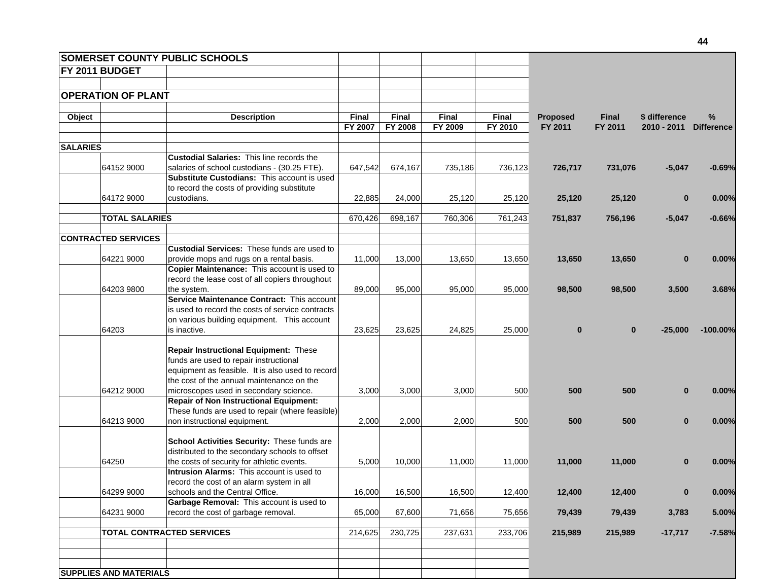|                 |                               | <b>SOMERSET COUNTY PUBLIC SCHOOLS</b>                     |              |              |              |              |                 |              |               |            |
|-----------------|-------------------------------|-----------------------------------------------------------|--------------|--------------|--------------|--------------|-----------------|--------------|---------------|------------|
|                 | FY 2011 BUDGET                |                                                           |              |              |              |              |                 |              |               |            |
|                 |                               |                                                           |              |              |              |              |                 |              |               |            |
|                 | <b>OPERATION OF PLANT</b>     |                                                           |              |              |              |              |                 |              |               |            |
|                 |                               |                                                           |              |              |              |              |                 |              |               |            |
| Object          |                               | <b>Description</b>                                        | <b>Final</b> | <b>Final</b> | <b>Final</b> | <b>Final</b> | <b>Proposed</b> | <b>Final</b> | \$ difference | %          |
|                 |                               |                                                           | FY 2007      | FY 2008      | FY 2009      | FY 2010      | FY 2011         | FY 2011      | $2010 - 2011$ | Difference |
| <b>SALARIES</b> |                               |                                                           |              |              |              |              |                 |              |               |            |
|                 |                               | <b>Custodial Salaries: This line records the</b>          |              |              |              |              |                 |              |               |            |
|                 | 64152 9000                    | salaries of school custodians - (30.25 FTE).              | 647.542      | 674,167      | 735,186      | 736,123      | 726,717         | 731,076      | $-5,047$      | $-0.69%$   |
|                 |                               | <b>Substitute Custodians: This account is used</b>        |              |              |              |              |                 |              |               |            |
|                 |                               | to record the costs of providing substitute               |              |              |              |              |                 |              |               |            |
|                 | 64172 9000                    | custodians.                                               | 22,885       | 24,000       | 25,120       | 25,120       | 25,120          | 25,120       | $\bf{0}$      | 0.00%      |
|                 | <b>TOTAL SALARIES</b>         |                                                           | 670,426      | 698,167      | 760,306      | 761,243      | 751,837         | 756,196      | $-5,047$      | $-0.66%$   |
|                 |                               |                                                           |              |              |              |              |                 |              |               |            |
|                 | <b>CONTRACTED SERVICES</b>    |                                                           |              |              |              |              |                 |              |               |            |
|                 |                               | <b>Custodial Services: These funds are used to</b>        |              |              |              |              |                 |              |               |            |
|                 | 64221 9000                    | provide mops and rugs on a rental basis.                  | 11,000       | 13,000       | 13,650       | 13,650       | 13,650          | 13,650       | $\bf{0}$      | 0.00%      |
|                 |                               | Copier Maintenance: This account is used to               |              |              |              |              |                 |              |               |            |
|                 |                               | record the lease cost of all copiers throughout           |              |              |              |              |                 |              |               |            |
|                 | 64203 9800                    | the system.<br>Service Maintenance Contract: This account | 89,000       | 95,000       | 95,000       | 95,000       | 98,500          | 98,500       | 3,500         | 3.68%      |
|                 |                               | is used to record the costs of service contracts          |              |              |              |              |                 |              |               |            |
|                 |                               | on various building equipment. This account               |              |              |              |              |                 |              |               |            |
|                 | 64203                         | is inactive.                                              | 23,625       | 23,625       | 24,825       | 25,000       | $\bf{0}$        | $\mathbf{0}$ | $-25,000$     | $-100.00%$ |
|                 |                               |                                                           |              |              |              |              |                 |              |               |            |
|                 |                               | Repair Instructional Equipment: These                     |              |              |              |              |                 |              |               |            |
|                 |                               | funds are used to repair instructional                    |              |              |              |              |                 |              |               |            |
|                 |                               | equipment as feasible. It is also used to record          |              |              |              |              |                 |              |               |            |
|                 |                               | the cost of the annual maintenance on the                 |              |              |              |              |                 |              |               |            |
|                 | 64212 9000                    | microscopes used in secondary science.                    | 3,000        | 3,000        | 3,000        | 500          | 500             | 500          | $\bf{0}$      | 0.00%      |
|                 |                               | <b>Repair of Non Instructional Equipment:</b>             |              |              |              |              |                 |              |               |            |
|                 |                               | These funds are used to repair (where feasible)           |              |              |              |              |                 |              |               |            |
|                 | 64213 9000                    | non instructional equipment.                              | 2,000        | 2,000        | 2,000        | 500          | 500             | 500          | $\bf{0}$      | 0.00%      |
|                 |                               | School Activities Security: These funds are               |              |              |              |              |                 |              |               |            |
|                 |                               | distributed to the secondary schools to offset            |              |              |              |              |                 |              |               |            |
|                 | 64250                         | the costs of security for athletic events.                | 5,000        | 10,000       | 11,000       | 11,000       | 11,000          | 11,000       | $\mathbf{0}$  | 0.00%      |
|                 |                               | <b>Intrusion Alarms:</b> This account is used to          |              |              |              |              |                 |              |               |            |
|                 |                               | record the cost of an alarm system in all                 |              |              |              |              |                 |              |               |            |
|                 | 64299 9000                    | schools and the Central Office.                           | 16,000       | 16,500       | 16,500       | 12,400       | 12,400          | 12,400       | $\bf{0}$      | 0.00%      |
|                 |                               | Garbage Removal: This account is used to                  |              |              |              |              |                 |              |               |            |
|                 | 64231 9000                    | record the cost of garbage removal.                       | 65,000       | 67,600       | 71,656       | 75,656       | 79,439          | 79,439       | 3,783         | 5.00%      |
|                 |                               | <b>TOTAL CONTRACTED SERVICES</b>                          | 214,625      | 230,725      | 237,631      | 233,706      | 215,989         | 215,989      | $-17,717$     | $-7.58%$   |
|                 |                               |                                                           |              |              |              |              |                 |              |               |            |
|                 |                               |                                                           |              |              |              |              |                 |              |               |            |
|                 | <b>SUPPLIES AND MATERIALS</b> |                                                           |              |              |              |              |                 |              |               |            |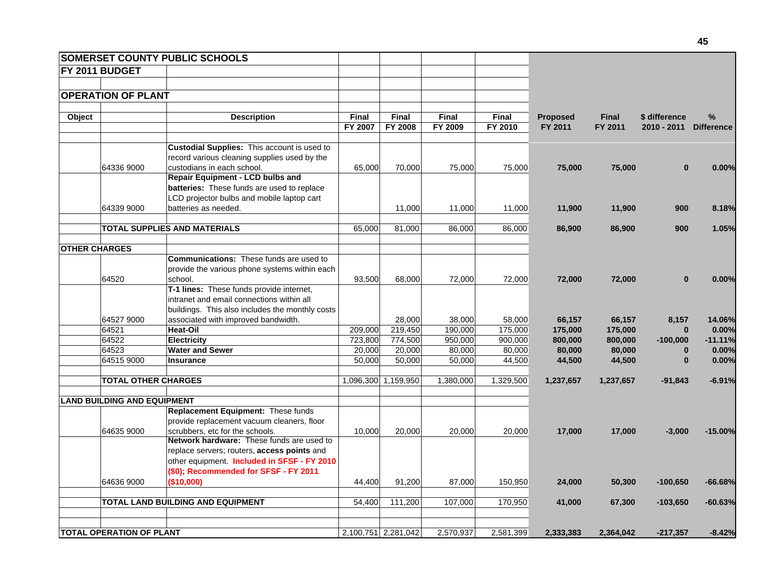|        |                                    | <b>SOMERSET COUNTY PUBLIC SCHOOLS</b>                                      |              |                     |              |              |                 |              |                        |           |
|--------|------------------------------------|----------------------------------------------------------------------------|--------------|---------------------|--------------|--------------|-----------------|--------------|------------------------|-----------|
|        | FY 2011 BUDGET                     |                                                                            |              |                     |              |              |                 |              |                        |           |
|        |                                    |                                                                            |              |                     |              |              |                 |              |                        |           |
|        | <b>OPERATION OF PLANT</b>          |                                                                            |              |                     |              |              |                 |              |                        |           |
|        |                                    |                                                                            |              |                     |              |              |                 |              |                        |           |
| Object |                                    | <b>Description</b>                                                         | <b>Final</b> | <b>Final</b>        | <b>Final</b> | <b>Final</b> | <b>Proposed</b> | <b>Final</b> | \$ difference          | %         |
|        |                                    |                                                                            | FY 2007      | FY 2008             | FY 2009      | FY 2010      | FY 2011         | FY 2011      | 2010 - 2011 Difference |           |
|        |                                    |                                                                            |              |                     |              |              |                 |              |                        |           |
|        |                                    | Custodial Supplies: This account is used to                                |              |                     |              |              |                 |              |                        |           |
|        | 64336 9000                         | record various cleaning supplies used by the<br>custodians in each school. | 65,000       | 70,000              |              |              |                 |              | $\bf{0}$               |           |
|        |                                    | <b>Repair Equipment - LCD bulbs and</b>                                    |              |                     | 75,000       | 75,000       | 75,000          | 75,000       |                        | 0.00%     |
|        |                                    | batteries: These funds are used to replace                                 |              |                     |              |              |                 |              |                        |           |
|        |                                    | LCD projector bulbs and mobile laptop cart                                 |              |                     |              |              |                 |              |                        |           |
|        | 64339 9000                         | batteries as needed.                                                       |              | 11,000              | 11,000       | 11,000       | 11,900          | 11,900       | 900                    | 8.18%     |
|        |                                    |                                                                            |              |                     |              |              |                 |              |                        |           |
|        |                                    | <b>TOTAL SUPPLIES AND MATERIALS</b>                                        | 65,000       | 81,000              | 86,000       | 86,000       | 86,900          | 86,900       | 900                    | 1.05%     |
|        |                                    |                                                                            |              |                     |              |              |                 |              |                        |           |
|        | <b>OTHER CHARGES</b>               |                                                                            |              |                     |              |              |                 |              |                        |           |
|        |                                    | <b>Communications:</b> These funds are used to                             |              |                     |              |              |                 |              |                        |           |
|        |                                    | provide the various phone systems within each                              |              |                     |              |              |                 |              |                        |           |
|        | 64520                              | school.                                                                    | 93,500       | 68,000              | 72,000       | 72,000       | 72,000          | 72,000       | $\bf{0}$               | 0.00%     |
|        |                                    | T-1 lines: These funds provide internet,                                   |              |                     |              |              |                 |              |                        |           |
|        |                                    | intranet and email connections within all                                  |              |                     |              |              |                 |              |                        |           |
|        |                                    | buildings. This also includes the monthly costs                            |              |                     |              |              |                 |              |                        |           |
|        | 64527 9000                         | associated with improved bandwidth.                                        |              | 28,000              | 38,000       | 58,000       | 66,157          | 66,157       | 8,157                  | 14.06%    |
|        | 64521                              | <b>Heat-Oil</b>                                                            | 209,000      | 219,450             | 190,000      | 175,000      | 175,000         | 175,000      | $\bf{0}$               | 0.00%     |
|        | 64522                              | <b>Electricity</b>                                                         | 723,800      | 774,500             | 950,000      | 900,000      | 800,000         | 800,000      | $-100,000$             | $-11.11%$ |
|        | 64523                              | <b>Water and Sewer</b>                                                     | 20,000       | 20,000              | 80,000       | 80,000       | 80,000          | 80,000       | $\bf{0}$               | 0.00%     |
|        | 64515 9000                         | <b>Insurance</b>                                                           | 50.000       | 50,000              | 50,000       | 44,500       | 44,500          | 44,500       | $\bf{0}$               | 0.00%     |
|        |                                    |                                                                            |              |                     |              |              |                 |              |                        |           |
|        | <b>TOTAL OTHER CHARGES</b>         |                                                                            |              | 1,096,300 1,159,950 | 1,380,000    | 1,329,500    | 1,237,657       | 1,237,657    | $-91,843$              | $-6.91%$  |
|        | <b>LAND BUILDING AND EQUIPMENT</b> |                                                                            |              |                     |              |              |                 |              |                        |           |
|        |                                    | Replacement Equipment: These funds                                         |              |                     |              |              |                 |              |                        |           |
|        |                                    | provide replacement vacuum cleaners, floor                                 |              |                     |              |              |                 |              |                        |           |
|        | 64635 9000                         | scrubbers, etc for the schools.                                            | 10,000       | 20,000              | 20,000       | 20,000       | 17,000          | 17,000       | $-3,000$               | $-15.00%$ |
|        |                                    | Network hardware: These funds are used to                                  |              |                     |              |              |                 |              |                        |           |
|        |                                    | replace servers; routers, access points and                                |              |                     |              |              |                 |              |                        |           |
|        |                                    | other equipment. Included in SFSF - FY 2010                                |              |                     |              |              |                 |              |                        |           |
|        |                                    | (\$0); Recommended for SFSF - FY 2011                                      |              |                     |              |              |                 |              |                        |           |
|        | 64636 9000                         | (\$10,000)                                                                 | 44,400       | 91,200              | 87,000       | 150,950      | 24,000          | 50,300       | $-100,650$             | $-66.68%$ |
|        |                                    | TOTAL LAND BUILDING AND EQUIPMENT                                          | 54,400       | 111,200             | 107,000      | 170,950      | 41,000          | 67,300       | $-103,650$             | $-60.63%$ |
|        |                                    |                                                                            |              |                     |              |              |                 |              |                        |           |
|        |                                    |                                                                            |              |                     |              |              |                 |              |                        |           |
|        | <b>TOTAL OPERATION OF PLANT</b>    |                                                                            |              | 2,100,751 2,281,042 | 2,570,937    | 2,581,399    | 2,333,383       | 2,364,042    | $-217,357$             | $-8.42%$  |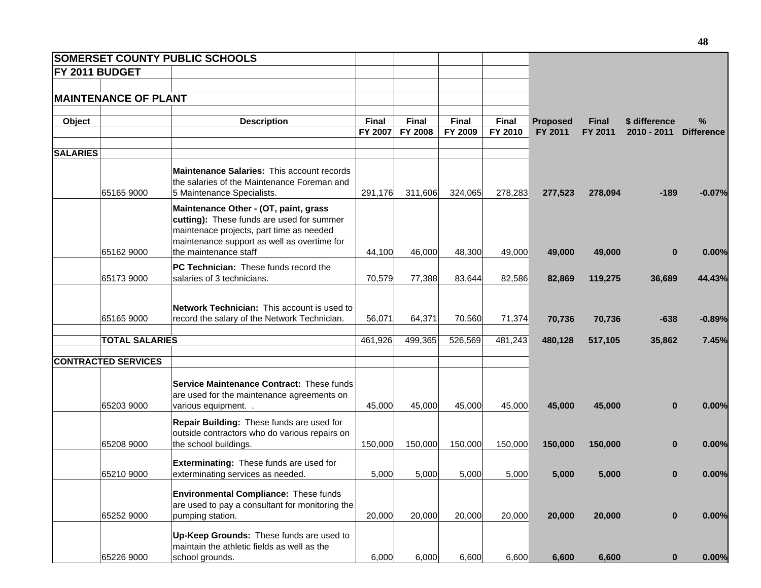| <b>SOMERSET COUNTY PUBLIC SCHOOLS</b> |                                                                                                                                                                                                        |                  |                         |                         |                  |                            |                         |                              |                           |
|---------------------------------------|--------------------------------------------------------------------------------------------------------------------------------------------------------------------------------------------------------|------------------|-------------------------|-------------------------|------------------|----------------------------|-------------------------|------------------------------|---------------------------|
| FY 2011 BUDGET                        |                                                                                                                                                                                                        |                  |                         |                         |                  |                            |                         |                              |                           |
|                                       |                                                                                                                                                                                                        |                  |                         |                         |                  |                            |                         |                              |                           |
| <b>MAINTENANCE OF PLANT</b>           |                                                                                                                                                                                                        |                  |                         |                         |                  |                            |                         |                              |                           |
| Object                                | <b>Description</b>                                                                                                                                                                                     | Final<br>FY 2007 | Final<br><b>FY 2008</b> | <b>Final</b><br>FY 2009 | Final<br>FY 2010 | <b>Proposed</b><br>FY 2011 | <b>Final</b><br>FY 2011 | \$ difference<br>2010 - 2011 | $\%$<br><b>Difference</b> |
| <b>SALARIES</b>                       |                                                                                                                                                                                                        |                  |                         |                         |                  |                            |                         |                              |                           |
| 65165 9000                            | <b>Maintenance Salaries: This account records</b><br>the salaries of the Maintenance Foreman and<br>5 Maintenance Specialists.                                                                         | 291,176          | 311,606                 | 324,065                 | 278,283          | 277,523                    | 278,094                 | $-189$                       | $-0.07%$                  |
| 65162 9000                            | Maintenance Other - (OT, paint, grass<br>cutting): These funds are used for summer<br>maintenace projects, part time as needed<br>maintenance support as well as overtime for<br>the maintenance staff | 44,100           | 46,000                  | 48,300                  | 49,000           | 49,000                     | 49,000                  | $\bf{0}$                     | 0.00%                     |
|                                       | PC Technician: These funds record the                                                                                                                                                                  |                  |                         |                         |                  |                            |                         |                              |                           |
| 65173 9000                            | salaries of 3 technicians.                                                                                                                                                                             | 70,579           | 77,388                  | 83,644                  | 82,586           | 82,869                     | 119,275                 | 36,689                       | 44.43%                    |
| 65165 9000                            | Network Technician: This account is used to<br>record the salary of the Network Technician.                                                                                                            | 56,071           | 64,371                  | 70,560                  | 71,374           | 70,736                     | 70,736                  | $-638$                       | $-0.89%$                  |
| <b>TOTAL SALARIES</b>                 |                                                                                                                                                                                                        | 461,926          | 499,365                 | 526,569                 | 481,243          | 480,128                    | 517,105                 | 35,862                       | 7.45%                     |
| <b>CONTRACTED SERVICES</b>            |                                                                                                                                                                                                        |                  |                         |                         |                  |                            |                         |                              |                           |
| 65203 9000                            | Service Maintenance Contract: These funds<br>are used for the maintenance agreements on<br>various equipment                                                                                           | 45,000           | 45,000                  | 45,000                  | 45,000           | 45,000                     | 45,000                  | $\bf{0}$                     | 0.00%                     |
| 65208 9000                            | Repair Building: These funds are used for<br>outside contractors who do various repairs on<br>the school buildings.                                                                                    | 150,000          | 150,000                 | 150,000                 | 150,000          | 150,000                    | 150,000                 | $\bf{0}$                     | 0.00%                     |
| 65210 9000                            | Exterminating: These funds are used for<br>exterminating services as needed.                                                                                                                           | 5,000            | 5,000                   | 5,000                   | 5,000            | 5,000                      | 5,000                   | $\bf{0}$                     | 0.00%                     |
| 65252 9000                            | <b>Environmental Compliance: These funds</b><br>are used to pay a consultant for monitoring the<br>pumping station.                                                                                    | 20,000           | 20,000                  | 20,000                  | 20,000           | 20,000                     | 20,000                  | $\bf{0}$                     | 0.00%                     |
| 65226 9000                            | Up-Keep Grounds: These funds are used to<br>maintain the athletic fields as well as the<br>school grounds.                                                                                             | 6,000            | 6,000                   | 6,600                   | 6,600            | 6,600                      | 6,600                   | $\bf{0}$                     | 0.00%                     |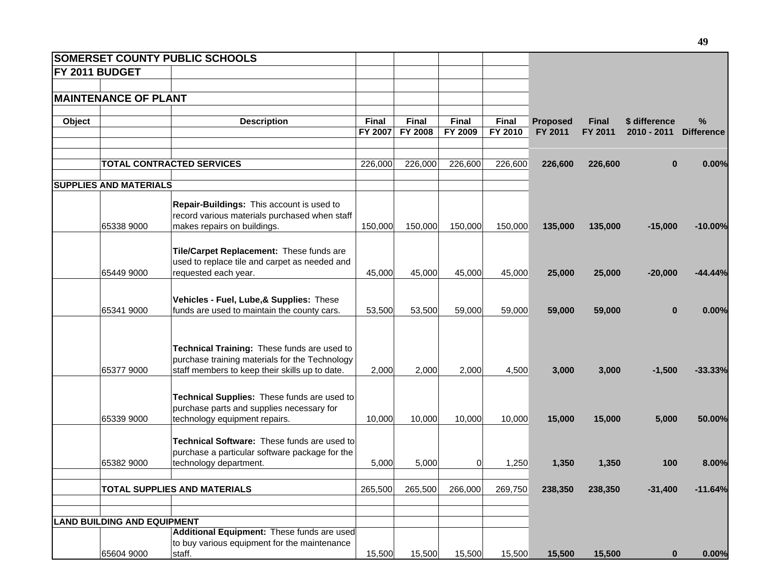|        |                                    | SOMERSET COUNTY PUBLIC SCHOOLS                                                                                                                  |                         |                                |                         |                         |                            |                         |                                |                           |
|--------|------------------------------------|-------------------------------------------------------------------------------------------------------------------------------------------------|-------------------------|--------------------------------|-------------------------|-------------------------|----------------------------|-------------------------|--------------------------------|---------------------------|
|        | FY 2011 BUDGET                     |                                                                                                                                                 |                         |                                |                         |                         |                            |                         |                                |                           |
|        | <b>MAINTENANCE OF PLANT</b>        |                                                                                                                                                 |                         |                                |                         |                         |                            |                         |                                |                           |
| Object |                                    | <b>Description</b>                                                                                                                              | <b>Final</b><br>FY 2007 | <b>Final</b><br><b>FY 2008</b> | <b>Final</b><br>FY 2009 | <b>Final</b><br>FY 2010 | <b>Proposed</b><br>FY 2011 | <b>Final</b><br>FY 2011 | \$ difference<br>$2010 - 2011$ | $\%$<br><b>Difference</b> |
|        |                                    | <b>TOTAL CONTRACTED SERVICES</b>                                                                                                                | 226,000                 | 226,000                        | 226,600                 | 226,600                 | 226,600                    | 226,600                 | $\bf{0}$                       | 0.00%                     |
|        | <b>SUPPLIES AND MATERIALS</b>      |                                                                                                                                                 |                         |                                |                         |                         |                            |                         |                                |                           |
|        | 65338 9000                         | Repair-Buildings: This account is used to<br>record various materials purchased when staff<br>makes repairs on buildings.                       | 150,000                 | 150,000                        | 150,000                 | 150,000                 | 135,000                    | 135,000                 | $-15,000$                      | $-10.00%$                 |
|        | 65449 9000                         | Tile/Carpet Replacement: These funds are<br>used to replace tile and carpet as needed and<br>requested each year.                               | 45,000                  | 45,000                         | 45,000                  | 45,000                  | 25,000                     | 25,000                  | $-20,000$                      | $-44.44%$                 |
|        | 65341 9000                         | Vehicles - Fuel, Lube, & Supplies: These<br>funds are used to maintain the county cars.                                                         | 53,500                  | 53,500                         | 59,000                  | 59,000                  | 59,000                     | 59,000                  | $\bf{0}$                       | 0.00%                     |
|        | 65377 9000                         | Technical Training: These funds are used to<br>purchase training materials for the Technology<br>staff members to keep their skills up to date. | 2,000                   | 2,000                          | 2,000                   | 4,500                   | 3,000                      | 3,000                   | $-1,500$                       | $-33.33%$                 |
|        | 65339 9000                         | Technical Supplies: These funds are used to<br>purchase parts and supplies necessary for<br>technology equipment repairs.                       | 10,000                  | 10,000                         | 10,000                  | 10,000                  | 15,000                     | 15,000                  | 5,000                          | 50.00%                    |
|        | 65382 9000                         | Technical Software: These funds are used to<br>purchase a particular software package for the<br>technology department.                         | 5,000                   | 5,000                          | $\overline{0}$          | 1,250                   | 1,350                      | 1,350                   | 100                            | 8.00%                     |
|        |                                    | <b>TOTAL SUPPLIES AND MATERIALS</b>                                                                                                             | 265,500                 | 265,500                        | 266,000                 | 269,750                 | 238,350                    | 238,350                 | $-31,400$                      | $-11.64%$                 |
|        | <b>LAND BUILDING AND EQUIPMENT</b> |                                                                                                                                                 |                         |                                |                         |                         |                            |                         |                                |                           |
|        | 65604 9000                         | Additional Equipment: These funds are used<br>to buy various equipment for the maintenance<br>staff.                                            | 15,500                  | 15,500                         | 15,500                  | 15,500                  | 15,500                     | 15,500                  | $\mathbf{0}$                   | 0.00%                     |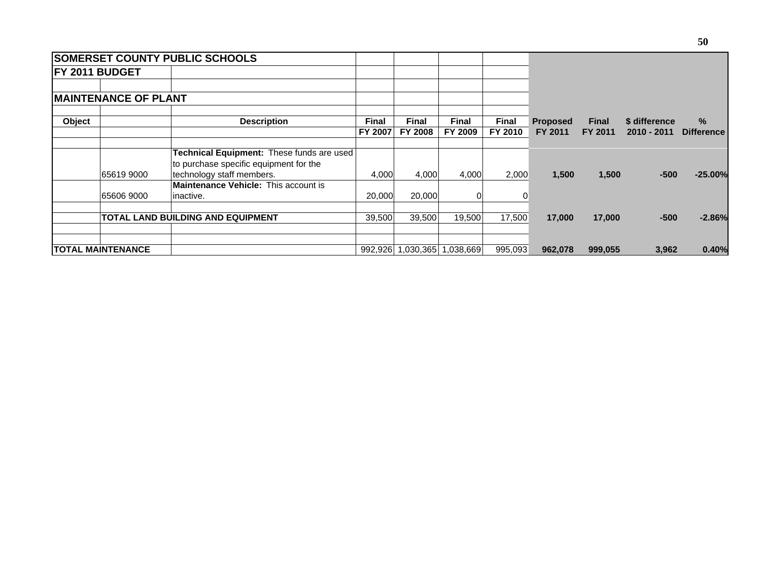|        |                             | <b>SOMERSET COUNTY PUBLIC SCHOOLS</b>     |                |                |                             |              |                 |              |               |                   |
|--------|-----------------------------|-------------------------------------------|----------------|----------------|-----------------------------|--------------|-----------------|--------------|---------------|-------------------|
|        | <b>FY 2011 BUDGET</b>       |                                           |                |                |                             |              |                 |              |               |                   |
|        |                             |                                           |                |                |                             |              |                 |              |               |                   |
|        | <b>MAINTENANCE OF PLANT</b> |                                           |                |                |                             |              |                 |              |               |                   |
| Object |                             | <b>Description</b>                        | <b>Final</b>   | <b>Final</b>   | <b>Final</b>                | <b>Final</b> | <b>Proposed</b> | <b>Final</b> | \$ difference | $\%$              |
|        |                             |                                           | <b>FY 2007</b> | <b>FY 2008</b> | FY 2009                     | FY 2010      | FY 2011         | FY 2011      | 2010 - 2011   | <b>Difference</b> |
|        |                             | Technical Equipment: These funds are used |                |                |                             |              |                 |              |               |                   |
|        |                             | to purchase specific equipment for the    |                |                |                             |              |                 |              |               |                   |
|        | 65619 9000                  | technology staff members.                 | 4,000          | 4,000          | 4,000                       | 2,000        | 1,500           | 1,500        | $-500$        | $-25.00%$         |
|        |                             | Maintenance Vehicle: This account is      |                |                |                             |              |                 |              |               |                   |
|        | 65606 9000                  | inactive.                                 | 20,000         | 20,000         | $\Omega$                    |              |                 |              |               |                   |
|        |                             | <b>TOTAL LAND BUILDING AND EQUIPMENT</b>  | 39,500         | 39,500         | 19,500                      | 17,500       | 17,000          | 17,000       | $-500$        | $-2.86%$          |
|        |                             |                                           |                |                |                             |              |                 |              |               |                   |
|        | <b>TOTAL MAINTENANCE</b>    |                                           |                |                | 992,926 1,030,365 1,038,669 | 995,093      | 962,078         | 999,055      | 3,962         | 0.40%             |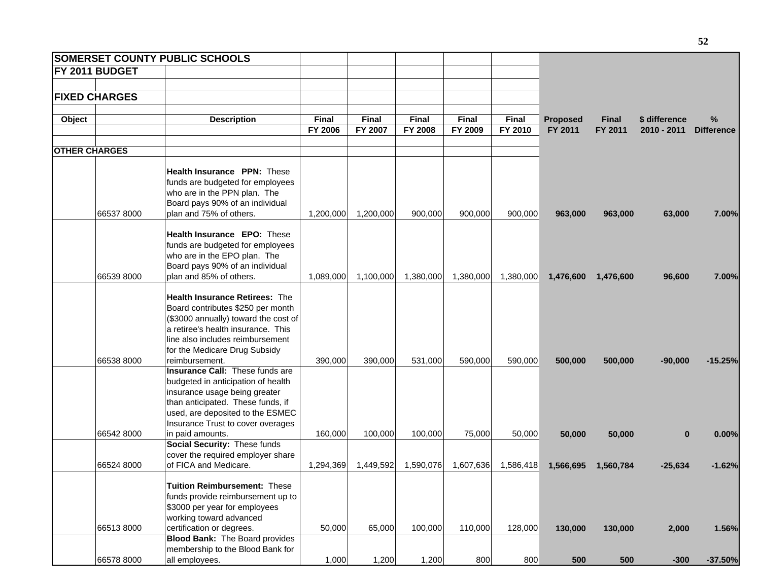| <b>SOMERSET COUNTY PUBLIC SCHOOLS</b> |                                                                 |           |              |              |              |              |                 |              |               |                   |
|---------------------------------------|-----------------------------------------------------------------|-----------|--------------|--------------|--------------|--------------|-----------------|--------------|---------------|-------------------|
| FY 2011 BUDGET                        |                                                                 |           |              |              |              |              |                 |              |               |                   |
|                                       |                                                                 |           |              |              |              |              |                 |              |               |                   |
| <b>FIXED CHARGES</b>                  |                                                                 |           |              |              |              |              |                 |              |               |                   |
|                                       |                                                                 |           |              |              |              |              |                 |              |               |                   |
| Object                                | <b>Description</b>                                              | Final     | <b>Final</b> | <b>Final</b> | <b>Final</b> | <b>Final</b> | <b>Proposed</b> | <b>Final</b> | \$ difference | $\%$              |
|                                       |                                                                 | FY 2006   | FY 2007      | FY 2008      | FY 2009      | FY 2010      | FY 2011         | FY 2011      | 2010 - 2011   | <b>Difference</b> |
| <b>OTHER CHARGES</b>                  |                                                                 |           |              |              |              |              |                 |              |               |                   |
|                                       |                                                                 |           |              |              |              |              |                 |              |               |                   |
|                                       | Health Insurance PPN: These<br>funds are budgeted for employees |           |              |              |              |              |                 |              |               |                   |
|                                       | who are in the PPN plan. The                                    |           |              |              |              |              |                 |              |               |                   |
|                                       | Board pays 90% of an individual                                 |           |              |              |              |              |                 |              |               |                   |
| 665378000                             | plan and 75% of others.                                         | 1,200,000 | 1,200,000    | 900,000      | 900,000      | 900,000      | 963,000         | 963,000      | 63,000        | 7.00%             |
|                                       |                                                                 |           |              |              |              |              |                 |              |               |                   |
|                                       | Health Insurance EPO: These                                     |           |              |              |              |              |                 |              |               |                   |
|                                       | funds are budgeted for employees                                |           |              |              |              |              |                 |              |               |                   |
|                                       | who are in the EPO plan. The                                    |           |              |              |              |              |                 |              |               |                   |
|                                       | Board pays 90% of an individual                                 |           |              |              |              |              |                 |              |               |                   |
| 66539 8000                            | plan and 85% of others.                                         | 1,089,000 | 1,100,000    | 1,380,000    | 1,380,000    | 1,380,000    | 1,476,600       | 1,476,600    | 96,600        | 7.00%             |
|                                       | <b>Health Insurance Retirees: The</b>                           |           |              |              |              |              |                 |              |               |                   |
|                                       | Board contributes \$250 per month                               |           |              |              |              |              |                 |              |               |                   |
|                                       | (\$3000 annually) toward the cost of                            |           |              |              |              |              |                 |              |               |                   |
|                                       | a retiree's health insurance. This                              |           |              |              |              |              |                 |              |               |                   |
|                                       | line also includes reimbursement                                |           |              |              |              |              |                 |              |               |                   |
|                                       | for the Medicare Drug Subsidy                                   |           |              |              |              |              |                 |              |               |                   |
| 66538 8000                            | reimbursement.                                                  | 390,000   | 390,000      | 531,000      | 590,000      | 590,000      | 500,000         | 500,000      | $-90,000$     | $-15.25%$         |
|                                       | Insurance Call: These funds are                                 |           |              |              |              |              |                 |              |               |                   |
|                                       | budgeted in anticipation of health                              |           |              |              |              |              |                 |              |               |                   |
|                                       | insurance usage being greater                                   |           |              |              |              |              |                 |              |               |                   |
|                                       | than anticipated. These funds, if                               |           |              |              |              |              |                 |              |               |                   |
|                                       | used, are deposited to the ESMEC                                |           |              |              |              |              |                 |              |               |                   |
|                                       | Insurance Trust to cover overages                               |           |              |              |              |              |                 |              |               |                   |
| 66542 8000                            | in paid amounts.                                                | 160,000   | 100,000      | 100,000      | 75,000       | 50,000       | 50,000          | 50,000       | $\bf{0}$      | 0.00%             |
|                                       | Social Security: These funds                                    |           |              |              |              |              |                 |              |               |                   |
|                                       | cover the required employer share                               |           |              |              |              |              |                 |              |               |                   |
| 66524 8000                            | of FICA and Medicare.                                           | 1,294,369 | 1,449,592    | 1,590,076    | 1,607,636    | 1,586,418    | 1,566,695       | 1,560,784    | $-25,634$     | $-1.62%$          |
|                                       | Tuition Reimbursement: These                                    |           |              |              |              |              |                 |              |               |                   |
|                                       | funds provide reimbursement up to                               |           |              |              |              |              |                 |              |               |                   |
|                                       | \$3000 per year for employees                                   |           |              |              |              |              |                 |              |               |                   |
|                                       | working toward advanced                                         |           |              |              |              |              |                 |              |               |                   |
| 665138000                             | certification or degrees.                                       | 50,000    | 65,000       | 100,000      | 110,000      | 128,000      | 130,000         | 130,000      | 2,000         | 1.56%             |
|                                       | <b>Blood Bank:</b> The Board provides                           |           |              |              |              |              |                 |              |               |                   |
|                                       | membership to the Blood Bank for                                |           |              |              |              |              |                 |              |               |                   |
| 66578 8000                            | all employees.                                                  | 1,000     | 1,200        | 1,200        | 800          | 800          | 500             | 500          | $-300$        | $-37.50%$         |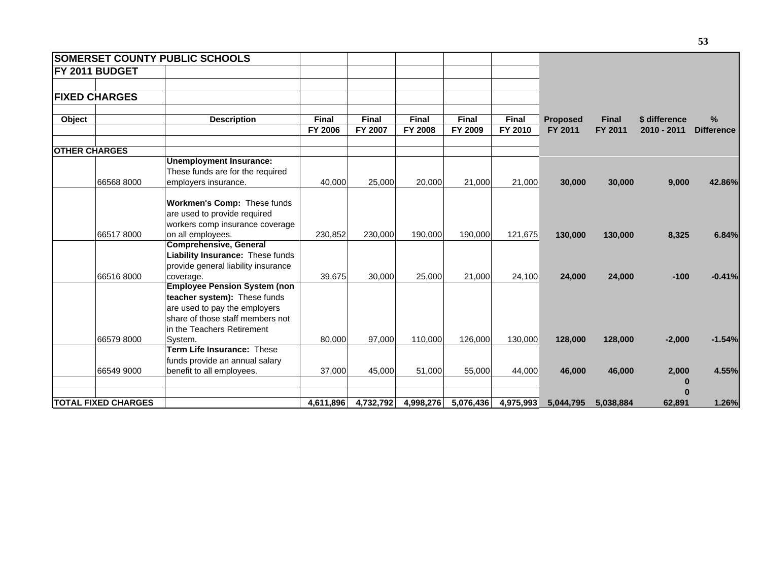|                      |                            | <b>SOMERSET COUNTY PUBLIC SCHOOLS</b>                                                                                           |                                |                         |                                |                         |                  |                            |                         |                              |                        |
|----------------------|----------------------------|---------------------------------------------------------------------------------------------------------------------------------|--------------------------------|-------------------------|--------------------------------|-------------------------|------------------|----------------------------|-------------------------|------------------------------|------------------------|
|                      | FY 2011 BUDGET             |                                                                                                                                 |                                |                         |                                |                         |                  |                            |                         |                              |                        |
|                      | <b>FIXED CHARGES</b>       |                                                                                                                                 |                                |                         |                                |                         |                  |                            |                         |                              |                        |
|                      |                            |                                                                                                                                 |                                |                         |                                |                         |                  |                            |                         |                              |                        |
| Object               |                            | <b>Description</b>                                                                                                              | <b>Final</b><br><b>FY 2006</b> | <b>Final</b><br>FY 2007 | <b>Final</b><br><b>FY 2008</b> | <b>Final</b><br>FY 2009 | Final<br>FY 2010 | <b>Proposed</b><br>FY 2011 | <b>Final</b><br>FY 2011 | \$ difference<br>2010 - 2011 | %<br><b>Difference</b> |
|                      |                            |                                                                                                                                 |                                |                         |                                |                         |                  |                            |                         |                              |                        |
| <b>OTHER CHARGES</b> |                            |                                                                                                                                 |                                |                         |                                |                         |                  |                            |                         |                              |                        |
|                      |                            | <b>Unemployment Insurance:</b><br>These funds are for the required                                                              |                                |                         |                                |                         |                  |                            |                         |                              |                        |
|                      | 66568 8000                 | employers insurance.                                                                                                            | 40,000                         | 25,000                  | 20,000                         | 21,000                  | 21,000           | 30,000                     | 30,000                  | 9,000                        | 42.86%                 |
|                      | 665178000                  | Workmen's Comp: These funds<br>are used to provide required<br>workers comp insurance coverage                                  |                                |                         |                                |                         |                  |                            |                         |                              |                        |
|                      |                            | on all employees.<br><b>Comprehensive, General</b>                                                                              | 230,852                        | 230,000                 | 190.000                        | 190,000                 | 121,675          | 130,000                    | 130,000                 | 8,325                        | 6.84%                  |
|                      |                            | Liability Insurance: These funds<br>provide general liability insurance                                                         |                                |                         |                                |                         |                  |                            |                         |                              |                        |
|                      | 665168000                  | coverage.<br><b>Employee Pension System (non</b>                                                                                | 39,675                         | 30,000                  | 25,000                         | 21,000                  | 24,100           | 24,000                     | 24,000                  | $-100$                       | $-0.41%$               |
|                      |                            | teacher system): These funds<br>are used to pay the employers<br>share of those staff members not<br>in the Teachers Retirement |                                |                         |                                |                         |                  |                            |                         |                              |                        |
|                      | 665798000                  | System.                                                                                                                         | 80.000                         | 97,000                  | 110,000                        | 126,000                 | 130,000          | 128,000                    | 128,000                 | $-2,000$                     | $-1.54%$               |
|                      | 66549 9000                 | Term Life Insurance: These<br>funds provide an annual salary<br>benefit to all employees.                                       | 37,000                         | 45,000                  | 51,000                         | 55,000                  | 44,000           | 46,000                     | 46,000                  | 2,000<br>0                   | 4.55%                  |
|                      |                            |                                                                                                                                 |                                |                         |                                |                         |                  |                            |                         | O                            |                        |
|                      | <b>TOTAL FIXED CHARGES</b> |                                                                                                                                 | 4,611,896                      | 4,732,792               | 4,998,276                      | 5,076,436               | 4,975,993        | 5,044,795                  | 5,038,884               | 62,891                       | 1.26%                  |